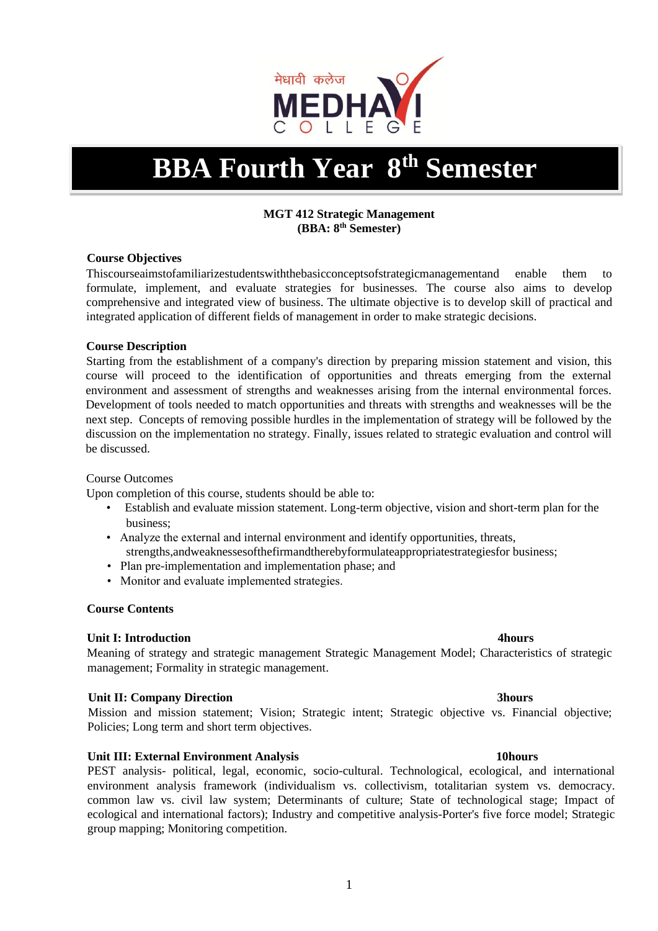

# **BBA Fourth Year 8th Semester**

### **MGT 412 Strategic Management (BBA: 8th Semester)**

### **Course Objectives**

Thiscourseaimstofamiliarizestudentswiththebasicconceptsofstrategicmanagementand enable them to formulate, implement, and evaluate strategies for businesses. The course also aims to develop comprehensive and integrated view of business. The ultimate objective is to develop skill of practical and integrated application of different fields of management in order to make strategic decisions.

### **Course Description**

Starting from the establishment of a company's direction by preparing mission statement and vision, this course will proceed to the identification of opportunities and threats emerging from the external environment and assessment of strengths and weaknesses arising from the internal environmental forces. Development of tools needed to match opportunities and threats with strengths and weaknesses will be the next step. Concepts of removing possible hurdles in the implementation of strategy will be followed by the discussion on the implementation no strategy. Finally, issues related to strategic evaluation and control will be discussed.

### Course Outcomes

Upon completion of this course, students should be able to:

- Establish and evaluate mission statement. Long-term objective, vision and short-term plan for the business;
- Analyze the external and internal environment and identify opportunities, threats, strengths,andweaknessesofthefirmandtherebyformulateappropriatestrategiesfor business;
- Plan pre-implementation and implementation phase; and
- Monitor and evaluate implemented strategies.

### **Course Contents**

# **Unit I:** Introduction **4hours 4hours**

Meaning of strategy and strategic management Strategic Management Model; Characteristics of strategic management; Formality in strategic management.

### **Unit II: Company Direction 3hours**

Mission and mission statement; Vision; Strategic intent; Strategic objective vs. Financial objective; Policies; Long term and short term objectives.

# Unit III: External Environment Analysis **10hours 10hours**

PEST analysis- political, legal, economic, socio-cultural. Technological, ecological, and international environment analysis framework (individualism vs. collectivism, totalitarian system vs. democracy. common law vs. civil law system; Determinants of culture; State of technological stage; Impact of ecological and international factors); Industry and competitive analysis-Porter's five force model; Strategic group mapping; Monitoring competition.

1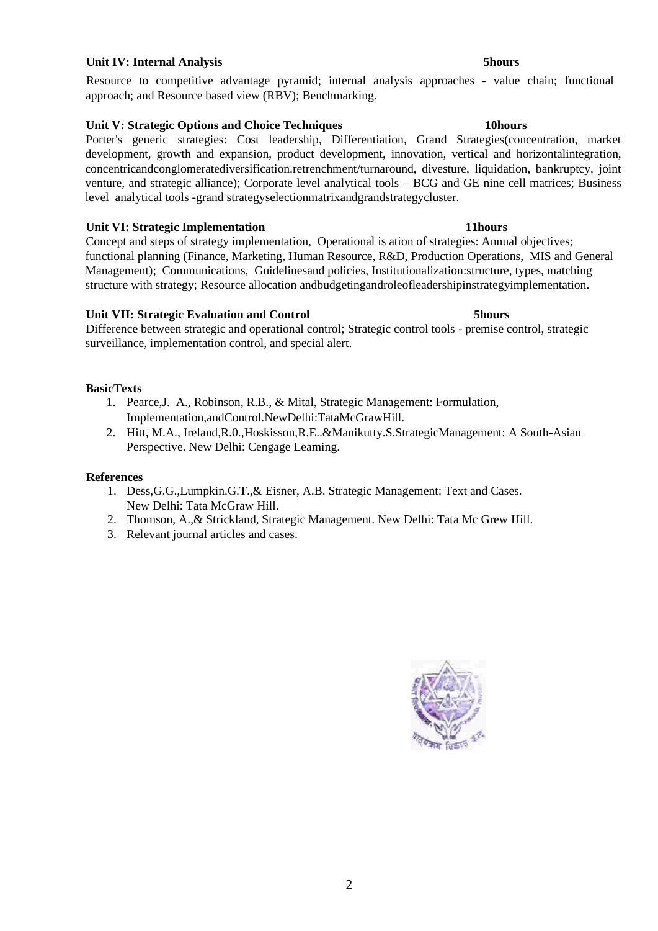### **Unit IV: Internal Analysis 6 and 1997 Control of the Unit Of the Shours 3 shours**

Resource to competitive advantage pyramid; internal analysis approaches - value chain; functional approach; and Resource based view (RBV); Benchmarking.

### **Unit V: Strategic Options and Choice Techniques 10hours**

Porter's generic strategies: Cost leadership, Differentiation, Grand Strategies(concentration, market development, growth and expansion, product development, innovation, vertical and horizontalintegration, concentricandconglomeratediversification.retrenchment/turnaround, divesture, liquidation, bankruptcy, joint venture, and strategic alliance); Corporate level analytical tools – BCG and GE nine cell matrices; Business level analytical tools -grand strategyselectionmatrixandgrandstrategycluster.

### **Unit VI: Strategic Implementation 11hours**

Concept and steps of strategy implementation, Operational is ation of strategies: Annual objectives; functional planning (Finance, Marketing, Human Resource, R&D, Production Operations, MIS and General Management); Communications, Guidelinesand policies, Institutionalization:structure, types, matching structure with strategy; Resource allocation andbudgetingandroleofleadershipinstrategyimplementation.

### **Unit VII: Strategic Evaluation and Control 5hours**

Difference between strategic and operational control; Strategic control tools - premise control, strategic surveillance, implementation control, and special alert.

### **BasicTexts**

- 1. Pearce,J. A., Robinson, R.B., & Mital, Strategic Management: Formulation, Implementation,andControl.NewDelhi:TataMcGrawHill.
- 2. Hitt, M.A., Ireland,R.0.,Hoskisson,R.E..&Manikutty.S.StrategicManagement: A South-Asian Perspective. New Delhi: Cengage Leaming.

- 1. Dess,G.G.,Lumpkin.G.T.,& Eisner, A.B. Strategic Management: Text and Cases. New Delhi: Tata McGraw Hill.
- 2. Thomson, A.,& Strickland, Strategic Management. New Delhi: Tata Mc Grew Hill.
- 3. Relevant journal articles and cases.

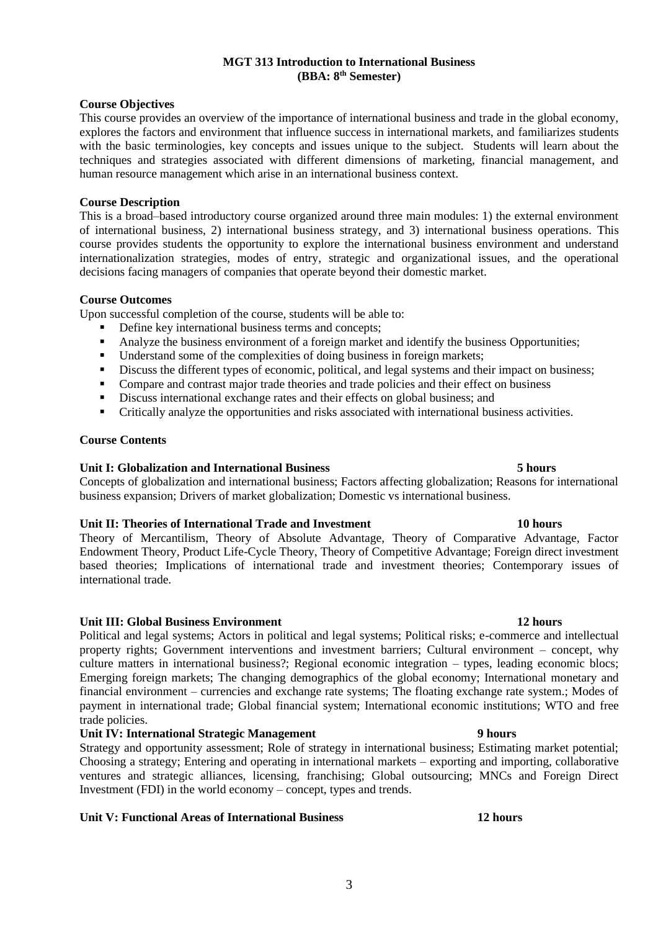# **MGT 313 Introduction to International Business (BBA: 8th Semester)**

# **Course Objectives**

This course provides an overview of the importance of international business and trade in the global economy, explores the factors and environment that influence success in international markets, and familiarizes students with the basic terminologies, key concepts and issues unique to the subject. Students will learn about the techniques and strategies associated with different dimensions of marketing, financial management, and human resource management which arise in an international business context.

### **Course Description**

This is a broad–based introductory course organized around three main modules: 1) the external environment of international business, 2) international business strategy, and 3) international business operations. This course provides students the opportunity to explore the international business environment and understand internationalization strategies, modes of entry, strategic and organizational issues, and the operational decisions facing managers of companies that operate beyond their domestic market.

#### **Course Outcomes**

Upon successful completion of the course, students will be able to:

- Define key international business terms and concepts;
- Analyze the business environment of a foreign market and identify the business Opportunities;
- **•** Understand some of the complexities of doing business in foreign markets;
- **•** Discuss the different types of economic, political, and legal systems and their impact on business;
- Compare and contrast major trade theories and trade policies and their effect on business
- Discuss international exchange rates and their effects on global business; and
- Critically analyze the opportunities and risks associated with international business activities.

### **Course Contents**

### **Unit I: Globalization and International Business 5 hours**

Concepts of globalization and international business; Factors affecting globalization; Reasons for international business expansion; Drivers of market globalization; Domestic vs international business.

### **Unit II: Theories of International Trade and Investment 10 hours**

Theory of Mercantilism, Theory of Absolute Advantage, Theory of Comparative Advantage, Factor Endowment Theory, Product Life-Cycle Theory, Theory of Competitive Advantage; Foreign direct investment based theories; Implications of international trade and investment theories; Contemporary issues of international trade.

### **Unit III: Global Business Environment 12 hours**

Political and legal systems; Actors in political and legal systems; Political risks; e-commerce and intellectual property rights; Government interventions and investment barriers; Cultural environment – concept, why culture matters in international business?; Regional economic integration – types, leading economic blocs; Emerging foreign markets; The changing demographics of the global economy; International monetary and financial environment – currencies and exchange rate systems; The floating exchange rate system.; Modes of payment in international trade; Global financial system; International economic institutions; WTO and free trade policies.

#### **Unit IV: International Strategic Management 9 hours**

Strategy and opportunity assessment; Role of strategy in international business; Estimating market potential; Choosing a strategy; Entering and operating in international markets – exporting and importing, collaborative ventures and strategic alliances, licensing, franchising; Global outsourcing; MNCs and Foreign Direct Investment (FDI) in the world economy – concept, types and trends.

# **Unit V: Functional Areas of International Business 12 hours**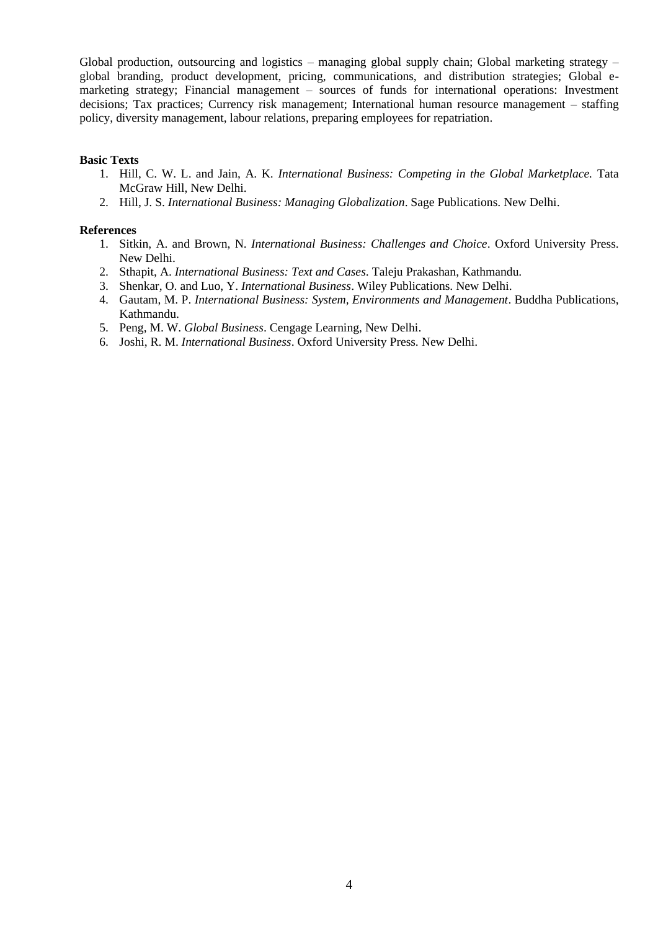Global production, outsourcing and logistics – managing global supply chain; Global marketing strategy – global branding, product development, pricing, communications, and distribution strategies; Global emarketing strategy; Financial management – sources of funds for international operations: Investment decisions; Tax practices; Currency risk management; International human resource management – staffing policy, diversity management, labour relations, preparing employees for repatriation.

#### **Basic Texts**

- 1. Hill, C. W. L. and Jain, A. K. *International Business: Competing in the Global Marketplace.* Tata McGraw Hill, New Delhi.
- 2. Hill, J. S. *International Business: Managing Globalization*. Sage Publications. New Delhi.

- 1. Sitkin, A. and Brown, N. *International Business: Challenges and Choice*. Oxford University Press. New Delhi.
- 2. Sthapit, A. *International Business: Text and Cases*. Taleju Prakashan, Kathmandu.
- 3. Shenkar, O. and Luo, Y. *International Business*. Wiley Publications. New Delhi.
- 4. Gautam, M. P. *International Business: System, Environments and Management*. Buddha Publications, Kathmandu.
- 5. Peng, M. W. *Global Business*. Cengage Learning, New Delhi.
- 6. Joshi, R. M. *International Business*. Oxford University Press. New Delhi.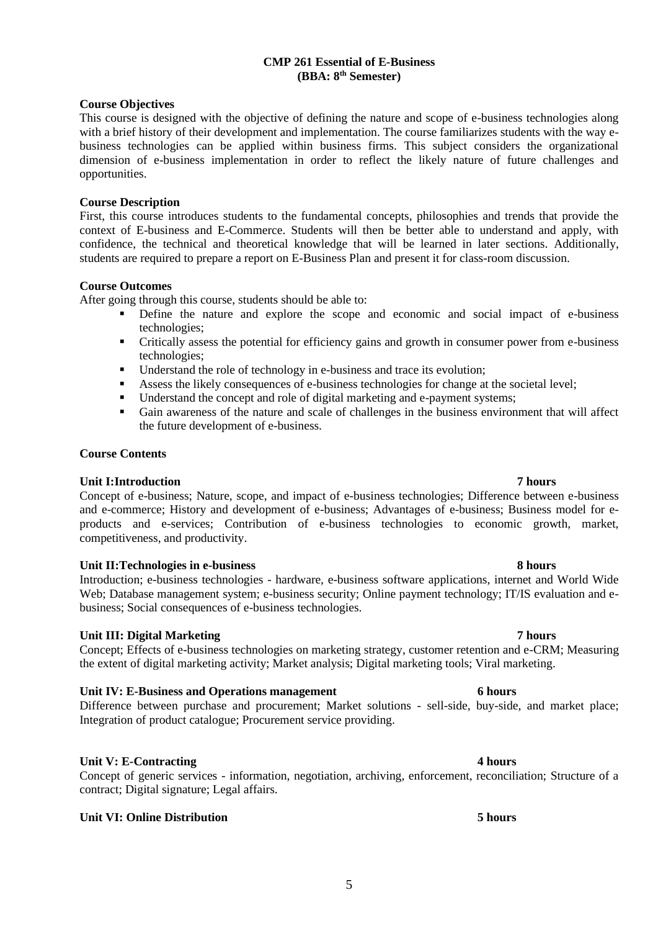#### **CMP 261 Essential of E-Business (BBA: 8th Semester)**

### **Course Objectives**

This course is designed with the objective of defining the nature and scope of e-business technologies along with a brief history of their development and implementation. The course familiarizes students with the way ebusiness technologies can be applied within business firms. This subject considers the organizational dimension of e-business implementation in order to reflect the likely nature of future challenges and opportunities.

### **Course Description**

First, this course introduces students to the fundamental concepts, philosophies and trends that provide the context of E-business and E-Commerce. Students will then be better able to understand and apply, with confidence, the technical and theoretical knowledge that will be learned in later sections. Additionally, students are required to prepare a report on E-Business Plan and present it for class-room discussion.

### **Course Outcomes**

After going through this course, students should be able to:

- Define the nature and explore the scope and economic and social impact of e-business technologies;
- Critically assess the potential for efficiency gains and growth in consumer power from e-business technologies;
- Understand the role of technology in e-business and trace its evolution;
- Assess the likely consequences of e-business technologies for change at the societal level;
- Understand the concept and role of digital marketing and e-payment systems;
- Gain awareness of the nature and scale of challenges in the business environment that will affect the future development of e-business.

### **Course Contents**

### **Unit I:Introduction 7 hours**

Concept of e-business; Nature, scope, and impact of e-business technologies; Difference between e-business and e-commerce; History and development of e-business; Advantages of e-business; Business model for eproducts and e-services; Contribution of e-business technologies to economic growth, market, competitiveness, and productivity.

### **Unit II:Technologies in e-business 8 hours**

Introduction; e-business technologies - hardware, e-business software applications, internet and World Wide Web; Database management system; e-business security; Online payment technology; IT/IS evaluation and ebusiness; Social consequences of e-business technologies.

# **Unit III: Digital Marketing 7 hours**

Concept; Effects of e-business technologies on marketing strategy, customer retention and e-CRM; Measuring the extent of digital marketing activity; Market analysis; Digital marketing tools; Viral marketing.

# **Unit IV: E-Business and Operations management 6 hours**

Difference between purchase and procurement; Market solutions - sell-side, buy-side, and market place; Integration of product catalogue; Procurement service providing.

# **Unit V: E-Contracting 4 hours**

Concept of generic services - information, negotiation, archiving, enforcement, reconciliation; Structure of a contract; Digital signature; Legal affairs.

# **Unit VI: Online Distribution 5 hours**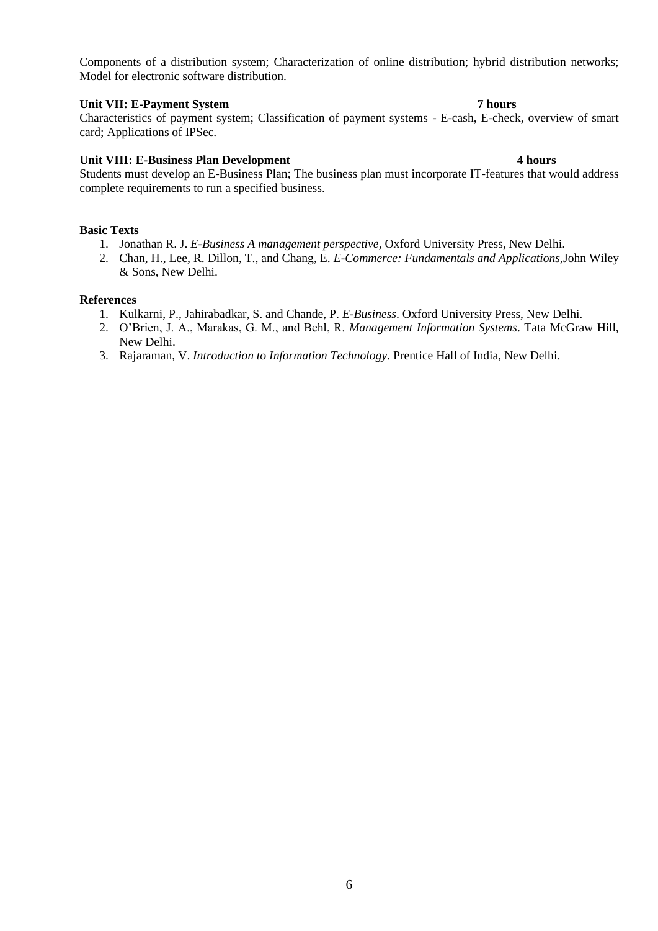Components of a distribution system; Characterization of online distribution; hybrid distribution networks; Model for electronic software distribution.

# **Unit VII: E-Payment System 7 hours**

Characteristics of payment system; Classification of payment systems - E-cash, E-check, overview of smart card; Applications of IPSec.

### **Unit VIII: E-Business Plan Development 4 hours**

Students must develop an E-Business Plan; The business plan must incorporate IT-features that would address complete requirements to run a specified business.

### **Basic Texts**

- 1. Jonathan R. J. *E-Business A management perspective,* Oxford University Press, New Delhi.
- 2. Chan, H., Lee, R. Dillon, T., and Chang, E. *E-Commerce: Fundamentals and Applications,*John Wiley & Sons, New Delhi.

- 1. Kulkarni, P., Jahirabadkar, S. and Chande, P. *E-Business*. Oxford University Press, New Delhi.
- 2. O'Brien, J. A., Marakas, G. M., and Behl, R. *Management Information Systems*. Tata McGraw Hill, New Delhi.
- 3. Rajaraman, V. *Introduction to Information Technology*. Prentice Hall of India, New Delhi.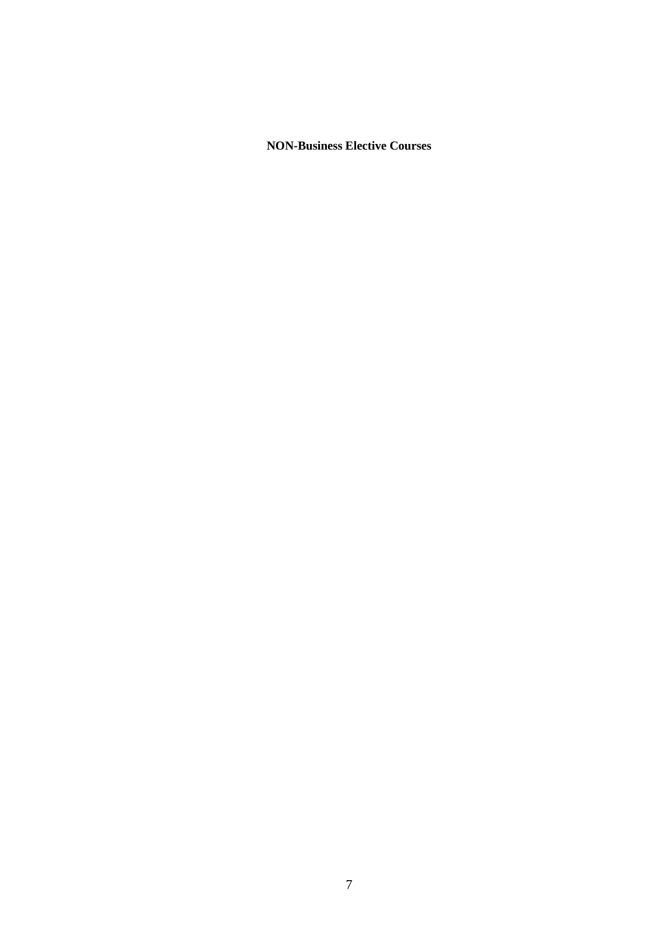**NON-Business Elective Courses**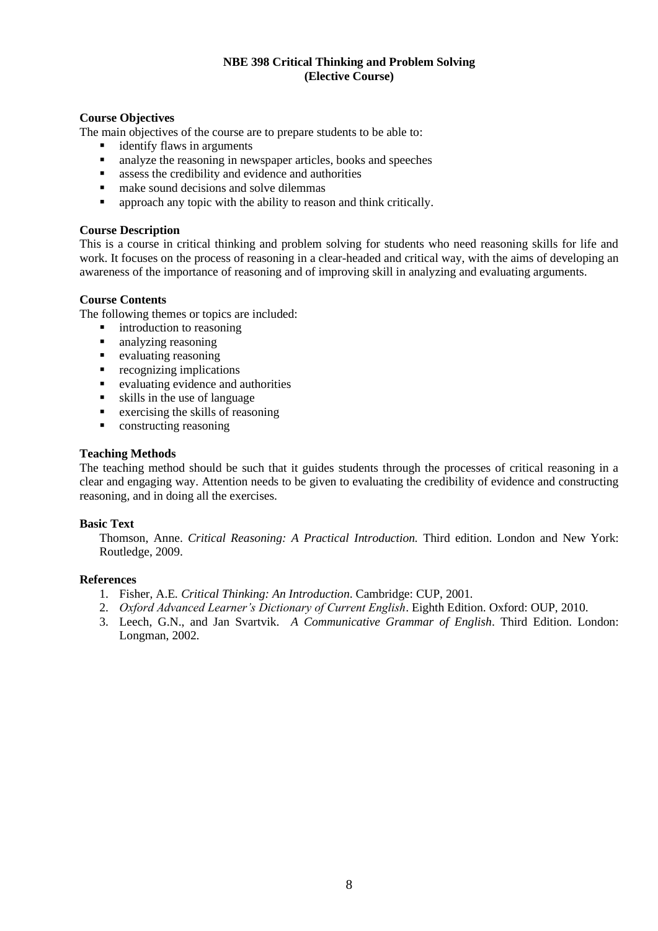# **NBE 398 Critical Thinking and Problem Solving (Elective Course)**

### **Course Objectives**

The main objectives of the course are to prepare students to be able to:

- identify flaws in arguments
- analyze the reasoning in newspaper articles, books and speeches
- assess the credibility and evidence and authorities
- make sound decisions and solve dilemmas
- **•** approach any topic with the ability to reason and think critically.

### **Course Description**

This is a course in critical thinking and problem solving for students who need reasoning skills for life and work. It focuses on the process of reasoning in a clear-headed and critical way, with the aims of developing an awareness of the importance of reasoning and of improving skill in analyzing and evaluating arguments.

### **Course Contents**

The following themes or topics are included:

- introduction to reasoning
- analyzing reasoning
- evaluating reasoning
- recognizing implications
- evaluating evidence and authorities
- skills in the use of language
- $\blacksquare$  exercising the skills of reasoning
- constructing reasoning

### **Teaching Methods**

The teaching method should be such that it guides students through the processes of critical reasoning in a clear and engaging way. Attention needs to be given to evaluating the credibility of evidence and constructing reasoning, and in doing all the exercises.

### **Basic Text**

Thomson, Anne. *Critical Reasoning: A Practical Introduction.* Third edition. London and New York: Routledge, 2009.

- 1. Fisher, A.E*. Critical Thinking: An Introduction*. Cambridge: CUP, 2001*.*
- 2. *Oxford Advanced Learner's Dictionary of Current English*. Eighth Edition. Oxford: OUP, 2010.
- 3. Leech, G.N., and Jan Svartvik. *A Communicative Grammar of English*. Third Edition. London: Longman, 2002.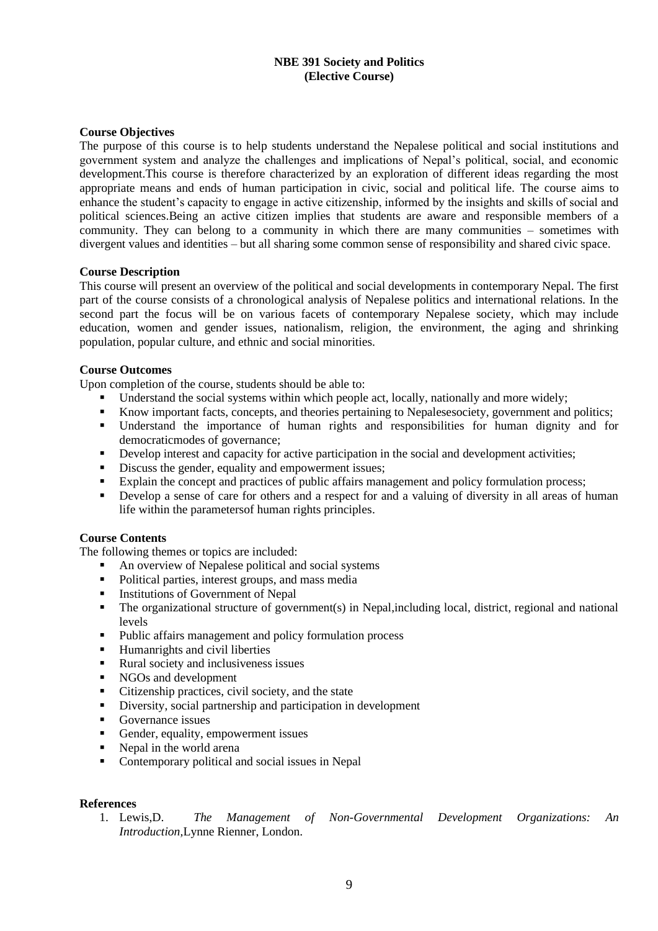# **NBE 391 Society and Politics (Elective Course)**

### **Course Objectives**

The purpose of this course is to help students understand the Nepalese political and social institutions and government system and analyze the challenges and implications of Nepal's political, social, and economic development.This course is therefore characterized by an exploration of different ideas regarding the most appropriate means and ends of human participation in civic, social and political life. The course aims to enhance the student's capacity to engage in active citizenship, informed by the insights and skills of social and political sciences.Being an active citizen implies that students are aware and responsible members of a community. They can belong to a community in which there are many communities – sometimes with divergent values and identities – but all sharing some common sense of responsibility and shared civic space.

### **Course Description**

This course will present an overview of the political and social developments in contemporary Nepal. The first part of the course consists of a chronological analysis of Nepalese politics and international relations. In the second part the focus will be on various facets of contemporary Nepalese society, which may include education, women and gender issues, nationalism, religion, the environment, the aging and shrinking population, popular culture, and ethnic and social minorities.

### **Course Outcomes**

Upon completion of the course, students should be able to:

- Understand the social systems within which people act, locally, nationally and more widely;
- Know important facts, concepts, and theories pertaining to Nepalesesociety, government and politics;
- Understand the importance of human rights and responsibilities for human dignity and for democraticmodes of governance;
- Develop interest and capacity for active participation in the social and development activities;<br>■ Discuss the gender equality and empowerment issues:
- Discuss the gender, equality and empowerment issues;
- Explain the concept and practices of public affairs management and policy formulation process;
- Develop a sense of care for others and a respect for and a valuing of diversity in all areas of human life within the parametersof human rights principles.

### **Course Contents**

The following themes or topics are included:

- An overview of Nepalese political and social systems<br>■ Political parties interest groups, and mass media
- Political parties, interest groups, and mass media
- **■** Institutions of Government of Nepal
- The organizational structure of government(s) in Nepal,including local, district, regional and national levels
- Public affairs management and policy formulation process
- Humanrights and civil liberties
- Rural society and inclusiveness issues
- NGOs and development
- Citizenship practices, civil society, and the state
- Diversity, social partnership and participation in development
- Governance issues
- Gender, equality, empowerment issues
- Nepal in the world arena
- Contemporary political and social issues in Nepal

### **References**

1. Lewis,D. *The Management of Non-Governmental Development Organizations: An Introduction,*Lynne Rienner, London.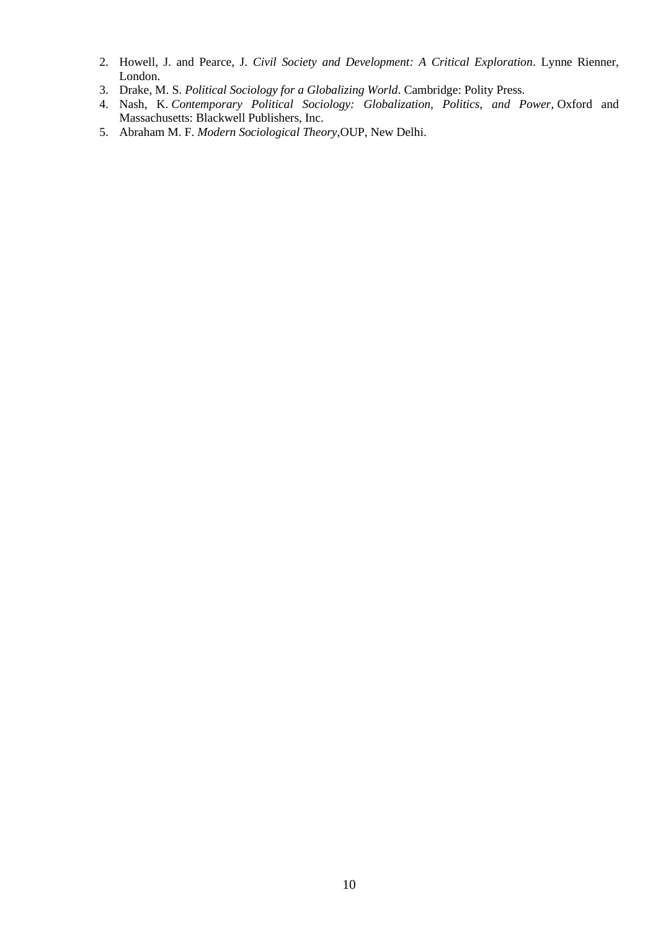- 2. Howell, J. and Pearce, J. *Civil Society and Development: A Critical Exploration*. Lynne Rienner, London.
- 3. Drake, M. S. *Political Sociology for a Globalizing World*. Cambridge: Polity Press.
- 4. Nash, K. *Contemporary Political Sociology: Globalization, Politics, and Power*, Oxford and Massachusetts: Blackwell Publishers, Inc.
- 5. Abraham M. F. *Modern Sociological Theory,*OUP, New Delhi.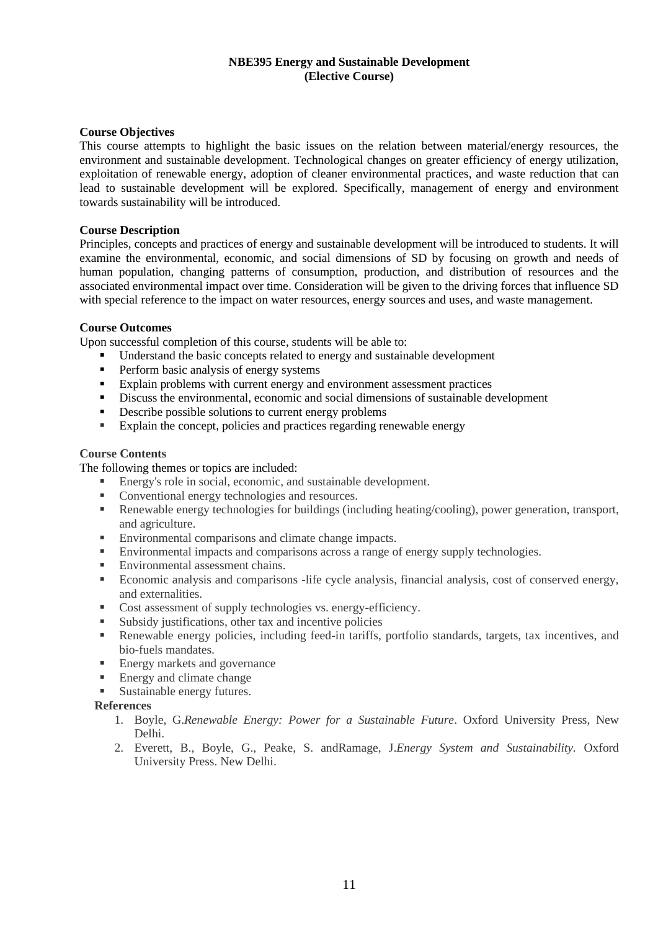### **NBE395 Energy and Sustainable Development (Elective Course)**

### **Course Objectives**

This course attempts to highlight the basic issues on the relation between material/energy resources, the environment and sustainable development. Technological changes on greater efficiency of energy utilization, exploitation of renewable energy, adoption of cleaner environmental practices, and waste reduction that can lead to sustainable development will be explored. Specifically, management of energy and environment towards sustainability will be introduced.

### **Course Description**

Principles, concepts and practices of energy and sustainable development will be introduced to students. It will examine the environmental, economic, and social dimensions of SD by focusing on growth and needs of human population, changing patterns of consumption, production, and distribution of resources and the associated environmental impact over time. Consideration will be given to the driving forces that influence SD with special reference to the impact on water resources, energy sources and uses, and waste management.

### **Course Outcomes**

Upon successful completion of this course, students will be able to:

- Understand the basic concepts related to energy and sustainable development
- Perform basic analysis of energy systems
- Explain problems with current energy and environment assessment practices
- Discuss the environmental, economic and social dimensions of sustainable development
- Describe possible solutions to current energy problems
- Explain the concept, policies and practices regarding renewable energy

### **Course Contents**

The following themes or topics are included:

- Energy's role in social, economic, and sustainable development.
- Conventional energy technologies and resources.
- Renewable energy technologies for buildings (including heating/cooling), power generation, transport, and agriculture.
- Environmental comparisons and climate change impacts.<br>■ Environmental impacts and comparisons across a range of
- Environmental impacts and comparisons across a range of energy supply technologies.
- **Environmental assessment chains.**
- Economic analysis and comparisons -life cycle analysis, financial analysis, cost of conserved energy, and externalities.
- Cost assessment of supply technologies vs. energy-efficiency.
- Subsidy justifications, other tax and incentive policies
- Renewable energy policies, including feed-in tariffs, portfolio standards, targets, tax incentives, and bio-fuels mandates.
- Energy markets and governance
- **Energy and climate change**
- **Exercise Sustainable energy futures.**

- 1. Boyle, G.*Renewable Energy: Power for a Sustainable Future*. Oxford University Press, New Delhi.
- 2. Everett, B., Boyle, G., Peake, S. andRamage, J.*Energy System and Sustainability.* Oxford University Press. New Delhi.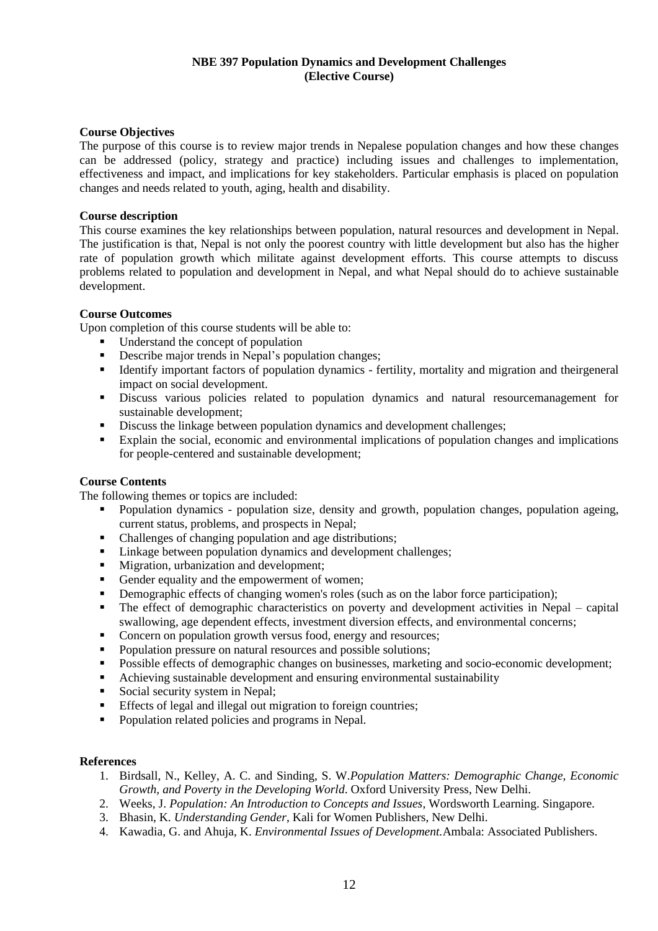### **NBE 397 Population Dynamics and Development Challenges (Elective Course)**

### **Course Objectives**

The purpose of this course is to review major trends in Nepalese population changes and how these changes can be addressed (policy, strategy and practice) including issues and challenges to implementation, effectiveness and impact, and implications for key stakeholders. Particular emphasis is placed on population changes and needs related to youth, aging, health and disability.

### **Course description**

This course examines the key relationships between population, natural resources and development in Nepal. The justification is that, Nepal is not only the poorest country with little development but also has the higher rate of population growth which militate against development efforts. This course attempts to discuss problems related to population and development in Nepal, and what Nepal should do to achieve sustainable development.

### **Course Outcomes**

Upon completion of this course students will be able to:

- Understand the concept of population<br>■ Describe maior trends in Nepal's population
- Describe major trends in Nepal's population changes;
- Identify important factors of population dynamics fertility, mortality and migration and theirgeneral impact on social development.
- Discuss various policies related to population dynamics and natural resourcemanagement for sustainable development;
- Discuss the linkage between population dynamics and development challenges;
- Explain the social, economic and environmental implications of population changes and implications for people-centered and sustainable development;

# **Course Contents**

The following themes or topics are included:

- Population dynamics population size, density and growth, population changes, population ageing, current status, problems, and prospects in Nepal;
- Challenges of changing population and age distributions;<br>■ Linkage between population dynamics and development of
- Linkage between population dynamics and development challenges:
- Migration, urbanization and development;
- Gender equality and the empowerment of women;
- **•** Demographic effects of changing women's roles (such as on the labor force participation);
- The effect of demographic characteristics on poverty and development activities in Nepal capital swallowing, age dependent effects, investment diversion effects, and environmental concerns;
- Concern on population growth versus food, energy and resources;
- Population pressure on natural resources and possible solutions:
- Possible effects of demographic changes on businesses, marketing and socio-economic development;
- Achieving sustainable development and ensuring environmental sustainability
- Social security system in Nepal;
- **Effects of legal and illegal out migration to foreign countries;**
- Population related policies and programs in Nepal.

- 1. Birdsall, N., Kelley, A. C. and Sinding, S. W.*Population Matters: Demographic Change, Economic Growth, and Poverty in the Developing World*. Oxford University Press, New Delhi.
- 2. Weeks, J. *Population: An Introduction to Concepts and Issues*, Wordsworth Learning. Singapore.
- 3. Bhasin, K. *Understanding Gender*, Kali for Women Publishers, New Delhi.
- 4. Kawadia, G. and Ahuja, K. *Environmental Issues of Development.*Ambala: Associated Publishers.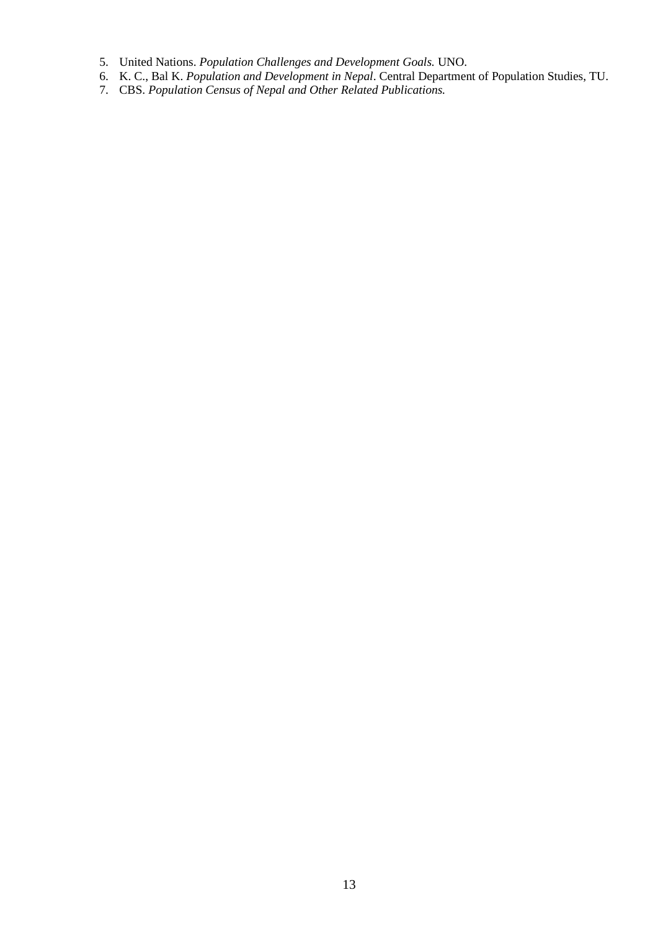- 5. United Nations. *Population Challenges and Development Goals.* UNO.
- 6. K. C., Bal K. *Population and Development in Nepal*. Central Department of Population Studies, TU.
- 7. CBS. *Population Census of Nepal and Other Related Publications.*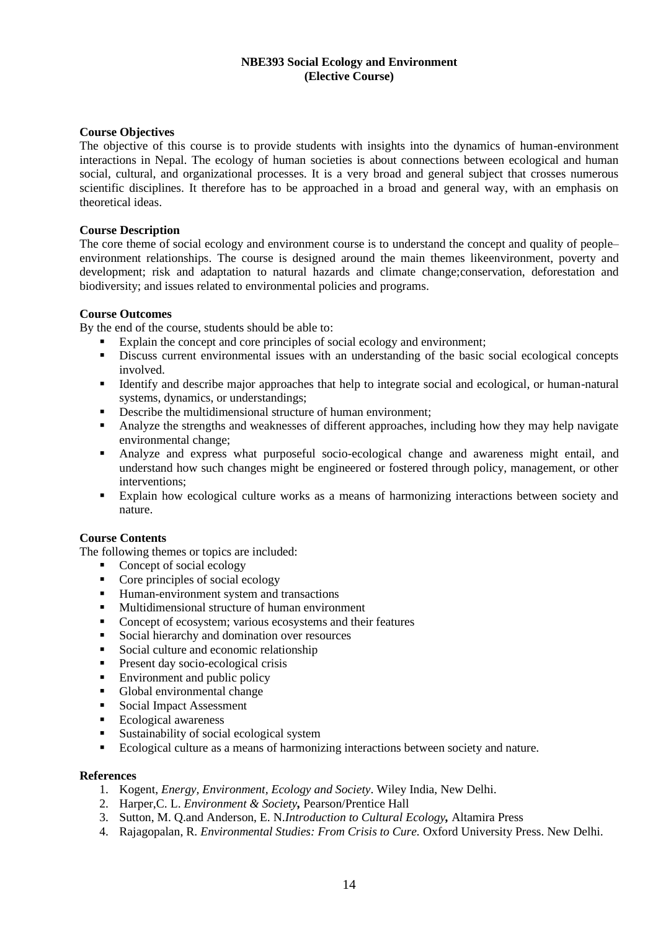# **NBE393 Social Ecology and Environment (Elective Course)**

### **Course Objectives**

The objective of this course is to provide students with insights into the dynamics of human-environment interactions in Nepal. The ecology of human societies is about connections between ecological and human social, cultural, and organizational processes. It is a very broad and general subject that crosses numerous scientific disciplines. It therefore has to be approached in a broad and general way, with an emphasis on theoretical ideas.

### **Course Description**

The core theme of social ecology and environment course is to understand the concept and quality of people– environment relationships. The course is designed around the main themes likeenvironment, poverty and development; risk and adaptation to natural hazards and climate change;conservation, deforestation and biodiversity; and issues related to environmental policies and programs.

### **Course Outcomes**

By the end of the course, students should be able to:

- Explain the concept and core principles of social ecology and environment;
- **EXECUSE CURRENT ENVIRONMENTAL ISSUES With an understanding of the basic social ecological concepts** involved.
- Identify and describe major approaches that help to integrate social and ecological, or human-natural systems, dynamics, or understandings;
- Describe the multidimensional structure of human environment;
- Analyze the strengths and weaknesses of different approaches, including how they may help navigate environmental change;
- Analyze and express what purposeful socio-ecological change and awareness might entail, and understand how such changes might be engineered or fostered through policy, management, or other interventions;
- Explain how ecological culture works as a means of harmonizing interactions between society and nature.

### **Course Contents**

The following themes or topics are included:

- Concept of social ecology
- [Core principles of social ecology](http://www.ecologyandsociety.org/vol18/iss1/art7/#coreprincipl8)
- Human-environment system and transactions
- Multidimensional structure of human environment
- Concept of ecosystem; various ecosystems and their features
- Social hierarchy and domination over resources
- Social culture and economic relationship
- Present day socio-ecological crisis
- Environment and public policy
- Global environmental change
- Social Impact Assessment
- Ecological awareness
- Sustainability of social ecological system
- Ecological culture as a means of harmonizing interactions between society and nature.

- 1. Kogent, *Energy, Environment, Ecology and Society*. Wiley India, New Delhi.
- 2. Harper,C. L. *Environment & Society,* Pearson/Prentice Hall
- 3. Sutton, M. Q.and Anderson, E. N.*Introduction to Cultural Ecology,* Altamira Press
- 4. Rajagopalan, R. *Environmental Studies: From Crisis to Cure.* Oxford University Press. New Delhi.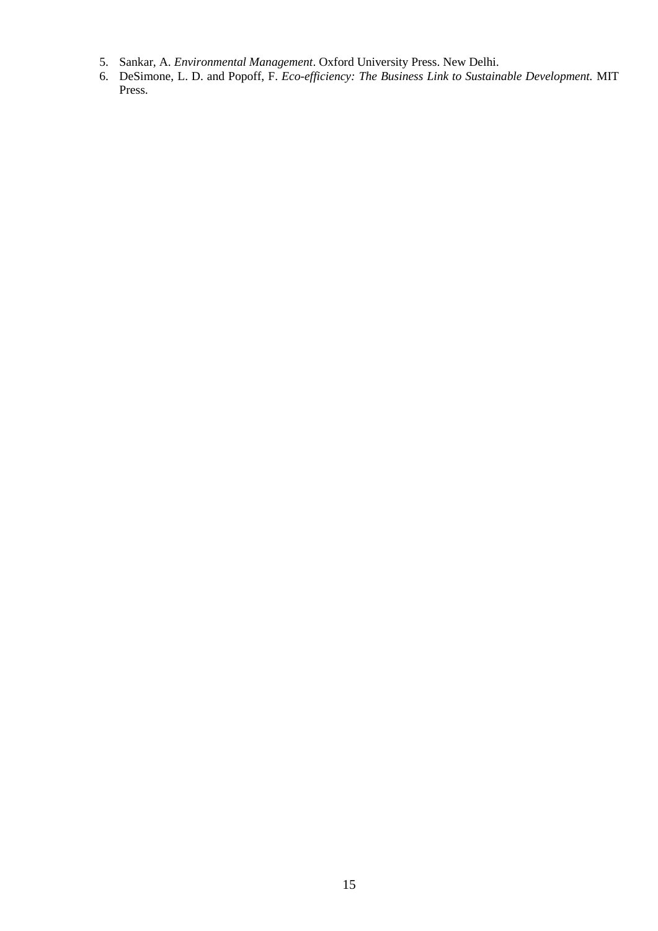- 5. Sankar, A. *Environmental Management*. Oxford University Press. New Delhi.
- 6. DeSimone, L. D. and Popoff, F. *Eco-efficiency: The Business Link to Sustainable Development.* MIT Press.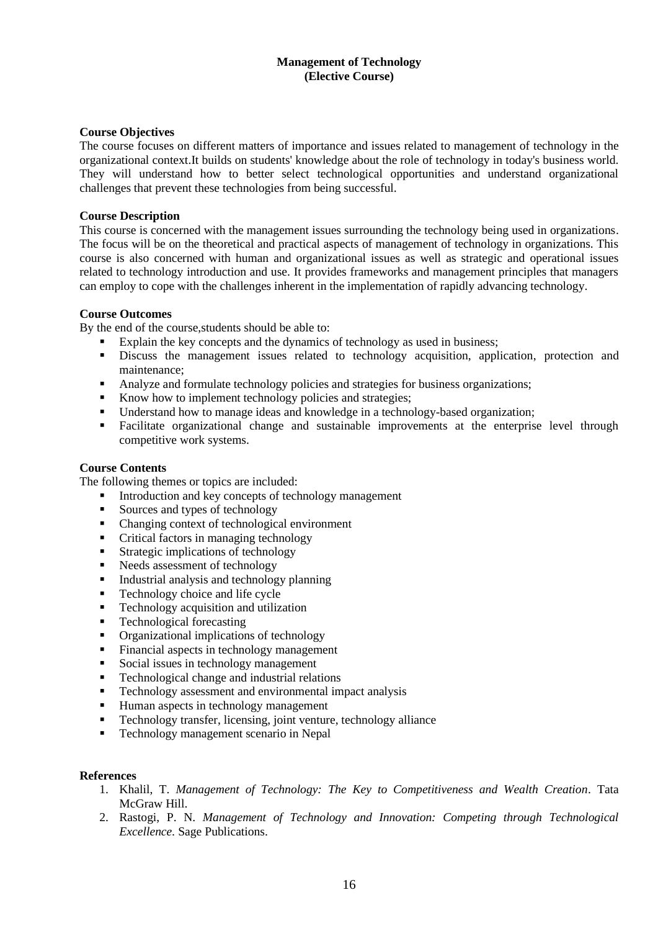### **Management of Technology (Elective Course)**

### **Course Objectives**

The course focuses on different matters of importance and issues related to management of technology in the organizational context.It builds on students' knowledge about the role of technology in today's business world. They will understand how to better select technological opportunities and understand organizational challenges that prevent these technologies from being successful.

#### **Course Description**

This course is concerned with the management issues surrounding the technology being used in organizations. The focus will be on the theoretical and practical aspects of management of technology in organizations. This course is also concerned with human and organizational issues as well as strategic and operational issues related to technology introduction and use. It provides frameworks and management principles that managers can employ to cope with the challenges inherent in the implementation of rapidly advancing technology.

#### **Course Outcomes**

By the end of the course,students should be able to:

- Explain the key concepts and the dynamics of technology as used in business:
- **EXECUTE:** Discuss the management issues related to technology acquisition, application, protection and maintenance;
- Analyze and formulate technology policies and strategies for business organizations;
- Know how to implement technology policies and strategies;
- Understand how to manage ideas and knowledge in a technology-based organization;
- Facilitate organizational change and sustainable improvements at the enterprise level through competitive work systems.

#### **Course Contents**

The following themes or topics are included:

- Introduction and key concepts of technology management
- Sources and types of technology
- Changing context of technological environment
- Critical factors in managing technology
- Strategic implications of technology
- Needs assessment of technology
- Industrial analysis and technology planning
- Technology choice and life cycle
- Technology acquisition and utilization
- **•** Technological forecasting
- Organizational implications of technology
- Financial aspects in technology management
- Social issues in technology management
- Technological change and industrial relations
- Technology assessment and environmental impact analysis
- Human aspects in technology management
- Technology transfer, licensing, joint venture, technology alliance
- Technology management scenario in Nepal

- 1. Khalil, T. *Management of Technology: The Key to Competitiveness and Wealth Creation*. Tata McGraw Hill.
- 2. Rastogi, P. N. *Management of Technology and Innovation: Competing through Technological Excellence.* Sage Publications.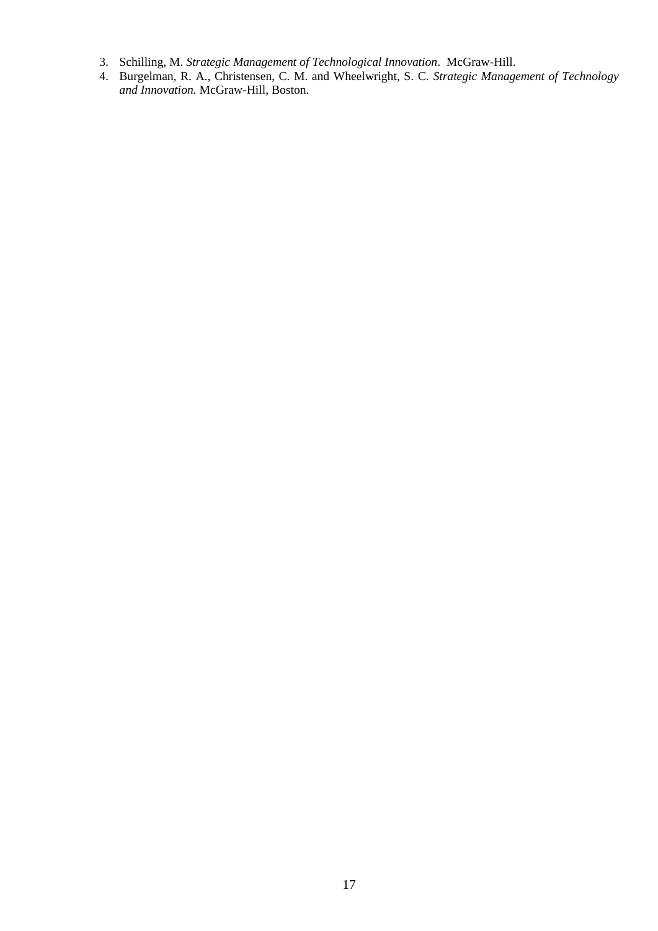- 3. Schilling, M. *Strategic Management of Technological Innovation*. McGraw-Hill.
- 4. Burgelman, R. A., Christensen, C. M. and Wheelwright, S. C. *Strategic Management of Technology and Innovation.* McGraw-Hill, Boston.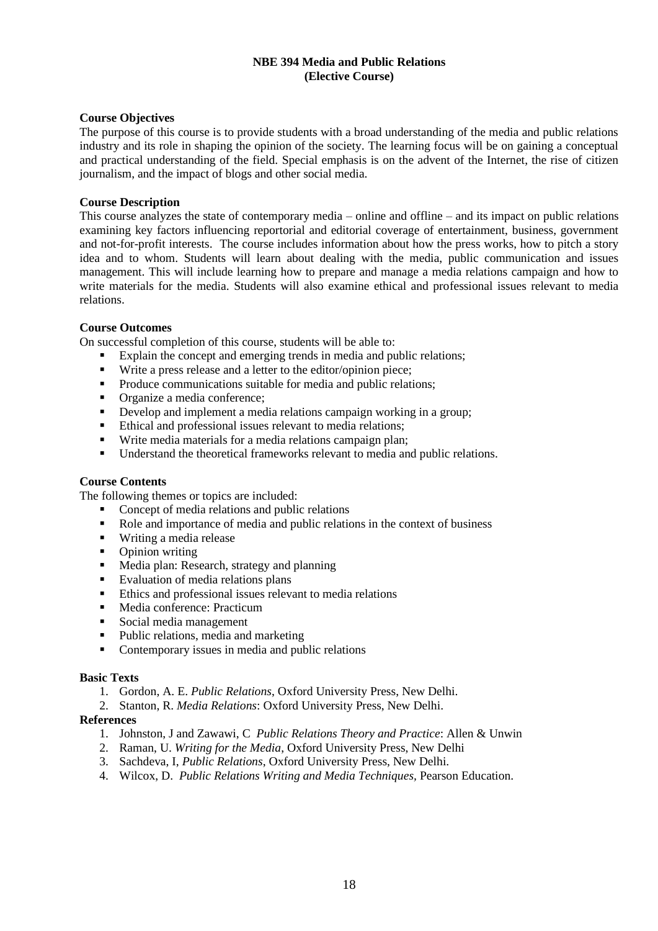### **NBE 394 Media and Public Relations (Elective Course)**

#### **Course Objectives**

The purpose of this course is to provide students with a broad understanding of the media and public relations industry and its role in shaping the opinion of the society. The learning focus will be on gaining a conceptual and practical understanding of the field. Special emphasis is on the advent of the Internet, the rise of citizen journalism, and the impact of blogs and other social media.

#### **Course Description**

This course analyzes the state of contemporary media – online and offline – and its impact on public relations examining key factors influencing reportorial and editorial coverage of entertainment, business, government and not-for-profit interests. The course includes information about how the press works, how to pitch a story idea and to whom. Students will learn about dealing with the media, public communication and issues management. This will include learning how to prepare and manage a media relations campaign and how to write materials for the media. Students will also examine ethical and professional issues relevant to media relations.

### **Course Outcomes**

On successful completion of this course, students will be able to:

- Explain the concept and emerging trends in media and public relations;
- Write a press release and a letter to the editor/opinion piece;
- Produce communications suitable for media and public relations;
- Organize a media conference;
- Develop and implement a media relations campaign working in a group;
- Ethical and professional issues relevant to media relations;
- Write media materials for a media relations campaign plan;
- Understand the theoretical frameworks relevant to media and public relations.

### **Course Contents**

The following themes or topics are included:

- Concept of media relations and public relations
- Role and importance of media and public relations in the context of business
- Writing a media release
- Opinion writing
- Media plan: Research, strategy and planning<br>■ Evaluation of media relations plans
- Evaluation of media relations plans
- Ethics and professional issues relevant to media relations
- Media conference: Practicum
- Social media management
- Public relations, media and marketing
- Contemporary issues in media and public relations

#### **Basic Texts**

- 1. Gordon, A. E. *Public Relations*, Oxford University Press, New Delhi.
- 2. Stanton, R. *Media Relations*: Oxford University Press, New Delhi.

- 1. Johnston, J and Zawawi, C *Public Relations Theory and Practice*: Allen & Unwin
- 2. Raman, U. *Writing for the Media*, Oxford University Press, New Delhi
- 3. Sachdeva, I, *Public Relations*, Oxford University Press, New Delhi.
- 4. Wilcox, D. *Public Relations Writing and Media Techniques,* Pearson Education.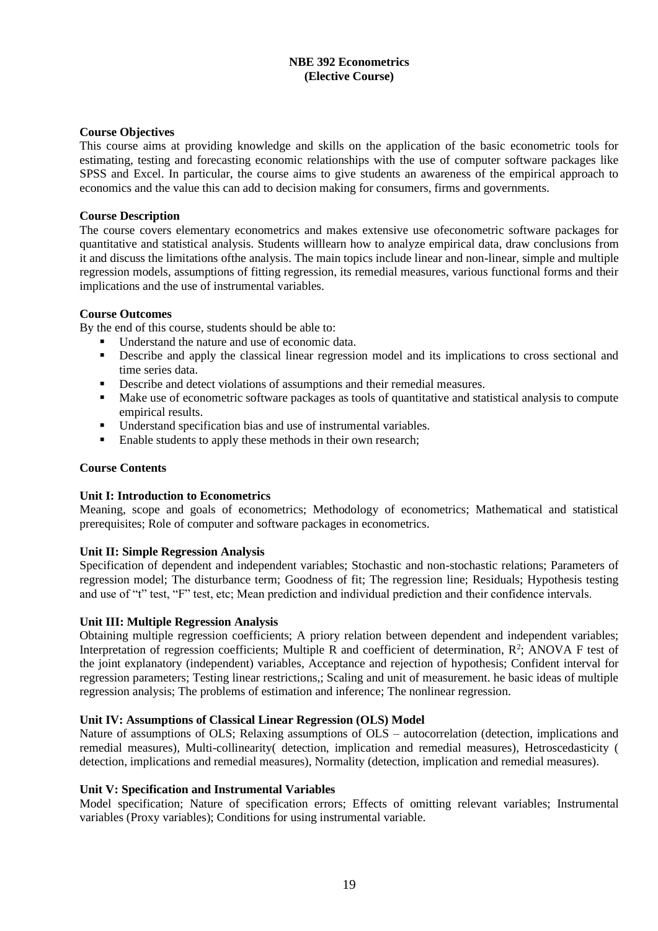### **NBE 392 Econometrics (Elective Course)**

### **Course Objectives**

This course aims at providing knowledge and skills on the application of the basic econometric tools for estimating, testing and forecasting economic relationships with the use of computer software packages like SPSS and Excel. In particular, the course aims to give students an awareness of the empirical approach to economics and the value this can add to decision making for consumers, firms and governments.

#### **Course Description**

The course covers elementary econometrics and makes extensive use ofeconometric software packages for quantitative and statistical analysis. Students willlearn how to analyze empirical data, draw conclusions from it and discuss the limitations ofthe analysis. The main topics include linear and non-linear, simple and multiple regression models, assumptions of fitting regression, its remedial measures, various functional forms and their implications and the use of instrumental variables.

#### **Course Outcomes**

By the end of this course, students should be able to:

- Understand the nature and use of economic data.
- **•** Describe and apply the classical linear regression model and its implications to cross sectional and time series data.
- **•** Describe and detect violations of assumptions and their remedial measures.
- Make use of econometric software packages as tools of quantitative and statistical analysis to compute empirical results.
- Understand specification bias and use of instrumental variables.
- Enable students to apply these methods in their own research;

#### **Course Contents**

#### **Unit I: Introduction to Econometrics**

Meaning, scope and goals of econometrics; Methodology of econometrics; Mathematical and statistical prerequisites; Role of computer and software packages in econometrics.

#### **Unit II: Simple Regression Analysis**

Specification of dependent and independent variables; Stochastic and non-stochastic relations; Parameters of regression model; The disturbance term; Goodness of fit; The regression line; Residuals; Hypothesis testing and use of "t" test, "F" test, etc; Mean prediction and individual prediction and their confidence intervals.

### **Unit III: Multiple Regression Analysis**

Obtaining multiple regression coefficients; A priory relation between dependent and independent variables; Interpretation of regression coefficients; Multiple R and coefficient of determination,  $R^2$ ; ANOVA F test of the joint explanatory (independent) variables, Acceptance and rejection of hypothesis; Confident interval for regression parameters; Testing linear restrictions,; Scaling and unit of measurement. he basic ideas of multiple regression analysis; The problems of estimation and inference; The nonlinear regression.

### **Unit IV: Assumptions of Classical Linear Regression (OLS) Model**

Nature of assumptions of OLS; Relaxing assumptions of OLS – autocorrelation (detection, implications and remedial measures), Multi-collinearity( detection, implication and remedial measures), Hetroscedasticity ( detection, implications and remedial measures), Normality (detection, implication and remedial measures).

#### **Unit V: Specification and Instrumental Variables**

Model specification; Nature of specification errors; Effects of omitting relevant variables; Instrumental variables (Proxy variables); Conditions for using instrumental variable.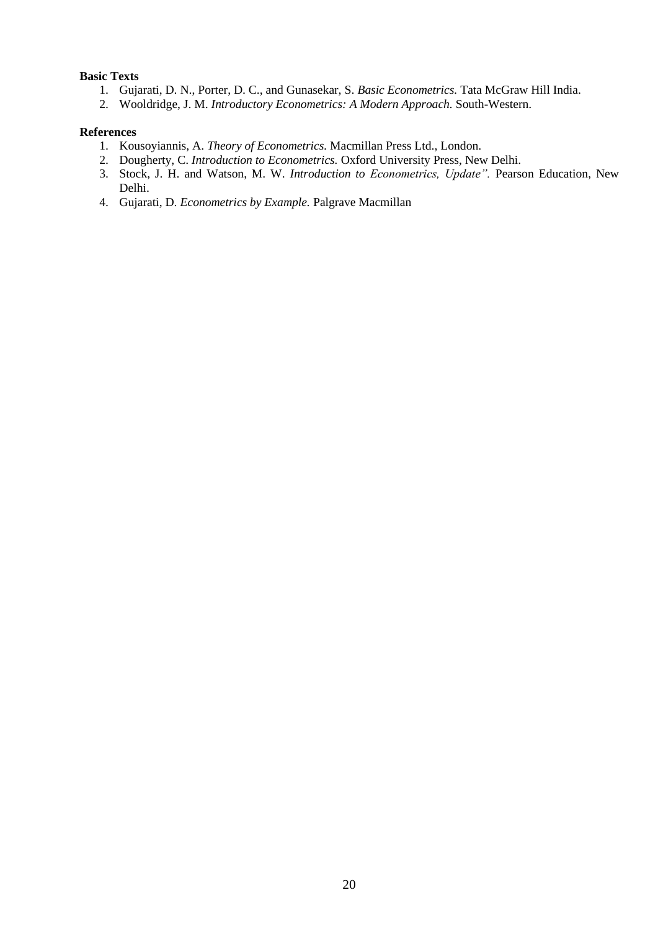### **Basic Texts**

- 1. Gujarati, D. N., Porter, D. C., and Gunasekar, S. *Basic Econometrics.* Tata McGraw Hill India.
- 2. Wooldridge, J. M. *Introductory Econometrics: A Modern Approach.* South-Western.

- 1. Kousoyiannis, A. *Theory of Econometrics.* Macmillan Press Ltd., London.
- 2. Dougherty, C. *Introduction to Econometrics.* Oxford University Press, New Delhi.
- 3. Stock, J. H. and Watson, M. W. *Introduction to Econometrics, Update".* Pearson Education, New Delhi.
- 4. Gujarati, D. *Econometrics by Example.* Palgrave Macmillan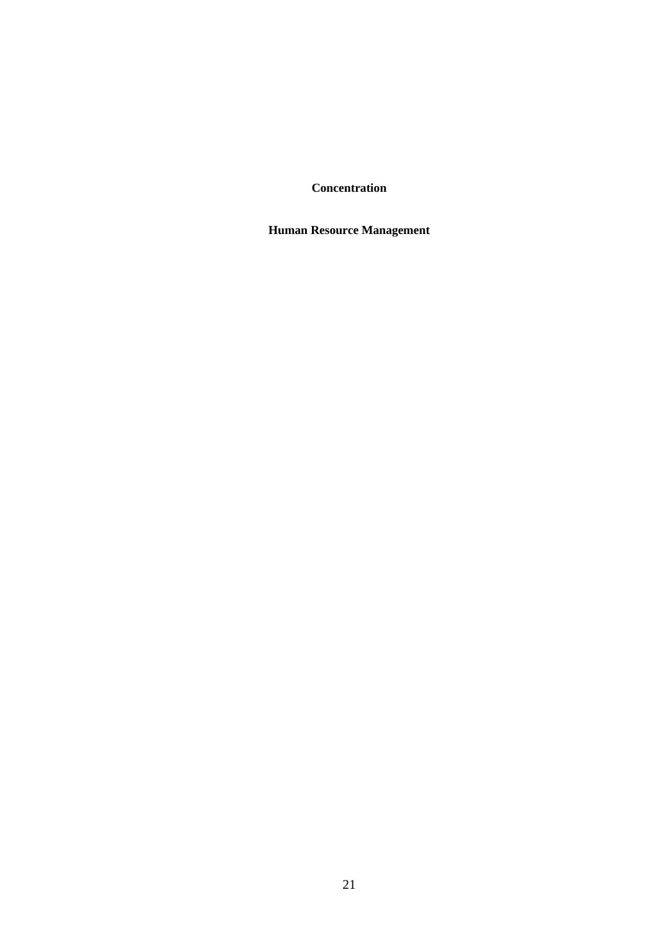**Concentration**

**Human Resource Management**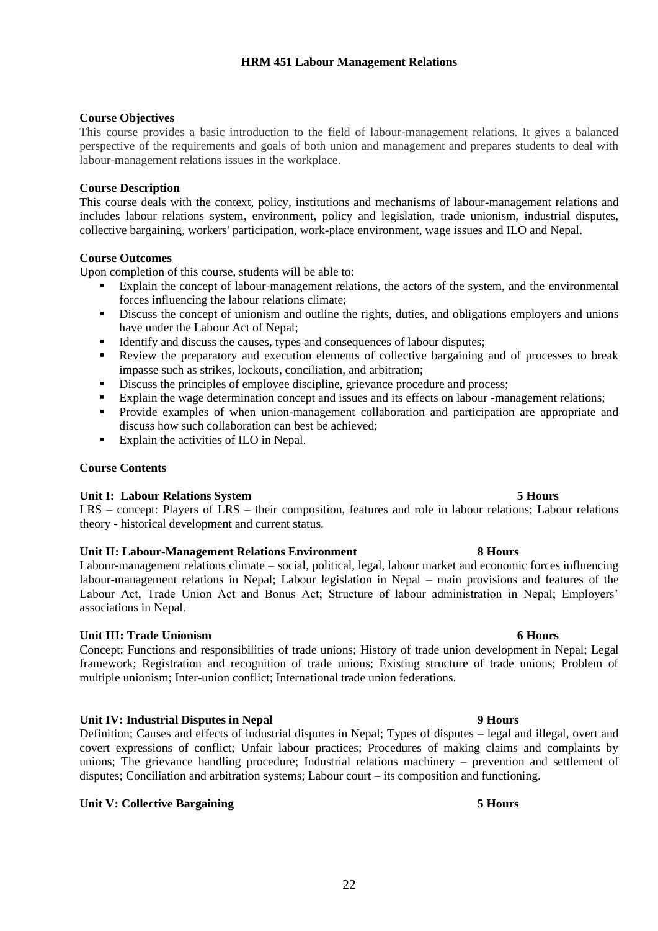# **HRM 451 Labour Management Relations**

# **Course Objectives**

This course provides a basic introduction to the field of labour-management relations. It gives a balanced perspective of the requirements and goals of both union and management and prepares students to deal with labour-management relations issues in the workplace.

### **Course Description**

This course deals with the context, policy, institutions and mechanisms of labour-management relations and includes labour relations system, environment, policy and legislation, trade unionism, industrial disputes, collective bargaining, workers' participation, work-place environment, wage issues and ILO and Nepal.

### **Course Outcomes**

Upon completion of this course, students will be able to:

- Explain the concept of labour-management relations, the actors of the system, and the environmental forces influencing the labour relations climate;
- Discuss the concept of unionism and outline the rights, duties, and obligations employers and unions have under the Labour Act of Nepal;
- Identify and discuss the causes, types and consequences of labour disputes;<br>■ Review the prenaratory and execution elements of collective bargaining
- Review the preparatory and execution elements of collective bargaining and of processes to break impasse such as strikes, lockouts, conciliation, and arbitration;
- **EXECUTE:** Discuss the principles of employee discipline, grievance procedure and process;
	- Explain the wage determination concept and issues and its effects on labour -management relations;
- Provide examples of when union-management collaboration and participation are appropriate and discuss how such collaboration can best be achieved;
- Explain the activities of ILO in Nepal.

### **Course Contents**

### **Unit I: Labour Relations System 5 Hours**

LRS – concept: Players of LRS – their composition, features and role in labour relations; Labour relations theory - historical development and current status.

# **Unit II: Labour-Management Relations Environment 8 Hours**

Labour-management relations climate – social, political, legal, labour market and economic forces influencing labour-management relations in Nepal; Labour legislation in Nepal – main provisions and features of the Labour Act, Trade Union Act and Bonus Act; Structure of labour administration in Nepal; Employers' associations in Nepal.

# **Unit III: Trade Unionism 6 Hours**

Concept; Functions and responsibilities of trade unions; History of trade union development in Nepal; Legal framework; Registration and recognition of trade unions; Existing structure of trade unions; Problem of multiple unionism; Inter-union conflict; International trade union federations.

# **Unit IV: Industrial Disputes in Nepal 9 Hours**

Definition; Causes and effects of industrial disputes in Nepal; Types of disputes – legal and illegal, overt and covert expressions of conflict; Unfair labour practices; Procedures of making claims and complaints by unions; The grievance handling procedure; Industrial relations machinery – prevention and settlement of disputes; Conciliation and arbitration systems; Labour court – its composition and functioning.

# **Unit V: Collective Bargaining 5 Hours**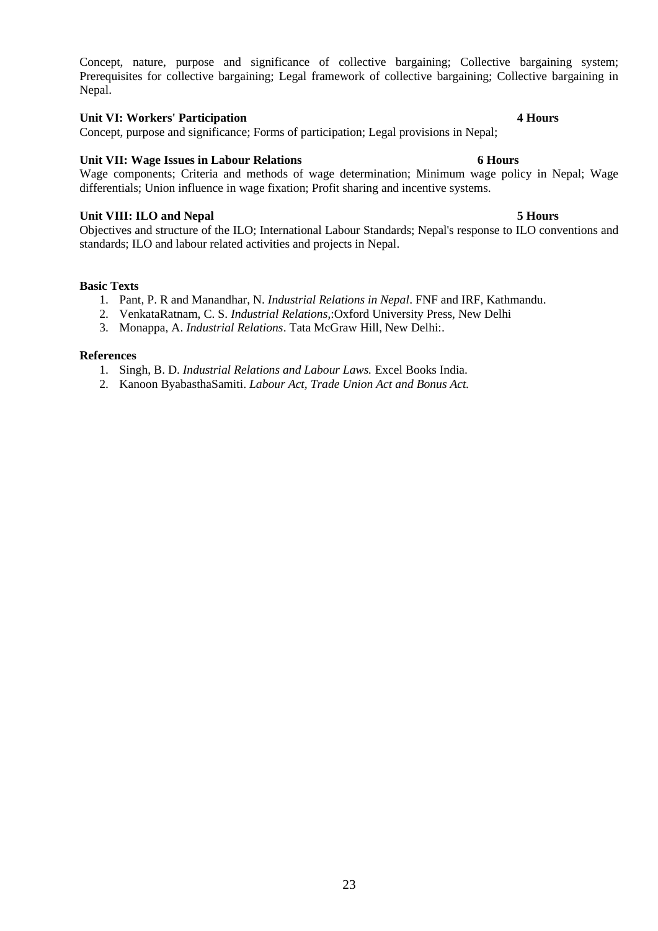Concept, nature, purpose and significance of collective bargaining; Collective bargaining system; Prerequisites for collective bargaining; Legal framework of collective bargaining; Collective bargaining in Nepal.

### **Unit VI: Workers' Participation 4 Hours**

Concept, purpose and significance; Forms of participation; Legal provisions in Nepal;

# **Unit VII: Wage Issues in Labour Relations 6 Hours**

Wage components; Criteria and methods of wage determination; Minimum wage policy in Nepal; Wage differentials; Union influence in wage fixation; Profit sharing and incentive systems.

# **Unit VIII: ILO and Nepal 5 Hours**

Objectives and structure of the ILO; International Labour Standards; Nepal's response to ILO conventions and standards; ILO and labour related activities and projects in Nepal.

#### **Basic Texts**

- 1. Pant, P. R and Manandhar, N. *Industrial Relations in Nepal*. FNF and IRF, Kathmandu.
- 2. VenkataRatnam, C. S. *Industrial Relations*,:Oxford University Press, New Delhi
- 3. Monappa, A. *Industrial Relations*. Tata McGraw Hill, New Delhi:.

- 1. Singh, B. D. *Industrial Relations and Labour Laws.* Excel Books India.
- 2. Kanoon ByabasthaSamiti. *Labour Act, Trade Union Act and Bonus Act.*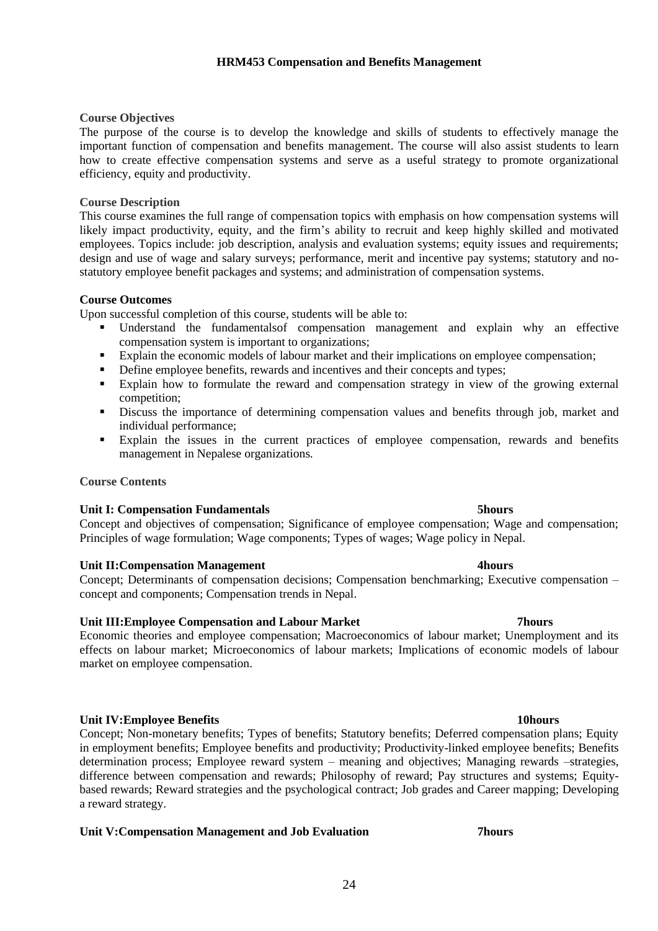# **Course Objectives**

The purpose of the course is to develop the knowledge and skills of students to effectively manage the important function of compensation and benefits management. The course will also assist students to learn how to create effective compensation systems and serve as a useful strategy to promote organizational efficiency, equity and productivity.

### **Course Description**

This course examines the full range of compensation topics with emphasis on how compensation systems will likely impact productivity, equity, and the firm's ability to recruit and keep highly skilled and motivated employees. Topics include: job description, analysis and evaluation systems; equity issues and requirements; design and use of wage and salary surveys; performance, merit and incentive pay systems; statutory and nostatutory employee benefit packages and systems; and administration of compensation systems.

### **Course Outcomes**

Upon successful completion of this course, students will be able to:

- Understand the fundamentalsof compensation management and explain why an effective compensation system is important to organizations;
- Explain the economic models of labour market and their implications on employee compensation;
- **•** Define employee benefits, rewards and incentives and their concepts and types;
- Explain how to formulate the reward and compensation strategy in view of the growing external competition;
- Discuss the importance of determining compensation values and benefits through job, market and individual performance;
- Explain the issues in the current practices of employee compensation, rewards and benefits management in Nepalese organizations.

### **Course Contents**

### **Unit I: Compensation Fundamentals 5hours**

Concept and objectives of compensation; Significance of employee compensation; Wage and compensation; Principles of wage formulation; Wage components; Types of wages; Wage policy in Nepal.

### **Unit II:Compensation Management 4hours**

Concept; Determinants of compensation decisions; Compensation benchmarking; Executive compensation – concept and components; Compensation trends in Nepal.

### **Unit III:Employee Compensation and Labour Market 7hours**

Economic theories and employee compensation; Macroeconomics of labour market; Unemployment and its effects on labour market; Microeconomics of labour markets; Implications of economic models of labour market on employee compensation.

### **Unit IV:Employee Benefits 10hours**

Concept; Non-monetary benefits; Types of benefits; Statutory benefits; Deferred compensation plans; Equity in employment benefits; Employee benefits and productivity; Productivity-linked employee benefits; Benefits determination process; Employee reward system – meaning and objectives; Managing rewards –strategies, difference between compensation and rewards; Philosophy of reward; Pay structures and systems; Equitybased rewards; Reward strategies and the psychological contract; Job grades and Career mapping; Developing a reward strategy.

### **Unit V:Compensation Management and Job Evaluation 7hours**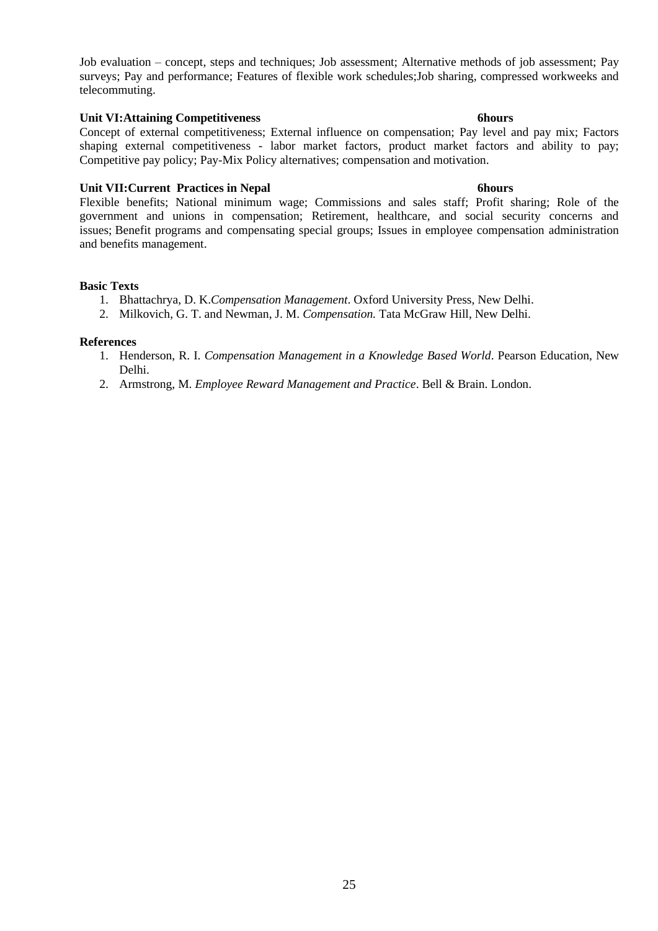Job evaluation – concept, steps and techniques; Job assessment; Alternative methods of job assessment; Pay surveys; Pay and performance; Features of flexible work schedules;Job sharing, compressed workweeks and telecommuting.

# **Unit VI:Attaining Competitiveness 6hours**

Concept of external competitiveness; External influence on compensation; Pay level and pay mix; Factors shaping external competitiveness - labor market factors, product market factors and ability to pay; Competitive pay policy; Pay-Mix Policy alternatives; compensation and motivation.

### **Unit VII:Current Practices in Nepal 6hours**

Flexible benefits; National minimum wage; Commissions and sales staff; Profit sharing; Role of the government and unions in compensation; Retirement, healthcare, and social security concerns and issues; Benefit programs and compensating special groups; Issues in employee compensation administration and benefits management.

### **Basic Texts**

- 1. Bhattachrya, D. K.*Compensation Management*. Oxford University Press, New Delhi.
- 2. Milkovich, G. T. and Newman, J. M. *Compensation.* Tata McGraw Hill, New Delhi.

- 1. Henderson, R. I. *Compensation Management in a Knowledge Based World*. Pearson Education, New Delhi.
- 2. Armstrong, M. *Employee Reward Management and Practice*. Bell & Brain. London.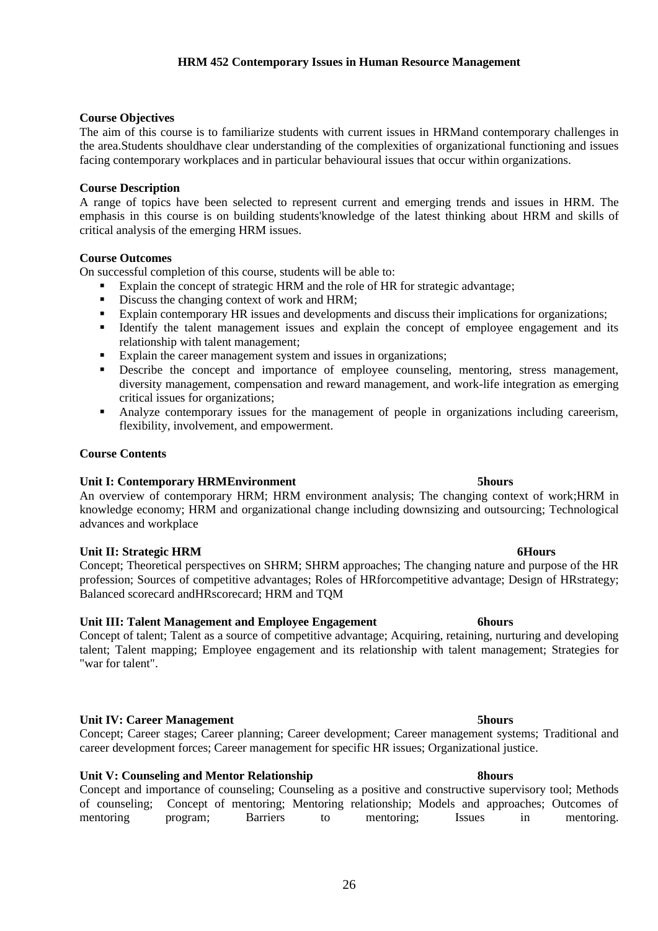# **HRM 452 Contemporary Issues in Human Resource Management**

### **Course Objectives**

The aim of this course is to familiarize students with current issues in HRMand contemporary challenges in the area.Students shouldhave clear understanding of the complexities of organizational functioning and issues facing contemporary workplaces and in particular behavioural issues that occur within organizations.

### **Course Description**

A range of topics have been selected to represent current and emerging trends and issues in HRM. The emphasis in this course is on building students'knowledge of the latest thinking about HRM and skills of critical analysis of the emerging HRM issues.

### **Course Outcomes**

On successful completion of this course, students will be able to:

- Explain the concept of strategic HRM and the role of HR for strategic advantage;
- Discuss the changing context of work and HRM;
- Explain contemporary HR issues and developments and discuss their implications for organizations;
- **EXECUTE:** Identify the talent management issues and explain the concept of employee engagement and its relationship with talent management;
- Explain the career management system and issues in organizations;
- Describe the concept and importance of employee counseling, mentoring, stress management, diversity management, compensation and reward management, and work-life integration as emerging critical issues for organizations;
- Analyze contemporary issues for the management of people in organizations including careerism, flexibility, involvement, and empowerment.

### **Course Contents**

### **Unit I: Contemporary HRMEnvironment 5hours**

An overview of contemporary HRM; HRM environment analysis; The changing context of work;HRM in knowledge economy; HRM and organizational change including downsizing and outsourcing; Technological advances and workplace

# **Unit II: Strategic HRM 6Hours**

Concept; Theoretical perspectives on SHRM; SHRM approaches; The changing nature and purpose of the HR profession; Sources of competitive advantages; Roles of HRforcompetitive advantage; Design of HRstrategy; Balanced scorecard andHRscorecard; HRM and TQM

# **Unit III: Talent Management and Employee Engagement 6hours**

Concept of talent; Talent as a source of competitive advantage; Acquiring, retaining, nurturing and developing talent; Talent mapping; Employee engagement and its relationship with talent management; Strategies for "war for talent".

# **Unit IV: Career Management 5hours**

Concept; Career stages; Career planning; Career development; Career management systems; Traditional and career development forces; Career management for specific HR issues; Organizational justice.

### **Unit V: Counseling and Mentor Relationship 8hours**

Concept and importance of counseling; Counseling as a positive and constructive supervisory tool; Methods of counseling; Concept of mentoring; Mentoring relationship; Models and approaches; Outcomes of mentoring program; Barriers to mentoring; Issues in mentoring.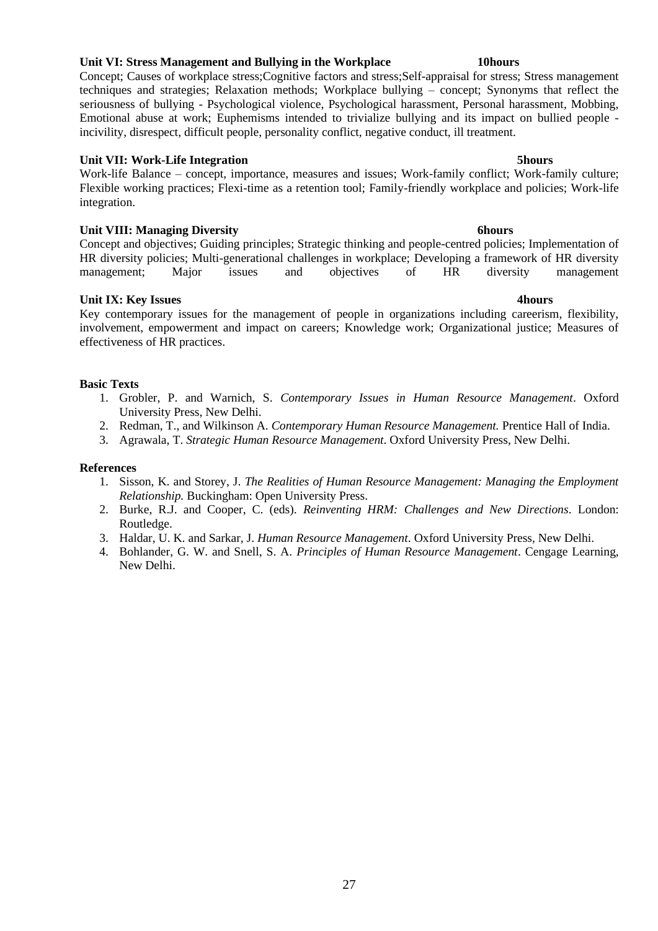# **Unit VI: Stress Management and Bullying in the Workplace 10hours**

Concept; Causes of workplace stress;Cognitive factors and stress;Self-appraisal for stress; Stress management techniques and strategies; Relaxation methods; Workplace bullying – concept; Synonyms that reflect the seriousness of bullying - Psychological violence, Psychological harassment, Personal harassment, Mobbing, Emotional abuse at work; Euphemisms intended to trivialize bullying and its impact on bullied people incivility, disrespect, difficult people, personality conflict, negative conduct, ill treatment.

### **Unit VII: Work-Life Integration 5hours**

Work-life Balance – concept, importance, measures and issues; Work-family conflict; Work-family culture; Flexible working practices; Flexi-time as a retention tool; Family-friendly workplace and policies; Work-life integration.

# **Unit VIII: Managing Diversity 6hours**

Concept and objectives; Guiding principles; Strategic thinking and people-centred policies; Implementation of HR diversity policies; Multi-generational challenges in workplace; Developing a framework of HR diversity management; Major issues and objectives of HR diversity management

# **Unit IX: Key Issues 4hours**

Key contemporary issues for the management of people in organizations including careerism, flexibility, involvement, empowerment and impact on careers; Knowledge work; Organizational justice; Measures of effectiveness of HR practices.

### **Basic Texts**

- 1. Grobler, P. and Warnich, S. *Contemporary Issues in Human Resource Management*. Oxford University Press, New Delhi.
- 2. Redman, T., and Wilkinson A. *Contemporary Human Resource Management.* Prentice Hall of India.
- 3. Agrawala, T. *Strategic Human Resource Management*. Oxford University Press, New Delhi.

- 1. Sisson, K. and Storey, J. *The Realities of Human Resource Management: Managing the Employment Relationship.* Buckingham: Open University Press.
- 2. Burke, R.J. and Cooper, C. (eds). *Reinventing HRM: Challenges and New Directions*. London: Routledge.
- 3. Haldar, U. K. and Sarkar, J. *Human Resource Management*. Oxford University Press, New Delhi.
- 4. Bohlander, G. W. and Snell, S. A. *Principles of Human Resource Management*. Cengage Learning, New Delhi.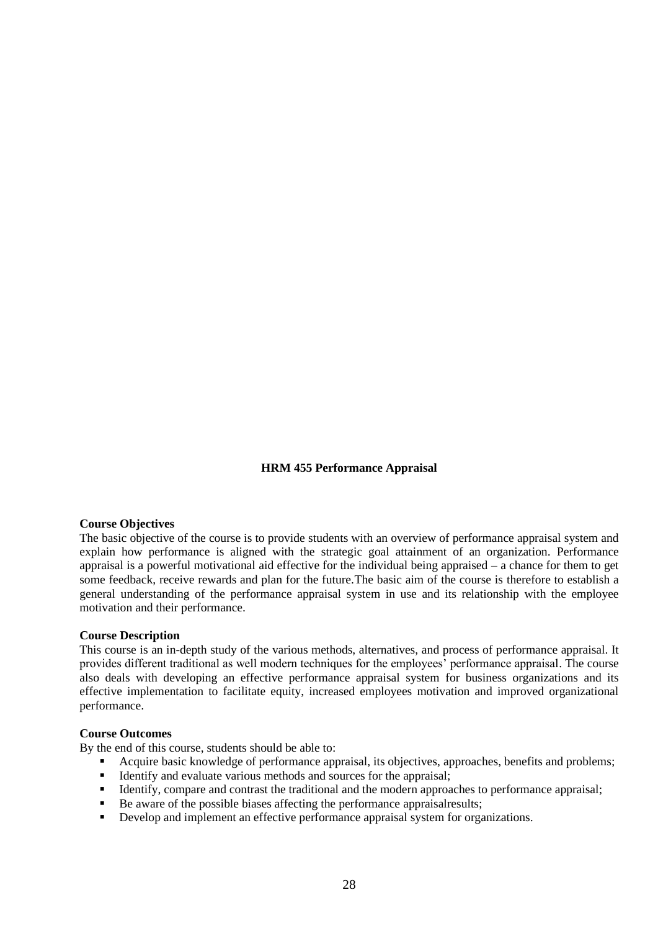### **HRM 455 Performance Appraisal**

### **Course Objectives**

The basic objective of the course is to provide students with an overview of performance appraisal system and explain how performance is aligned with the strategic goal attainment of an organization. Performance appraisal is a powerful motivational aid effective for the individual being appraised – a chance for them to get some feedback, receive rewards and plan for the future.The basic aim of the course is therefore to establish a general understanding of the performance appraisal system in use and its relationship with the employee motivation and their performance.

#### **Course Description**

This course is an in-depth study of the various methods, alternatives, and process of performance appraisal. It provides different traditional as well modern techniques for the employees' performance appraisal. The course also deals with developing an effective performance appraisal system for business organizations and its effective implementation to facilitate equity, increased employees motivation and improved organizational performance.

#### **Course Outcomes**

By the end of this course, students should be able to:

- Acquire basic knowledge of performance appraisal, its objectives, approaches, benefits and problems;
- **•** Identify and evaluate various methods and sources for the appraisal;
- **•** Identify, compare and contrast the traditional and the modern approaches to performance appraisal;
- Be aware of the possible biases affecting the performance appraisalresults;
- Develop and implement an effective performance appraisal system for organizations.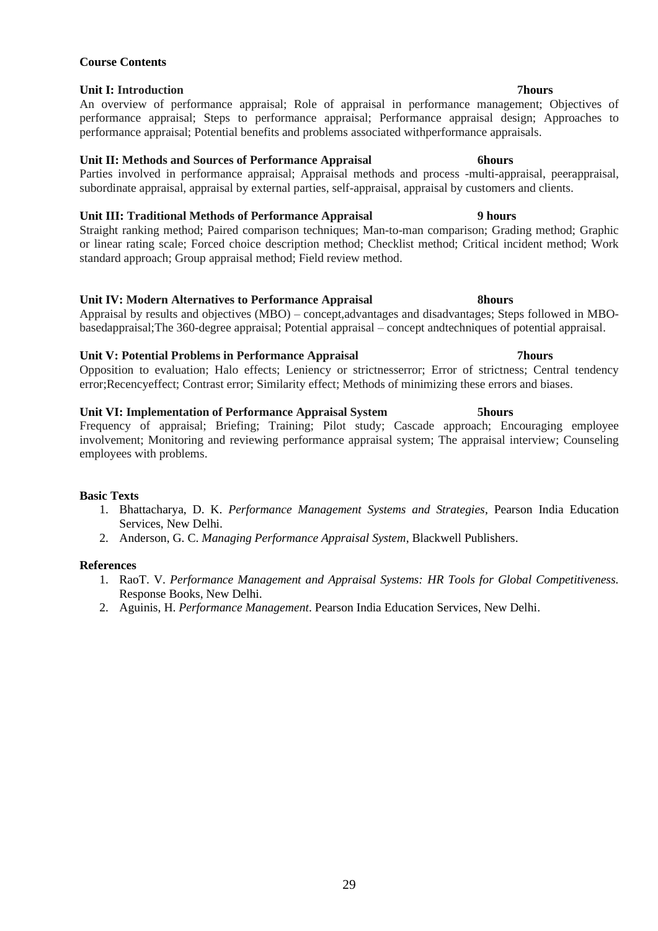# **Unit I: Introduction 7hours**

**Course Contents**

An overview of performance appraisal; Role of appraisal in performance management; Objectives of performance appraisal; Steps to performance appraisal; Performance appraisal design; Approaches to performance appraisal; Potential benefits and problems associated withperformance appraisals.

# **Unit II: Methods and Sources of Performance Appraisal 6hours**

Parties involved in performance appraisal; Appraisal methods and process -multi-appraisal, peerappraisal, subordinate appraisal, appraisal by external parties, self-appraisal, appraisal by customers and clients.

# **Unit III: Traditional Methods of Performance Appraisal 9 hours**

Straight ranking method; Paired comparison techniques; Man-to-man comparison; Grading method; Graphic or linear rating scale; Forced choice description method; Checklist method; Critical incident method; Work standard approach; Group appraisal method; Field review method.

### **Unit IV: Modern Alternatives to Performance Appraisal 8hours**

Appraisal by results and objectives (MBO) – concept,advantages and disadvantages; Steps followed in MBObasedappraisal;The 360-degree appraisal; Potential appraisal – concept andtechniques of potential appraisal.

### **Unit V: Potential Problems in Performance Appraisal 7hours**

Opposition to evaluation; Halo effects; Leniency or strictnesserror; Error of strictness; Central tendency error;Recencyeffect; Contrast error; Similarity effect; Methods of minimizing these errors and biases.

### **Unit VI: Implementation of Performance Appraisal System 5hours**

Frequency of appraisal; Briefing; Training; Pilot study; Cascade approach; Encouraging employee involvement; Monitoring and reviewing performance appraisal system; The appraisal interview; Counseling employees with problems.

### **Basic Texts**

- 1. Bhattacharya, D. K. *Performance Management Systems and Strategies*, Pearson India Education Services, New Delhi.
- 2. Anderson, G. C. *Managing Performance Appraisal System*, Blackwell Publishers.

- 1. RaoT. V. *Performance Management and Appraisal Systems: HR Tools for Global Competitiveness.*  Response Books, New Delhi.
- 2. Aguinis, H. *Performance Management*. Pearson India Education Services, New Delhi.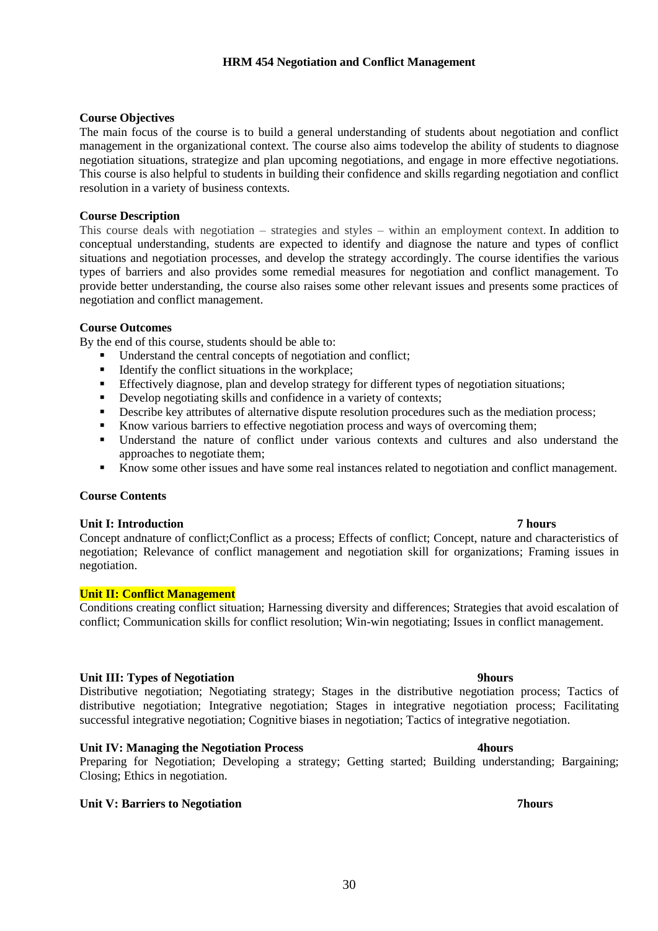30

# **Course Objectives**

The main focus of the course is to build a general understanding of students about negotiation and conflict management in the organizational context. The course also aims todevelop the ability of students to diagnose negotiation situations, strategize and plan upcoming negotiations, and engage in more effective negotiations. This course is also helpful to students in building their confidence and skills regarding negotiation and conflict resolution in a variety of business contexts.

# **Course Description**

This course deals with negotiation – strategies and styles – within an employment context. In addition to conceptual understanding, students are expected to identify and diagnose the nature and types of conflict situations and negotiation processes, and develop the strategy accordingly. The course identifies the various types of barriers and also provides some remedial measures for negotiation and conflict management. To provide better understanding, the course also raises some other relevant issues and presents some practices of negotiation and conflict management.

# **Course Outcomes**

By the end of this course, students should be able to:

- Understand the central concepts of negotiation and conflict;
- Identify the conflict situations in the workplace;
- **•** Effectively diagnose, plan and develop strategy for different types of negotiation situations;
- Develop negotiating skills and confidence in a variety of contexts;
- **•** Describe key attributes of alternative dispute resolution procedures such as the mediation process;
- Know various barriers to effective negotiation process and ways of overcoming them;
- Understand the nature of conflict under various contexts and cultures and also understand the approaches to negotiate them;
- Know some other issues and have some real instances related to negotiation and conflict management.

# **Course Contents**

### **Unit I: Introduction 7 hours**

Concept andnature of conflict;Conflict as a process; Effects of conflict; Concept, nature and characteristics of negotiation; Relevance of conflict management and negotiation skill for organizations; Framing issues in negotiation.

# **Unit II: Conflict Management**

Conditions creating conflict situation; Harnessing diversity and differences; Strategies that avoid escalation of conflict; Communication skills for conflict resolution; Win-win negotiating; Issues in conflict management.

# **Unit III: Types of Negotiation 9hours**

Distributive negotiation; Negotiating strategy; Stages in the distributive negotiation process; Tactics of distributive negotiation; Integrative negotiation; Stages in integrative negotiation process; Facilitating successful integrative negotiation; Cognitive biases in negotiation; Tactics of integrative negotiation.

# **Unit IV: Managing the Negotiation Process 4hours**

Preparing for Negotiation; Developing a strategy; Getting started; Building understanding; Bargaining; Closing; Ethics in negotiation.

# **Unit V: Barriers to Negotiation 7hours**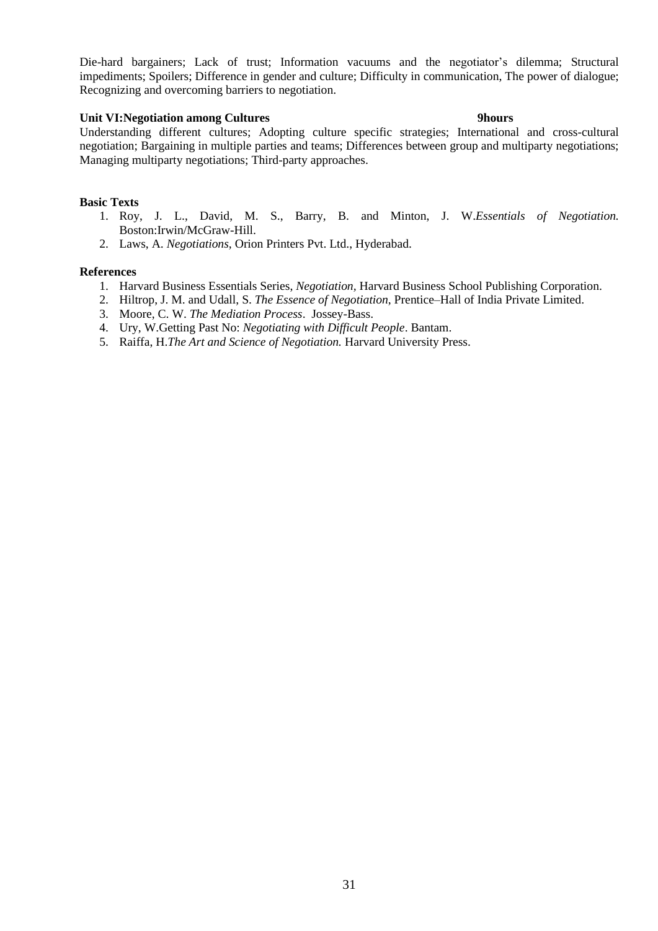Die-hard bargainers; Lack of trust; Information vacuums and the negotiator's dilemma; Structural impediments; Spoilers; Difference in gender and culture; Difficulty in communication, The power of dialogue; Recognizing and overcoming barriers to negotiation.

### **Unit VI:Negotiation among Cultures 9hours**

# Understanding different cultures; Adopting culture specific strategies; International and cross-cultural negotiation; Bargaining in multiple parties and teams; Differences between group and multiparty negotiations; Managing multiparty negotiations; Third-party approaches.

### **Basic Texts**

- 1. Roy, J. L., David, M. S., Barry, B. and Minton, J. W.*Essentials of Negotiation.* Boston:Irwin/McGraw-Hill.
- 2. Laws, A. *Negotiations,* Orion Printers Pvt. Ltd., Hyderabad.

- 1. Harvard Business Essentials Series, *Negotiation,* Harvard Business School Publishing Corporation.
- 2. Hiltrop, J. M. and Udall, S. *The Essence of Negotiation*, Prentice–Hall of India Private Limited.
- 3. Moore, C. W. *The Mediation Process*. Jossey-Bass.
- 4. Ury, W.Getting Past No: *Negotiating with Difficult People*. Bantam.
- 5. Raiffa, H.*The Art and Science of Negotiation.* Harvard University Press.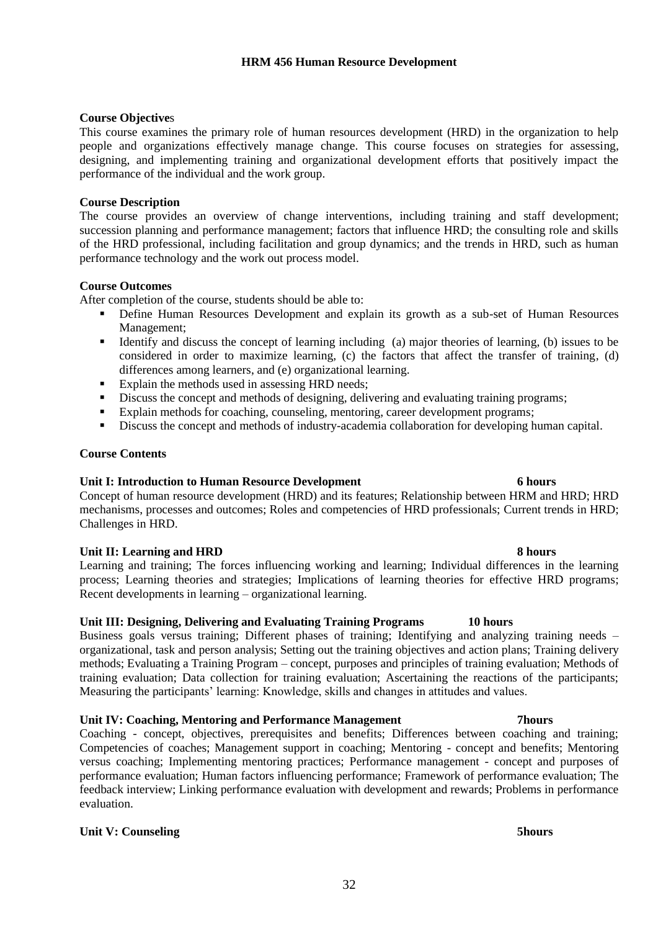# **Course Objective**s

This course examines the primary role of human resources development (HRD) in the organization to help people and organizations effectively manage change. This course focuses on strategies for assessing, designing, and implementing training and organizational development efforts that positively impact the performance of the individual and the work group.

# **Course Description**

The course provides an overview of change interventions, including training and staff development; succession planning and performance management; factors that influence HRD; the consulting role and skills of the HRD professional, including facilitation and group dynamics; and the trends in HRD, such as human performance technology and the work out process model.

# **Course Outcomes**

After completion of the course, students should be able to:

- Define Human Resources Development and explain its growth as a sub-set of Human Resources Management;
- **•** Identify and discuss the concept of learning including (a) major theories of learning, (b) issues to be considered in order to maximize learning, (c) the factors that affect the transfer of training, (d) differences among learners, and (e) organizational learning.
- Explain the methods used in assessing HRD needs;
- **•** Discuss the concept and methods of designing, delivering and evaluating training programs;
- Explain methods for coaching, counseling, mentoring, career development programs;
- **•** Discuss the concept and methods of industry-academia collaboration for developing human capital.

# **Course Contents**

# **Unit I: Introduction to Human Resource Development 6 hours**

Concept of human resource development (HRD) and its features; Relationship between HRM and HRD; HRD mechanisms, processes and outcomes; Roles and competencies of HRD professionals; Current trends in HRD; Challenges in HRD.

# **Unit II: Learning and HRD 8 hours**

Learning and training; The forces influencing working and learning; Individual differences in the learning process; Learning theories and strategies; Implications of learning theories for effective HRD programs; Recent developments in learning – organizational learning.

# **Unit III: Designing, Delivering and Evaluating Training Programs 10 hours**

Business goals versus training; Different phases of training; Identifying and analyzing training needs – organizational, task and person analysis; Setting out the training objectives and action plans; Training delivery methods; Evaluating a Training Program – concept, purposes and principles of training evaluation; Methods of training evaluation; Data collection for training evaluation; Ascertaining the reactions of the participants; Measuring the participants' learning: Knowledge, skills and changes in attitudes and values.

# **Unit IV: Coaching, Mentoring and Performance Management 7hours**

Coaching - concept, objectives, prerequisites and benefits; Differences between coaching and training; Competencies of coaches; Management support in coaching; Mentoring - concept and benefits; Mentoring versus coaching; Implementing mentoring practices; Performance management - concept and purposes of performance evaluation; Human factors influencing performance; Framework of performance evaluation; The feedback interview; Linking performance evaluation with development and rewards; Problems in performance evaluation.

# **Unit V: Counseling 5hours**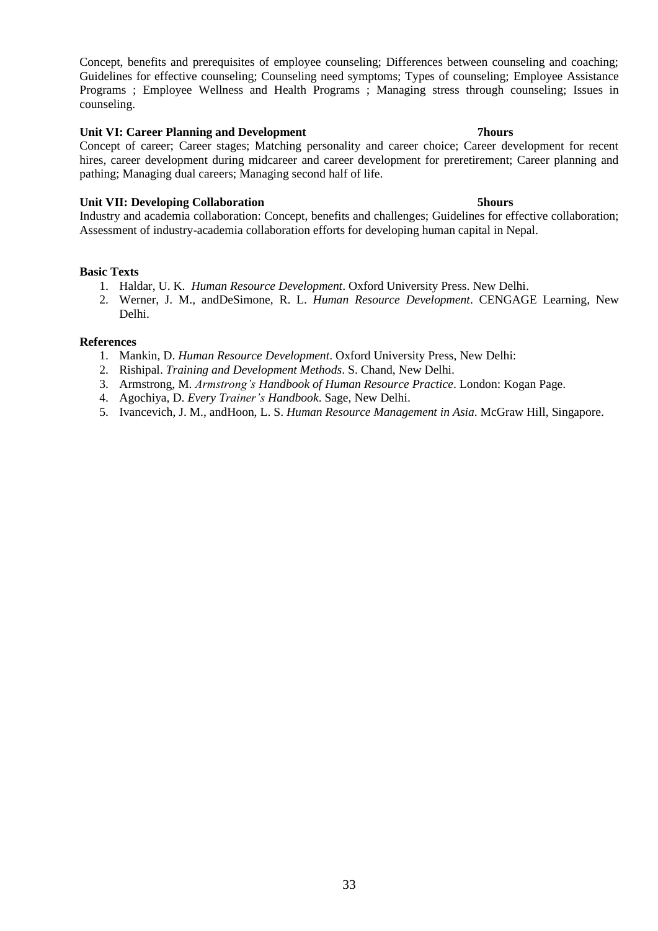Concept, benefits and prerequisites of employee counseling; Differences between counseling and coaching; Guidelines for effective counseling; Counseling need symptoms; Types of counseling; Employee Assistance Programs ; Employee Wellness and Health Programs ; Managing stress through counseling; Issues in counseling.

### **Unit VI: Career Planning and Development 7hours**

Concept of career; Career stages; Matching personality and career choice; Career development for recent hires, career development during midcareer and career development for preretirement; Career planning and pathing; Managing dual careers; Managing second half of life.

# **Unit VII: Developing Collaboration 5hours**

Industry and academia collaboration: Concept, benefits and challenges; Guidelines for effective collaboration; Assessment of industry-academia collaboration efforts for developing human capital in Nepal.

### **Basic Texts**

- 1. Haldar, U. K. *Human Resource Development*. Oxford University Press. New Delhi.
- 2. Werner, J. M., andDeSimone, R. L. *Human Resource Development*. CENGAGE Learning, New Delhi.

- 1. Mankin, D. *Human Resource Development*. Oxford University Press, New Delhi:
- 2. Rishipal. *Training and Development Methods*. S. Chand, New Delhi.
- 3. Armstrong, M. *Armstrong's Handbook of Human Resource Practice*. London: Kogan Page.
- 4. Agochiya, D. *Every Trainer's Handbook*. Sage, New Delhi.
- 5. Ivancevich, J. M., andHoon, L. S. *Human Resource Management in Asia*. McGraw Hill, Singapore.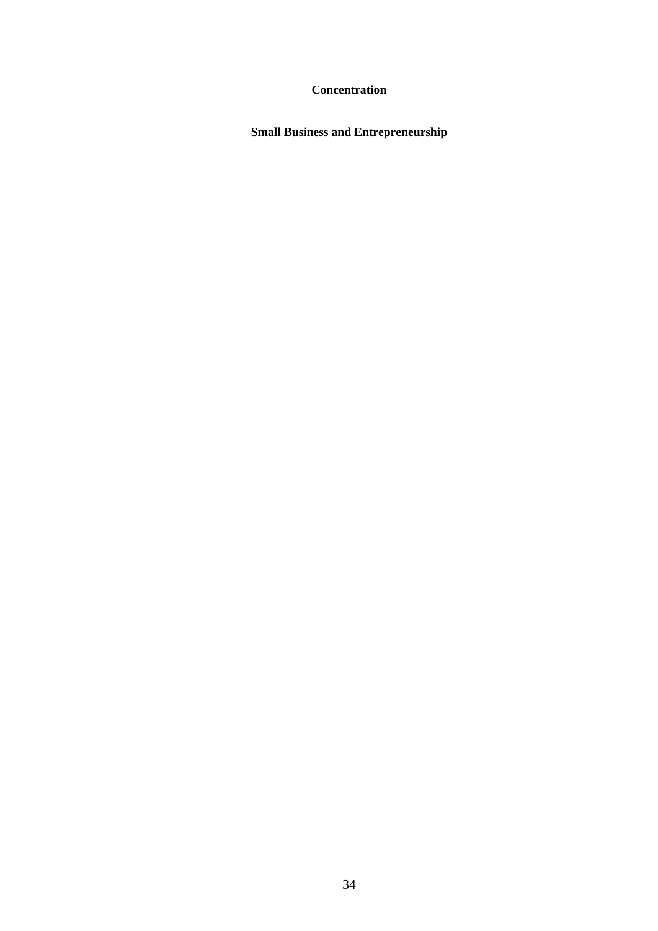# **Concentration**

**Small Business and Entrepreneurship**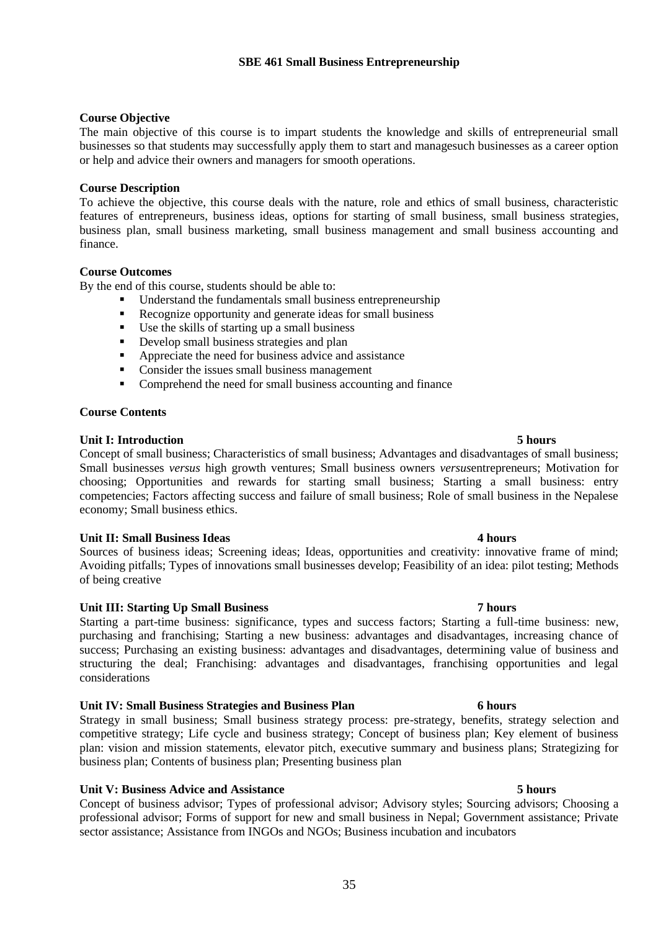### **Course Objective**

The main objective of this course is to impart students the knowledge and skills of entrepreneurial small businesses so that students may successfully apply them to start and managesuch businesses as a career option or help and advice their owners and managers for smooth operations.

### **Course Description**

To achieve the objective, this course deals with the nature, role and ethics of small business, characteristic features of entrepreneurs, business ideas, options for starting of small business, small business strategies, business plan, small business marketing, small business management and small business accounting and finance.

### **Course Outcomes**

By the end of this course, students should be able to:

- Understand the fundamentals small business entrepreneurship
- Recognize opportunity and generate ideas for small business
- Use the skills of starting up a small business
- Develop small business strategies and plan
- Appreciate the need for business advice and assistance
- Consider the issues small business management
- Comprehend the need for small business accounting and finance

### **Course Contents**

### **Unit I: Introduction 5 hours**

Concept of small business; Characteristics of small business; Advantages and disadvantages of small business; Small businesses *versus* high growth ventures; Small business owners *versus*entrepreneurs; Motivation for choosing; Opportunities and rewards for starting small business; Starting a small business: entry competencies; Factors affecting success and failure of small business; Role of small business in the Nepalese economy; Small business ethics.

### **Unit II: Small Business Ideas 4 hours**

Sources of business ideas; Screening ideas; Ideas, opportunities and creativity: innovative frame of mind; Avoiding pitfalls; Types of innovations small businesses develop; Feasibility of an idea: pilot testing; Methods of being creative

### **Unit III: Starting Up Small Business 7 hours**

Starting a part-time business: significance, types and success factors; Starting a full-time business: new, purchasing and franchising; Starting a new business: advantages and disadvantages, increasing chance of success; Purchasing an existing business: advantages and disadvantages, determining value of business and structuring the deal; Franchising: advantages and disadvantages, franchising opportunities and legal considerations

### **Unit IV: Small Business Strategies and Business Plan 6 hours**

Strategy in small business; Small business strategy process: pre-strategy, benefits, strategy selection and competitive strategy; Life cycle and business strategy; Concept of business plan; Key element of business plan: vision and mission statements, elevator pitch, executive summary and business plans; Strategizing for business plan; Contents of business plan; Presenting business plan

### **Unit V: Business Advice and Assistance 5 hours**

Concept of business advisor; Types of professional advisor; Advisory styles; Sourcing advisors; Choosing a professional advisor; Forms of support for new and small business in Nepal; Government assistance; Private sector assistance; Assistance from INGOs and NGOs; Business incubation and incubators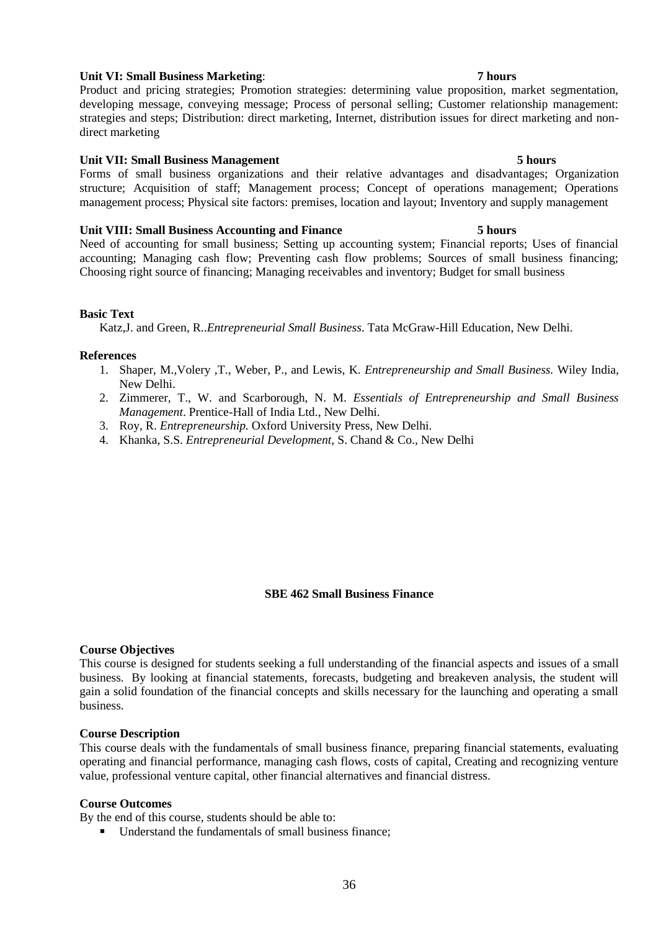# **Unit VI: Small Business Marketing**: **7 hours**

Product and pricing strategies; Promotion strategies: determining value proposition, market segmentation, developing message, conveying message; Process of personal selling; Customer relationship management: strategies and steps; Distribution: direct marketing, Internet, distribution issues for direct marketing and nondirect marketing

# **Unit VII: Small Business Management 5 hours**

Forms of small business organizations and their relative advantages and disadvantages; Organization structure; Acquisition of staff; Management process; Concept of operations management; Operations management process; Physical site factors: premises, location and layout; Inventory and supply management

### **Unit VIII: Small Business Accounting and Finance 5 hours**

Need of accounting for small business; Setting up accounting system; Financial reports; Uses of financial accounting; Managing cash flow; Preventing cash flow problems; Sources of small business financing; Choosing right source of financing; Managing receivables and inventory; Budget for small business

# **Basic Text**

Katz,J. and Green, R..*Entrepreneurial Small Business*. Tata McGraw-Hill Education, New Delhi.

### **References**

- 1. Shaper, M.,Volery ,T., Weber, P., and Lewis, K. *Entrepreneurship and Small Business.* Wiley India, New Delhi.
- 2. Zimmerer, T., W. and Scarborough, N. M. *Essentials of Entrepreneurship and Small Business Management*. Prentice-Hall of India Ltd., New Delhi.
- 3. Roy, R. *Entrepreneurship.* Oxford University Press, New Delhi.
- 4. Khanka, S.S. *Entrepreneurial Development,* S. Chand & Co., New Delhi

# **SBE 462 Small Business Finance**

### **Course Objectives**

This course is designed for students seeking a full understanding of the financial aspects and issues of a small business. By looking at financial statements, forecasts, budgeting and breakeven analysis, the student will gain a solid foundation of the financial concepts and skills necessary for the launching and operating a small business.

### **Course Description**

This course deals with the fundamentals of small business finance, preparing financial statements, evaluating operating and financial performance, managing cash flows, costs of capital, Creating and recognizing venture value, professional venture capital, other financial alternatives and financial distress.

### **Course Outcomes**

By the end of this course, students should be able to:

■ Understand the fundamentals of small business finance: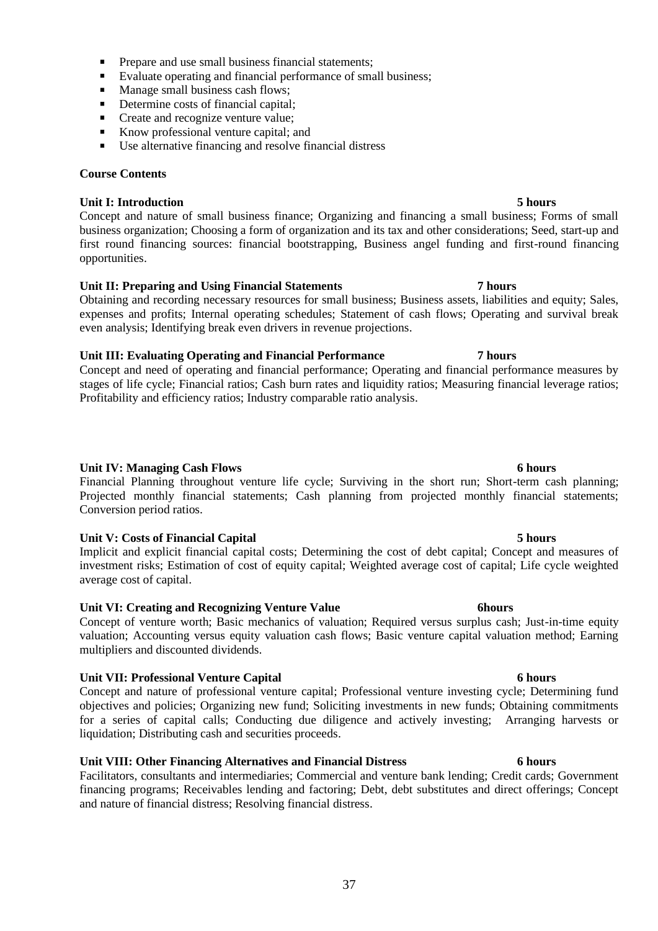- Prepare and use small business financial statements;
- Evaluate operating and financial performance of small business;
- Manage small business cash flows:
- Determine costs of financial capital;
- Create and recognize venture value:
- Know professional venture capital; and
- Use alternative financing and resolve financial distress

## **Course Contents**

## **Unit I: Introduction 5 hours**

Concept and nature of small business finance; Organizing and financing a small business; Forms of small business organization; Choosing a form of organization and its tax and other considerations; Seed, start-up and first round financing sources: financial bootstrapping, Business angel funding and first-round financing opportunities.

## **Unit II: Preparing and Using Financial Statements 7 hours**

Obtaining and recording necessary resources for small business; Business assets, liabilities and equity; Sales, expenses and profits; Internal operating schedules; Statement of cash flows; Operating and survival break even analysis; Identifying break even drivers in revenue projections.

## **Unit III: Evaluating Operating and Financial Performance 7 hours**

Concept and need of operating and financial performance; Operating and financial performance measures by stages of life cycle; Financial ratios; Cash burn rates and liquidity ratios; Measuring financial leverage ratios; Profitability and efficiency ratios; Industry comparable ratio analysis.

## **Unit IV: Managing Cash Flows 6 hours**

Financial Planning throughout venture life cycle; Surviving in the short run; Short-term cash planning; Projected monthly financial statements; Cash planning from projected monthly financial statements; Conversion period ratios.

### **Unit V: Costs of Financial Capital 5 hours**

Implicit and explicit financial capital costs; Determining the cost of debt capital; Concept and measures of investment risks; Estimation of cost of equity capital; Weighted average cost of capital; Life cycle weighted average cost of capital.

### **Unit VI: Creating and Recognizing Venture Value 6hours**

Concept of venture worth; Basic mechanics of valuation; Required versus surplus cash; Just-in-time equity valuation; Accounting versus equity valuation cash flows; Basic venture capital valuation method; Earning multipliers and discounted dividends.

## **Unit VII: Professional Venture Capital 6 hours**

Concept and nature of professional venture capital; Professional venture investing cycle; Determining fund objectives and policies; Organizing new fund; Soliciting investments in new funds; Obtaining commitments for a series of capital calls; Conducting due diligence and actively investing; Arranging harvests or liquidation; Distributing cash and securities proceeds.

## **Unit VIII: Other Financing Alternatives and Financial Distress 6 hours**

Facilitators, consultants and intermediaries; Commercial and venture bank lending; Credit cards; Government financing programs; Receivables lending and factoring; Debt, debt substitutes and direct offerings; Concept and nature of financial distress; Resolving financial distress.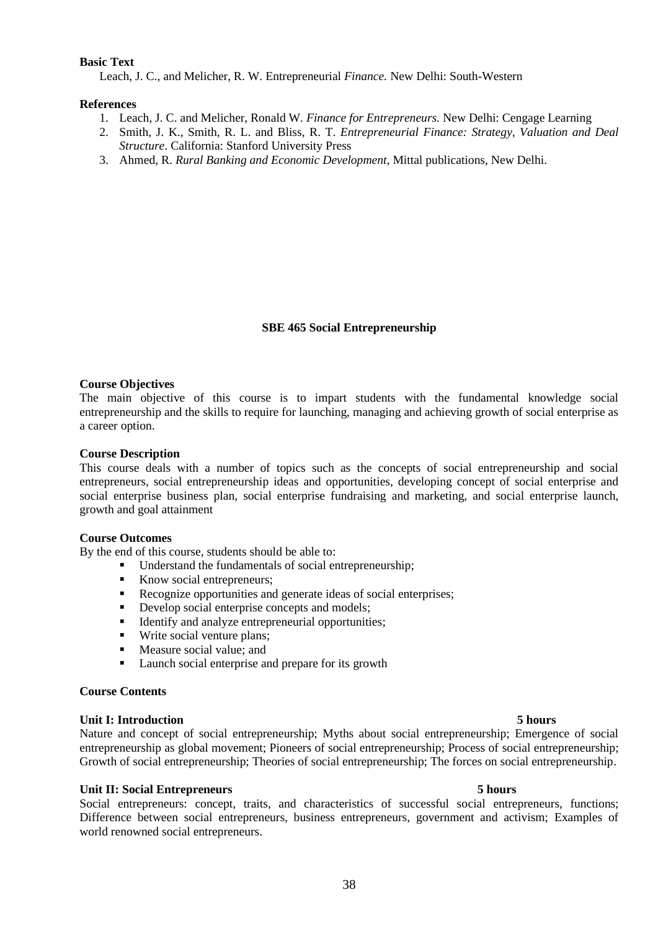### **Basic Text**

Leach, [J. C.,](http://www.amazon.com/s/ref=rdr_ext_aut?_encoding=UTF8&index=books&field-author=J.%20Chris%20Leach) and Melicher, R. W. Entrepreneurial *Finance.* New Delhi: South-Western

#### **References**

- 1. Leach, [J. C.](http://www.amazon.com/s/ref=rdr_ext_aut?_encoding=UTF8&index=books&field-author=J.%20Chris%20Leach) and Melicher, Ronald W. *Finance for Entrepreneurs.* New Delhi: Cengage Learning
- 2. Smith, J. K., Smith, R. L. and Bliss, R. T. *Entrepreneurial Finance: Strategy, Valuation and Deal Structure*. California: Stanford University Press
- 3. Ahmed, R. *Rural Banking and Economic Development*, Mittal publications, New Delhi.

### **SBE 465 Social Entrepreneurship**

### **Course Objectives**

The main objective of this course is to impart students with the fundamental knowledge social entrepreneurship and the skills to require for launching, managing and achieving growth of social enterprise as a career option.

### **Course Description**

This course deals with a number of topics such as the concepts of social entrepreneurship and social entrepreneurs, social entrepreneurship ideas and opportunities, developing concept of social enterprise and social enterprise business plan, social enterprise fundraising and marketing, and social enterprise launch, growth and goal attainment

#### **Course Outcomes**

By the end of this course, students should be able to:

- Understand the fundamentals of social entrepreneurship;
- Know social entrepreneurs;
- Recognize opportunities and generate ideas of social enterprises;
- Develop social enterprise concepts and models;
- Identify and analyze entrepreneurial opportunities;
- Write social venture plans;
- Measure social value; and
- Launch social enterprise and prepare for its growth

#### **Course Contents**

#### **Unit I: Introduction 5 hours**

Nature and concept of social entrepreneurship; Myths about social entrepreneurship; Emergence of social entrepreneurship as global movement; Pioneers of social entrepreneurship; Process of social entrepreneurship; Growth of social entrepreneurship; Theories of social entrepreneurship; The forces on social entrepreneurship.

#### **Unit II: Social Entrepreneurs 5 hours**

Social entrepreneurs: concept, traits, and characteristics of successful social entrepreneurs, functions; Difference between social entrepreneurs, business entrepreneurs, government and activism; Examples of world renowned social entrepreneurs.

#### 38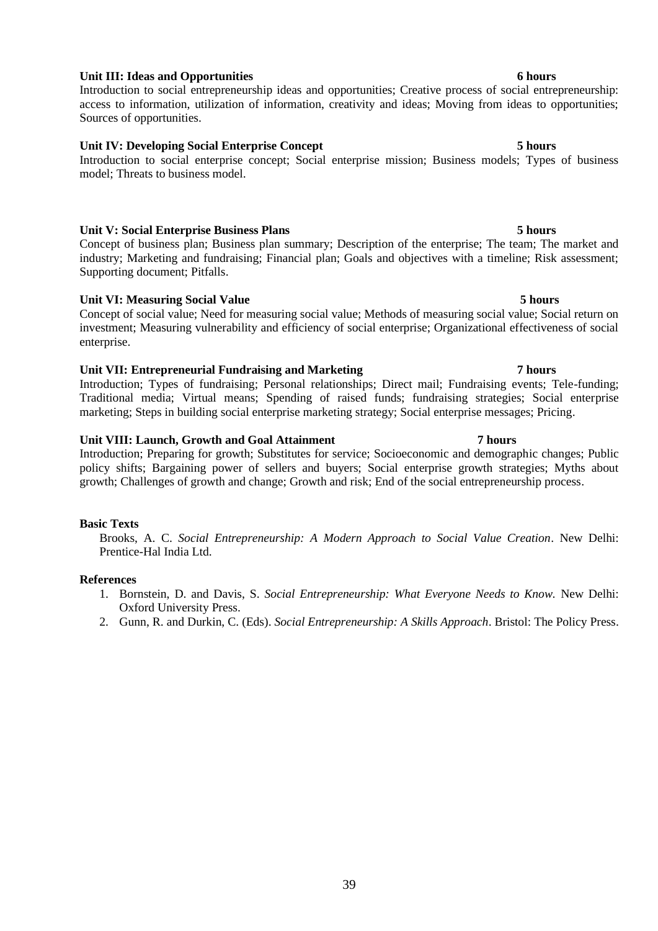## **Unit III: Ideas and Opportunities 6 hours**

Introduction to social entrepreneurship ideas and opportunities; Creative process of social entrepreneurship: access to information, utilization of information, creativity and ideas; Moving from ideas to opportunities; Sources of opportunities.

## **Unit IV: Developing Social Enterprise Concept 5 hours**

Introduction to social enterprise concept; Social enterprise mission; Business models; Types of business model; Threats to business model.

## **Unit V: Social Enterprise Business Plans 5 hours**

Concept of business plan; Business plan summary; Description of the enterprise; The team; The market and industry; Marketing and fundraising; Financial plan; Goals and objectives with a timeline; Risk assessment; Supporting document; Pitfalls.

## **Unit VI: Measuring Social Value 5 hours**

Concept of social value; Need for measuring social value; Methods of measuring social value; Social return on investment; Measuring vulnerability and efficiency of social enterprise; Organizational effectiveness of social enterprise.

## **Unit VII: Entrepreneurial Fundraising and Marketing 7 hours**

Introduction; Types of fundraising; Personal relationships; Direct mail; Fundraising events; Tele-funding; Traditional media; Virtual means; Spending of raised funds; fundraising strategies; Social enterprise marketing; Steps in building social enterprise marketing strategy; Social enterprise messages; Pricing.

### **Unit VIII: Launch, Growth and Goal Attainment 7 hours**

Introduction; Preparing for growth; Substitutes for service; Socioeconomic and demographic changes; Public policy shifts; Bargaining power of sellers and buyers; Social enterprise growth strategies; Myths about growth; Challenges of growth and change; Growth and risk; End of the social entrepreneurship process.

## **Basic Texts**

Brooks, A. C. *Social Entrepreneurship: A Modern Approach to Social Value Creation*. New Delhi: Prentice-Hal India Ltd.

### **References**

- 1. Bornstein, D. and Davis, S. *Social Entrepreneurship: What Everyone Needs to Know.* New Delhi: Oxford University Press.
- 2. Gunn, R. and Durkin, C. (Eds). *Social Entrepreneurship: A Skills Approach*. Bristol: The Policy Press.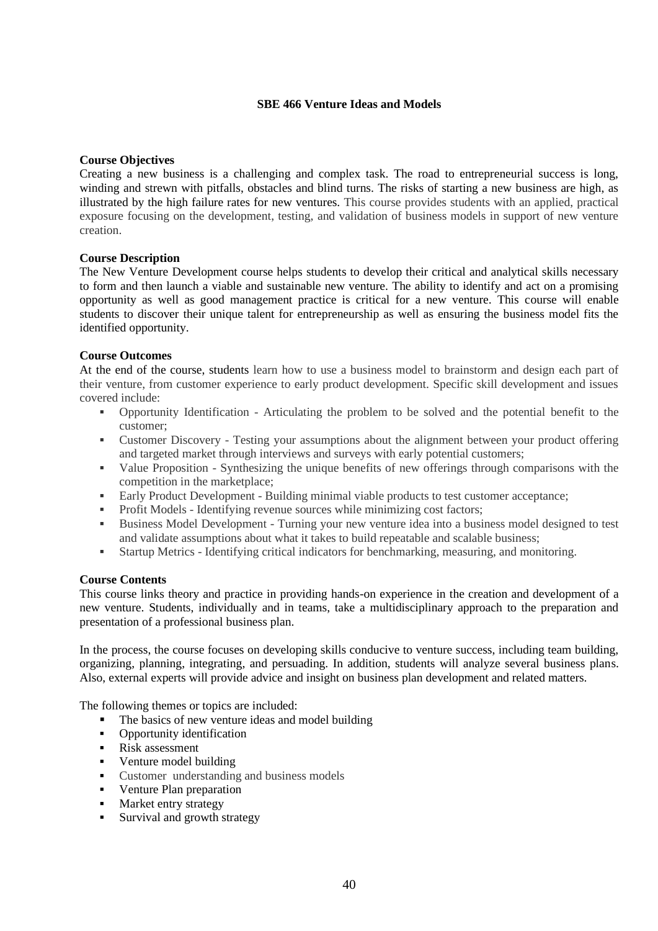## **SBE 466 Venture Ideas and Models**

## **Course Objectives**

Creating a new business is a challenging and complex task. The road to entrepreneurial success is long, winding and strewn with pitfalls, obstacles and blind turns. The risks of starting a new business are high, as illustrated by the high failure rates for new ventures. This course provides students with an applied, practical exposure focusing on the development, testing, and validation of business models in support of new venture creation.

### **Course Description**

The New Venture Development course helps students to develop their critical and analytical skills necessary to form and then launch a viable and sustainable new venture. The ability to identify and act on a promising opportunity as well as good management practice is critical for a new venture. This course will enable students to discover their unique talent for entrepreneurship as well as ensuring the business model fits the identified opportunity.

## **Course Outcomes**

At the end of the course, students learn how to use a business model to brainstorm and design each part of their venture, from customer experience to early product development. Specific skill development and issues covered include:

- Opportunity Identification Articulating the problem to be solved and the potential benefit to the customer;
- Customer Discovery Testing your assumptions about the alignment between your product offering and targeted market through interviews and surveys with early potential customers;
- Value Proposition Synthesizing the unique benefits of new offerings through comparisons with the competition in the marketplace;
- Early Product Development Building minimal viable products to test customer acceptance;
- **•** Profit Models Identifying revenue sources while minimizing cost factors;
- Business Model Development Turning your new venture idea into a business model designed to test and validate assumptions about what it takes to build repeatable and scalable business;
- Startup Metrics Identifying critical indicators for benchmarking, measuring, and monitoring.

### **Course Contents**

This course links theory and practice in providing hands-on experience in the creation and development of a new venture. Students, individually and in teams, take a multidisciplinary approach to the preparation and presentation of a professional business plan.

In the process, the course focuses on developing skills conducive to venture success, including team building, organizing, planning, integrating, and persuading. In addition, students will analyze several business plans. Also, external experts will provide advice and insight on business plan development and related matters.

The following themes or topics are included:

- The basics of new venture ideas and model building
- Opportunity identification
- Risk assessment
- Venture model building
- Customer understanding and business models
- Venture Plan preparation
- **■** Market entry strategy
- Survival and growth strategy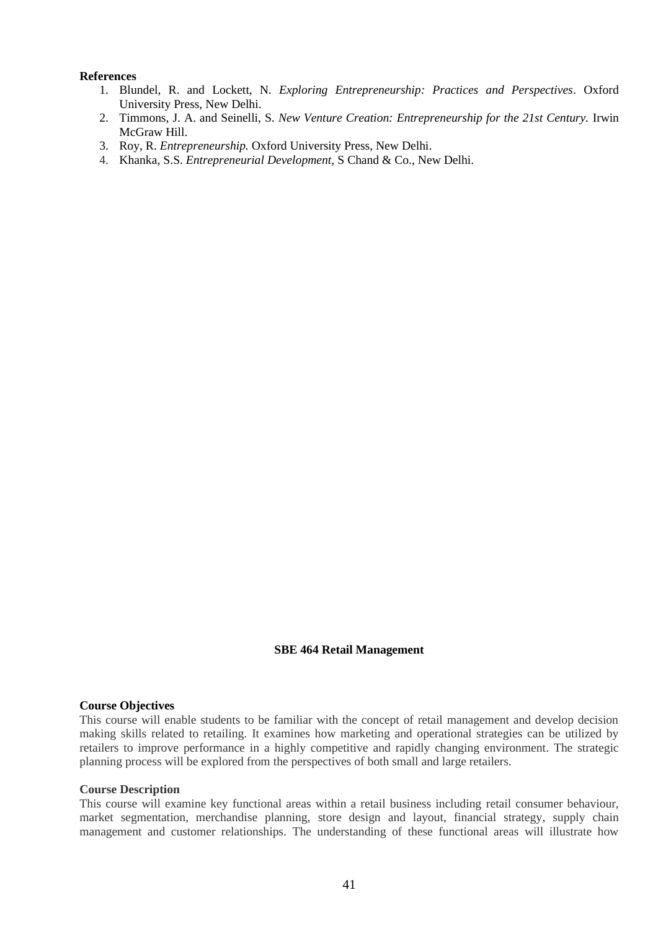#### **References**

- 1. Blundel, R. and Lockett, N. *Exploring Entrepreneurship: Practices and Perspectives*. Oxford University Press, New Delhi.
- 2. Timmons, J. A. and Seinelli, S. *New Venture Creation: Entrepreneurship for the 21st Century.* Irwin McGraw Hill.
- 3. Roy, R. *Entrepreneurship.* Oxford University Press, New Delhi.
- 4. Khanka, S.S. *Entrepreneurial Development,* S Chand & Co., New Delhi.

### **SBE 464 Retail Management**

## **Course Objectives**

This course will enable students to be familiar with the concept of retail management and develop decision making skills related to retailing. It examines how marketing and operational strategies can be utilized by retailers to improve performance in a highly competitive and rapidly changing environment. The strategic planning process will be explored from the perspectives of both small and large retailers.

#### **Course Description**

This course will examine key functional areas within a retail business including retail consumer behaviour, market segmentation, merchandise planning, store design and layout, financial strategy, supply chain management and customer relationships. The understanding of these functional areas will illustrate how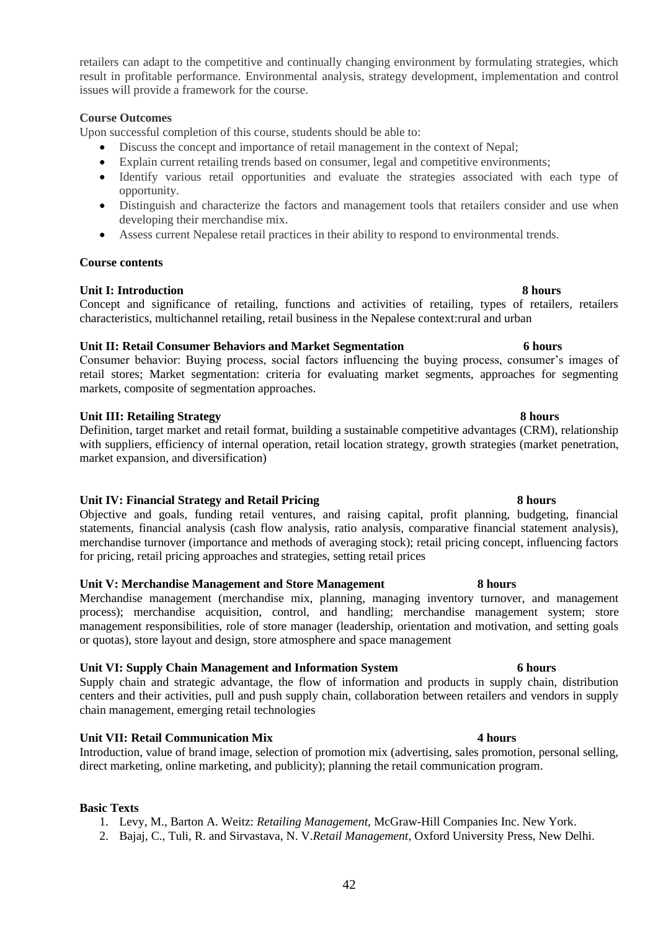retailers can adapt to the competitive and continually changing environment by formulating strategies, which result in profitable performance. Environmental analysis, strategy development, implementation and control issues will provide a framework for the course.

## **Course Outcomes**

Upon successful completion of this course, students should be able to:

- Discuss the concept and importance of retail management in the context of Nepal;
- Explain current retailing trends based on consumer, legal and competitive environments;
- Identify various retail opportunities and evaluate the strategies associated with each type of opportunity.
- Distinguish and characterize the factors and management tools that retailers consider and use when developing their merchandise mix.
- Assess current Nepalese retail practices in their ability to respond to environmental trends.

### **Course contents**

## **Unit I: Introduction 8 hours**

Concept and significance of retailing, functions and activities of retailing, types of retailers, retailers characteristics, multichannel retailing, retail business in the Nepalese context:rural and urban

## **Unit II: Retail Consumer Behaviors and Market Segmentation 6 hours**

Consumer behavior: Buying process, social factors influencing the buying process, consumer's images of retail stores; Market segmentation: criteria for evaluating market segments, approaches for segmenting markets, composite of segmentation approaches.

## **Unit III: Retailing Strategy 8 hours**

Definition, target market and retail format, building a sustainable competitive advantages (CRM), relationship with suppliers, efficiency of internal operation, retail location strategy, growth strategies (market penetration, market expansion, and diversification)

## **Unit IV: Financial Strategy and Retail Pricing 8 hours**

Objective and goals, funding retail ventures, and raising capital, profit planning, budgeting, financial statements, financial analysis (cash flow analysis, ratio analysis, comparative financial statement analysis), merchandise turnover (importance and methods of averaging stock); retail pricing concept, influencing factors for pricing, retail pricing approaches and strategies, setting retail prices

### **Unit V: Merchandise Management and Store Management 8 hours**

Merchandise management (merchandise mix, planning, managing inventory turnover, and management process); merchandise acquisition, control, and handling; merchandise management system; store management responsibilities, role of store manager (leadership, orientation and motivation, and setting goals or quotas), store layout and design, store atmosphere and space management

## **Unit VI: Supply Chain Management and Information System 6 hours**

Supply chain and strategic advantage, the flow of information and products in supply chain, distribution centers and their activities, pull and push supply chain, collaboration between retailers and vendors in supply chain management, emerging retail technologies

## **Unit VII: Retail Communication Mix 4 hours**

Introduction, value of brand image, selection of promotion mix (advertising, sales promotion, personal selling, direct marketing, online marketing, and publicity); planning the retail communication program.

## **Basic Texts**

- 1. Levy, M., Barton A. Weitz: *Retailing Management*, McGraw-Hill Companies Inc. New York.
- 2. Bajaj, C., Tuli, R. and Sirvastava, N. V.*Retail Management*, Oxford University Press, New Delhi.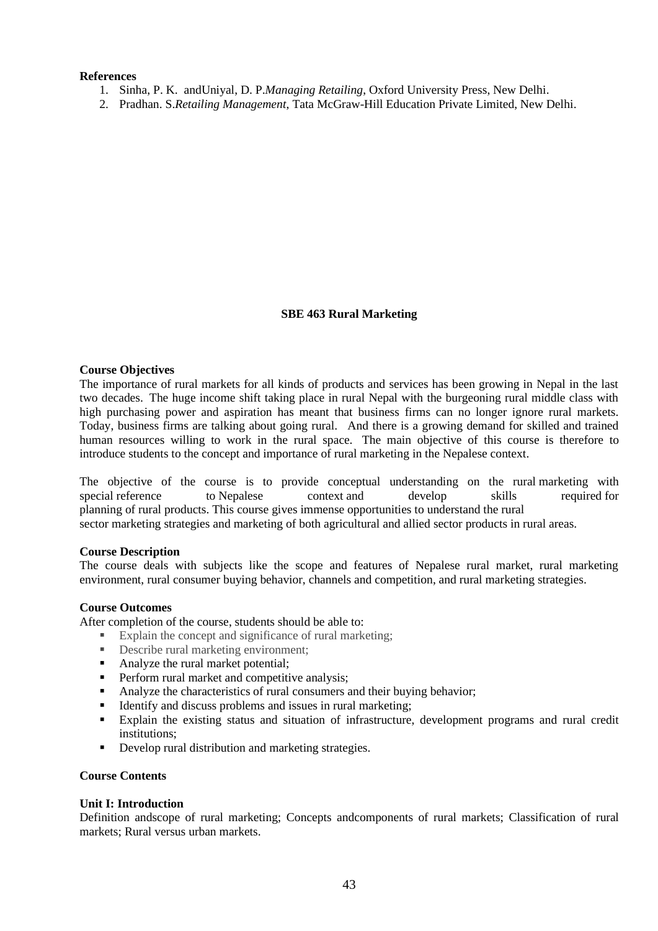### **References**

- 1. Sinha, P. K. andUniyal, D. P.*Managing Retailing*, Oxford University Press, New Delhi.
- 2. Pradhan. S.*Retailing Management*, Tata McGraw-Hill Education Private Limited, New Delhi.

### **SBE 463 Rural Marketing**

## **Course Objectives**

The importance of rural markets for all kinds of products and services has been growing in Nepal in the last two decades. The huge income shift taking place in rural Nepal with the burgeoning rural middle class with high purchasing power and aspiration has meant that business firms can no longer ignore rural markets. Today, business firms are talking about going rural. And there is a growing demand for skilled and trained human resources willing to work in the rural space. The main objective of this course is therefore to introduce students to the concept and importance of rural marketing in the Nepalese context.

The objective of the course is to provide conceptual understanding on the rural marketing with special reference to Nepalese context and develop skills required for planning of rural products. This course gives immense opportunities to understand the rural sector marketing strategies and marketing of both agricultural and allied sector products in rural areas.

#### **Course Description**

The course deals with subjects like the scope and features of Nepalese rural market, rural marketing environment, rural consumer buying behavior, channels and competition, and rural marketing strategies.

#### **Course Outcomes**

After completion of the course, students should be able to:

- Explain the concept and significance of rural marketing;
- **•** Describe rural marketing environment;
- Analyze the rural market potential:
- **•** Perform rural market and competitive analysis:
- Analyze the characteristics of rural consumers and their buying behavior;
- **•** Identify and discuss problems and issues in rural marketing;
- Explain the existing status and situation of infrastructure, development programs and rural credit institutions;
- Develop rural distribution and marketing strategies.

### **Course Contents**

#### **Unit I: Introduction**

Definition andscope of rural marketing; Concepts andcomponents of rural markets; Classification of rural markets; Rural versus urban markets.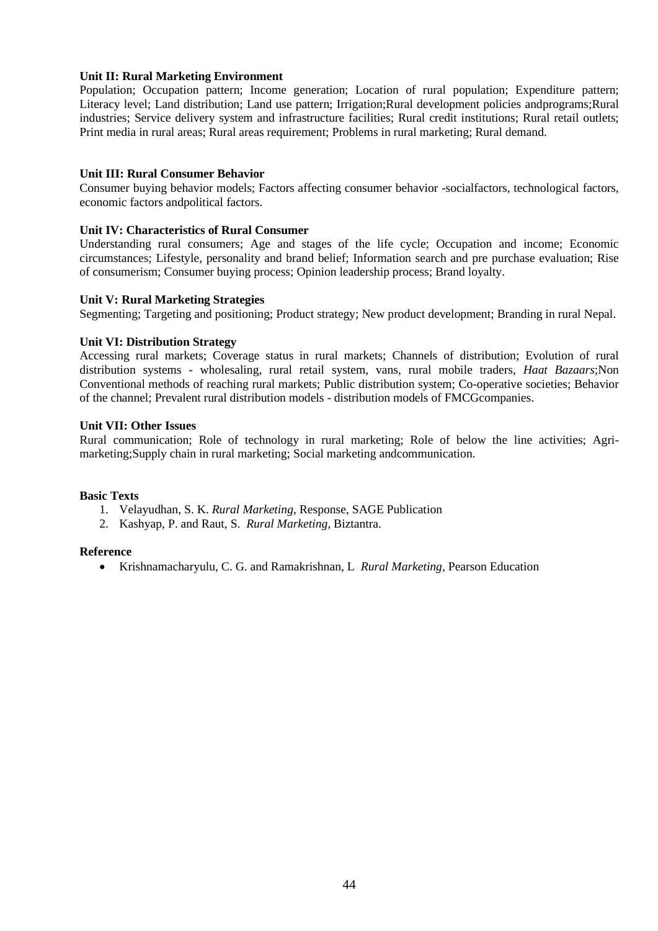## **Unit II: Rural Marketing Environment**

Population; Occupation pattern; Income generation; Location of rural population; Expenditure pattern; Literacy level; Land distribution; Land use pattern; Irrigation;Rural development policies andprograms;Rural industries; Service delivery system and infrastructure facilities; Rural credit institutions; Rural retail outlets; Print media in rural areas; Rural areas requirement; Problems in rural marketing; Rural demand.

## **Unit III: Rural Consumer Behavior**

Consumer buying behavior models; Factors affecting consumer behavior -socialfactors, technological factors, economic factors andpolitical factors.

## **Unit IV: Characteristics of Rural Consumer**

Understanding rural consumers; Age and stages of the life cycle; Occupation and income; Economic circumstances; Lifestyle, personality and brand belief; Information search and pre purchase evaluation; Rise of consumerism; Consumer buying process; Opinion leadership process; Brand loyalty.

### **Unit V: Rural Marketing Strategies**

Segmenting; Targeting and positioning; Product strategy; New product development; Branding in rural Nepal.

## **Unit VI: Distribution Strategy**

Accessing rural markets; Coverage status in rural markets; Channels of distribution; Evolution of rural distribution systems - wholesaling, rural retail system, vans, rural mobile traders, *Haat Bazaars*;Non Conventional methods of reaching rural markets; Public distribution system; Co-operative societies; Behavior of the channel; Prevalent rural distribution models - distribution models of FMCGcompanies.

### **Unit VII: Other Issues**

Rural communication; Role of technology in rural marketing; Role of below the line activities; Agrimarketing;Supply chain in rural marketing; Social marketing andcommunication.

### **Basic Texts**

- 1. Velayudhan, S. K. *Rural Marketing*, Response, SAGE Publication
- 2. Kashyap, P. and Raut, S. *Rural Marketing*, Biztantra.

### **Reference**

• Krishnamacharyulu, C. G. and Ramakrishnan, L *Rural Marketing*, Pearson Education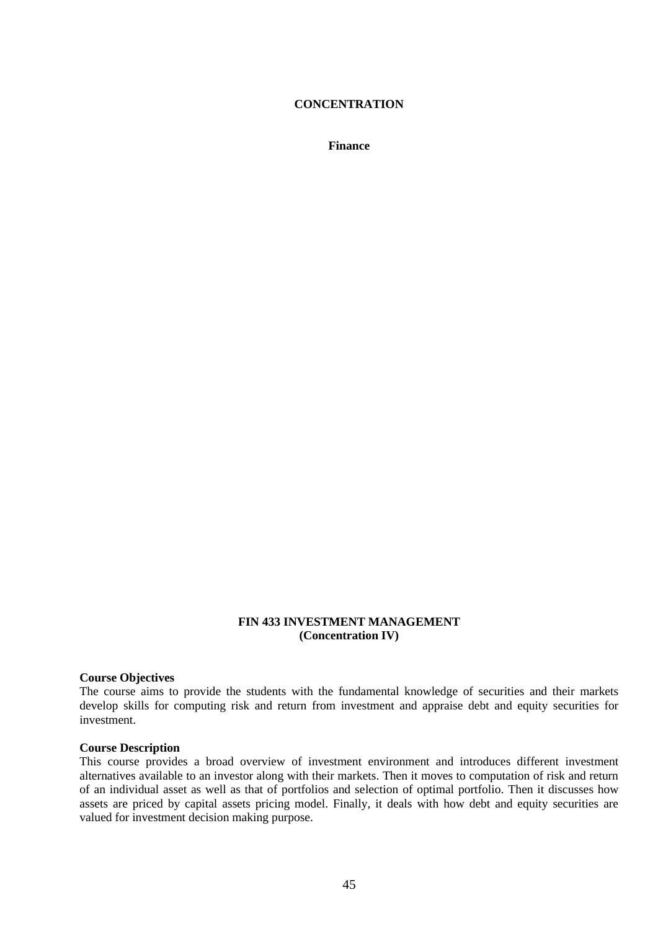## **CONCENTRATION**

**Finance**

## **FIN 433 INVESTMENT MANAGEMENT (Concentration IV)**

#### **Course Objectives**

The course aims to provide the students with the fundamental knowledge of securities and their markets develop skills for computing risk and return from investment and appraise debt and equity securities for investment.

#### **Course Description**

This course provides a broad overview of investment environment and introduces different investment alternatives available to an investor along with their markets. Then it moves to computation of risk and return of an individual asset as well as that of portfolios and selection of optimal portfolio. Then it discusses how assets are priced by capital assets pricing model. Finally, it deals with how debt and equity securities are valued for investment decision making purpose.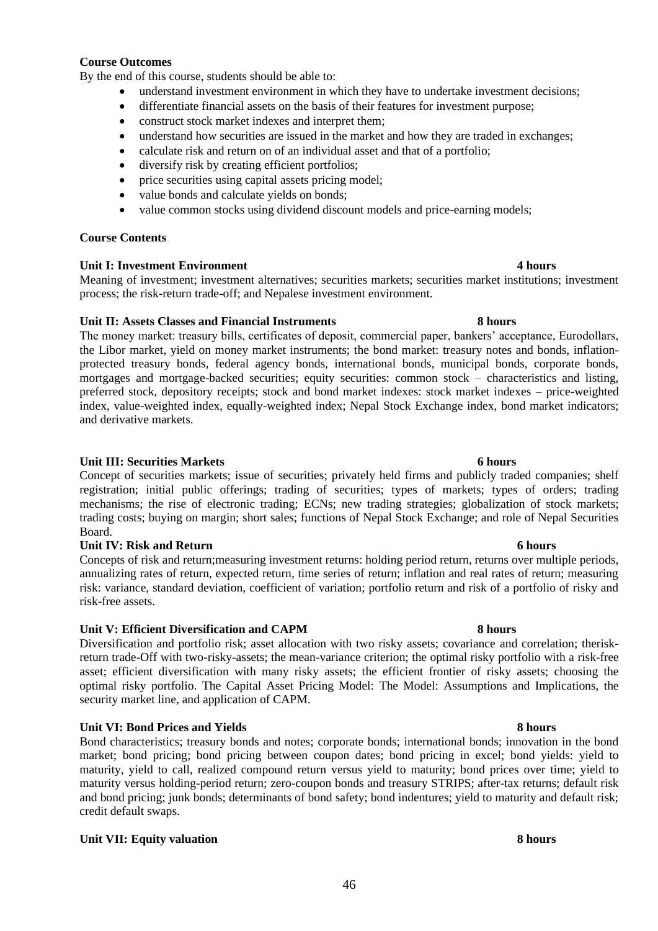## **Course Outcomes**

By the end of this course, students should be able to:

- understand investment environment in which they have to undertake investment decisions;
- differentiate financial assets on the basis of their features for investment purpose;
- construct stock market indexes and interpret them;
- understand how securities are issued in the market and how they are traded in exchanges;
- calculate risk and return on of an individual asset and that of a portfolio;
- diversify risk by creating efficient portfolios:
- price securities using capital assets pricing model;
- value bonds and calculate yields on bonds;
- value common stocks using dividend discount models and price-earning models;

## **Course Contents**

### **Unit I: Investment Environment 4 hours**

Meaning of investment; investment alternatives; securities markets; securities market institutions; investment process; the risk-return trade-off; and Nepalese investment environment.

## **Unit II: Assets Classes and Financial Instruments 8 hours**

The money market: treasury bills, certificates of deposit, commercial paper, bankers' acceptance, Eurodollars, the Libor market, yield on money market instruments; the bond market: treasury notes and bonds, inflationprotected treasury bonds, federal agency bonds, international bonds, municipal bonds, corporate bonds, mortgages and mortgage-backed securities; equity securities: common stock – characteristics and listing, preferred stock, depository receipts; stock and bond market indexes: stock market indexes – price-weighted index, value-weighted index, equally-weighted index; Nepal Stock Exchange index, bond market indicators; and derivative markets.

## **Unit III: Securities Markets 6 hours**

Concept of securities markets; issue of securities; privately held firms and publicly traded companies; shelf registration; initial public offerings; trading of securities; types of markets; types of orders; trading mechanisms; the rise of electronic trading; ECNs; new trading strategies; globalization of stock markets; trading costs; buying on margin; short sales; functions of Nepal Stock Exchange; and role of Nepal Securities Board.

### **Unit IV: Risk and Return 6 hours**

Concepts of risk and return;measuring investment returns: holding period return, returns over multiple periods, annualizing rates of return, expected return, time series of return; inflation and real rates of return; measuring risk: variance, standard deviation, coefficient of variation; portfolio return and risk of a portfolio of risky and risk-free assets.

### **Unit V: Efficient Diversification and CAPM 8 hours**

Diversification and portfolio risk; asset allocation with two risky assets; covariance and correlation; theriskreturn trade-Off with two-risky-assets; the mean-variance criterion; the optimal risky portfolio with a risk-free asset; efficient diversification with many risky assets; the efficient frontier of risky assets; choosing the optimal risky portfolio. The Capital Asset Pricing Model: The Model: Assumptions and Implications, the security market line, and application of CAPM.

## **Unit VI: Bond Prices and Yields 8 hours**

Bond characteristics; treasury bonds and notes; corporate bonds; international bonds; innovation in the bond market; bond pricing; bond pricing between coupon dates; bond pricing in excel; bond yields: yield to maturity, yield to call, realized compound return versus yield to maturity; bond prices over time; yield to maturity versus holding-period return; zero-coupon bonds and treasury STRIPS; after-tax returns; default risk and bond pricing; junk bonds; determinants of bond safety; bond indentures; yield to maturity and default risk; credit default swaps.

## **Unit VII: Equity valuation 8 hours**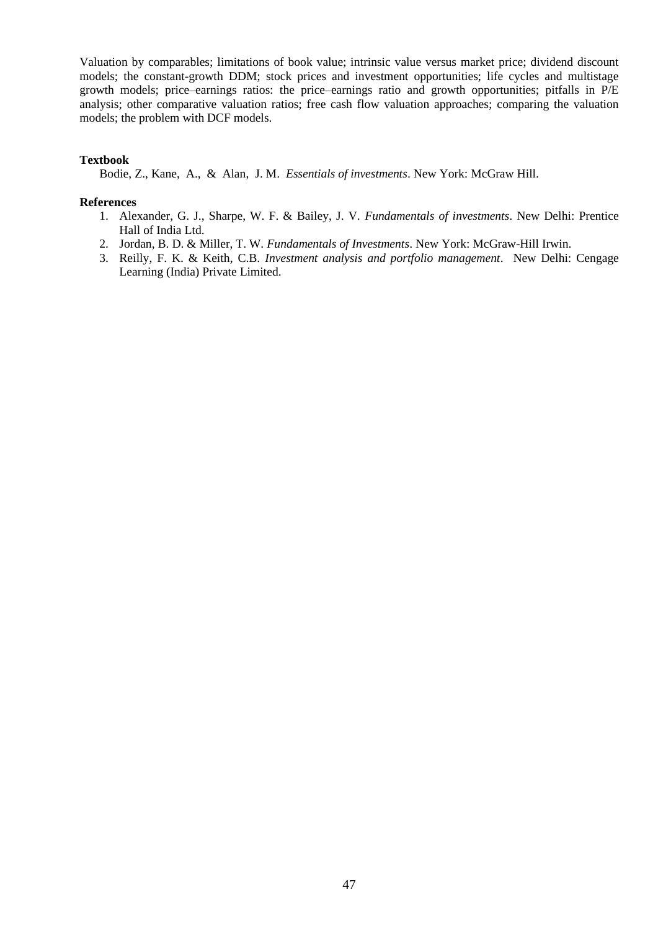Valuation by comparables; limitations of book value; intrinsic value versus market price; dividend discount models; the constant-growth DDM; stock prices and investment opportunities; life cycles and multistage growth models; price–earnings ratios: the price–earnings ratio and growth opportunities; pitfalls in P/E analysis; other comparative valuation ratios; free cash flow valuation approaches; comparing the valuation models; the problem with DCF models.

### **Textbook**

Bodie, Z., Kane, A., & Alan, J. M. *Essentials of investments*. New York: McGraw Hill.

#### **References**

- 1. Alexander, G. J., Sharpe, W. F. & Bailey, J. V. *Fundamentals of investments*. New Delhi: Prentice Hall of India Ltd.
- 2. Jordan, B. D. & Miller, T. W. *Fundamentals of Investments*. New York: McGraw-Hill Irwin.
- 3. Reilly, F. K. & Keith, C.B. *Investment analysis and portfolio management*. New Delhi: Cengage Learning (India) Private Limited.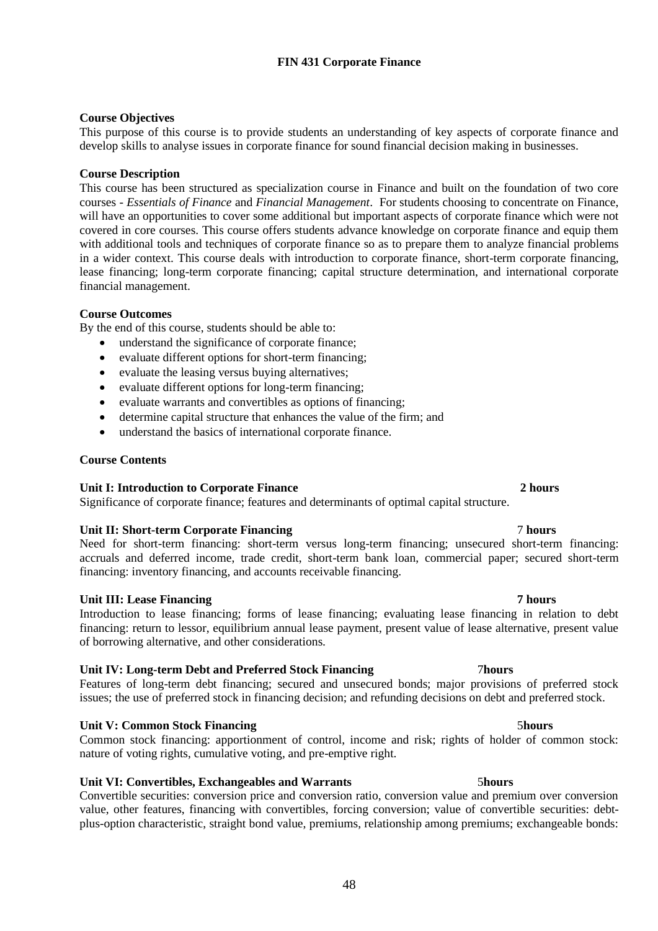## **FIN 431 Corporate Finance**

## **Course Objectives**

This purpose of this course is to provide students an understanding of key aspects of corporate finance and develop skills to analyse issues in corporate finance for sound financial decision making in businesses.

### **Course Description**

This course has been structured as specialization course in Finance and built on the foundation of two core courses - *Essentials of Finance* and *Financial Management*. For students choosing to concentrate on Finance, will have an opportunities to cover some additional but important aspects of corporate finance which were not covered in core courses. This course offers students advance knowledge on corporate finance and equip them with additional tools and techniques of corporate finance so as to prepare them to analyze financial problems in a wider context. This course deals with introduction to corporate finance, short-term corporate financing, lease financing; long-term corporate financing; capital structure determination, and international corporate financial management.

### **Course Outcomes**

By the end of this course, students should be able to:

- understand the significance of corporate finance;
- evaluate different options for short-term financing:
- evaluate the leasing versus buying alternatives:
- evaluate different options for long-term financing:
- evaluate warrants and convertibles as options of financing;
- determine capital structure that enhances the value of the firm; and
- understand the basics of international corporate finance.

### **Course Contents**

### **Unit I: Introduction to Corporate Finance 2 hours**

Significance of corporate finance; features and determinants of optimal capital structure.

### **Unit II: Short-term Corporate Financing** 7 **hours**

Need for short-term financing: short-term versus long-term financing; unsecured short-term financing: accruals and deferred income, trade credit, short-term bank loan, commercial paper; secured short-term financing: inventory financing, and accounts receivable financing.

### **Unit III: Lease Financing 7 hours**

### Introduction to lease financing; forms of lease financing; evaluating lease financing in relation to debt financing: return to lessor, equilibrium annual lease payment, present value of lease alternative, present value of borrowing alternative, and other considerations.

### **Unit IV: Long-term Debt and Preferred Stock Financing** 7**hours**

Features of long-term debt financing; secured and unsecured bonds; major provisions of preferred stock issues; the use of preferred stock in financing decision; and refunding decisions on debt and preferred stock.

### **Unit V: Common Stock Financing 55 and 5 and 5 and 5 and 5 and 5 and 5 and 5 and 5 and 5 and 5 and 5 and 5 and 5 and 5 and 5 and 5 and 5 and 5 and 5 and 5 and 5 and 5 and 5 and 5 and 5 and 5 and 5 and 5 and 5 and 5 and 5 a**

Common stock financing: apportionment of control, income and risk; rights of holder of common stock: nature of voting rights, cumulative voting, and pre-emptive right.

### **Unit VI: Convertibles, Exchangeables and Warrants** 5**hours**

Convertible securities: conversion price and conversion ratio, conversion value and premium over conversion value, other features, financing with convertibles, forcing conversion; value of convertible securities: debtplus-option characteristic, straight bond value, premiums, relationship among premiums; exchangeable bonds: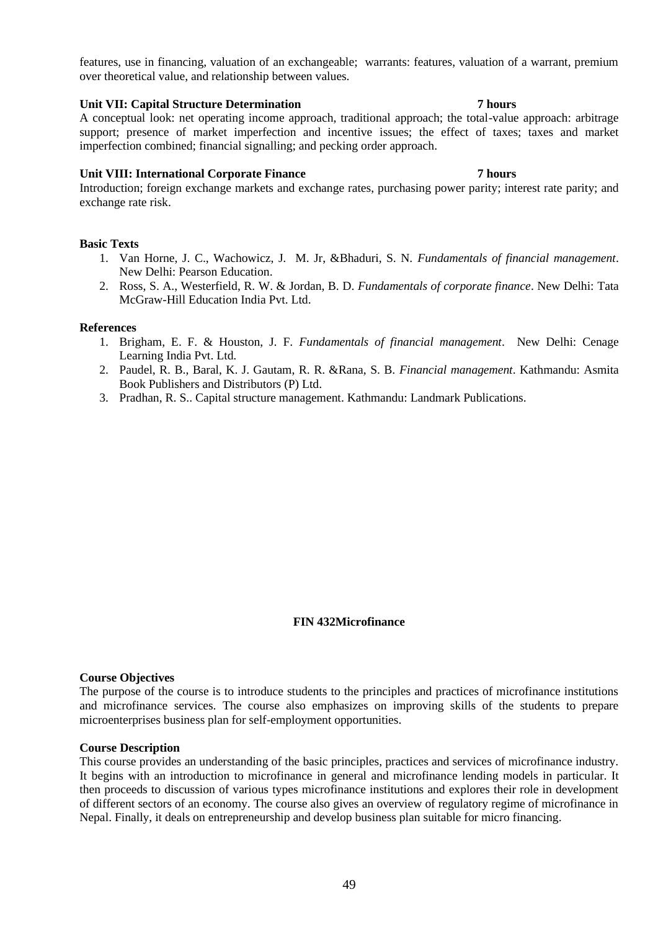features, use in financing, valuation of an exchangeable; warrants: features, valuation of a warrant, premium over theoretical value, and relationship between values.

### **Unit VII: Capital Structure Determination 7 hours**

A conceptual look: net operating income approach, traditional approach; the total-value approach: arbitrage support; presence of market imperfection and incentive issues; the effect of taxes; taxes and market imperfection combined; financial signalling; and pecking order approach.

### **Unit VIII: International Corporate Finance 7 hours**

Introduction; foreign exchange markets and exchange rates, purchasing power parity; interest rate parity; and exchange rate risk.

### **Basic Texts**

- 1. Van Horne, J. C., Wachowicz, J. M. Jr, &Bhaduri, S. N. *Fundamentals of financial management*. New Delhi: Pearson Education.
- 2. Ross, S. A., Westerfield, R. W. & Jordan, B. D. *Fundamentals of corporate finance*. New Delhi: Tata McGraw-Hill Education India Pvt. Ltd.

#### **References**

- 1. Brigham, E. F. & Houston, J. F. *Fundamentals of financial management*. New Delhi: Cenage Learning India Pvt. Ltd.
- 2. Paudel, R. B., Baral, K. J. Gautam, R. R. &Rana, S. B. *Financial management*. Kathmandu: Asmita Book Publishers and Distributors (P) Ltd.
- 3. Pradhan, R. S.. Capital structure management. Kathmandu: Landmark Publications.

### **FIN 432Microfinance**

#### **Course Objectives**

The purpose of the course is to introduce students to the principles and practices of microfinance institutions and microfinance services. The course also emphasizes on improving skills of the students to prepare microenterprises business plan for self-employment opportunities.

#### **Course Description**

This course provides an understanding of the basic principles, practices and services of microfinance industry. It begins with an introduction to microfinance in general and microfinance lending models in particular. It then proceeds to discussion of various types microfinance institutions and explores their role in development of different sectors of an economy. The course also gives an overview of regulatory regime of microfinance in Nepal. Finally, it deals on entrepreneurship and develop business plan suitable for micro financing.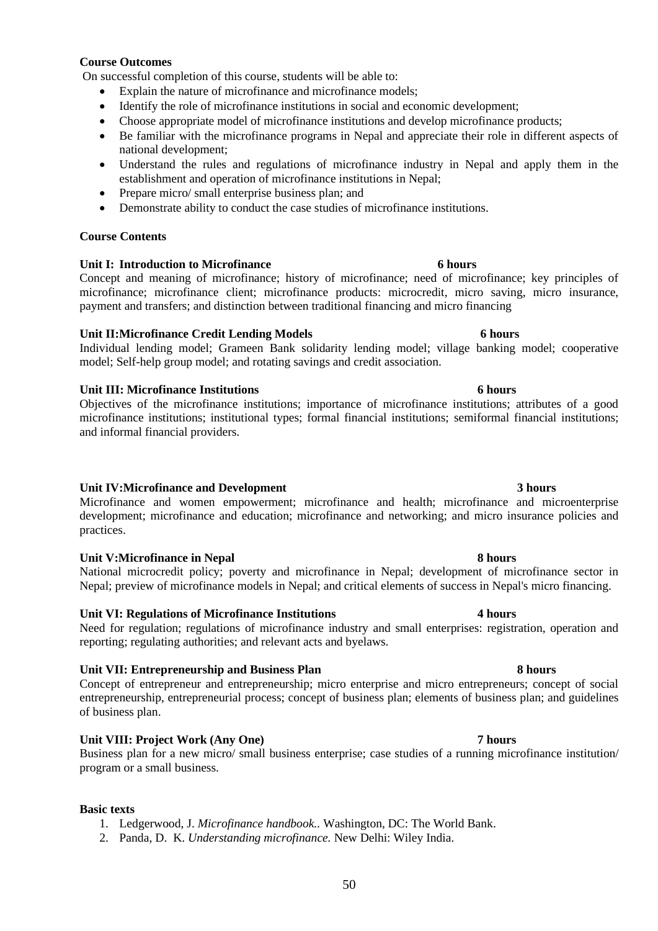## 50

### **Course Outcomes**

On successful completion of this course, students will be able to:

- Explain the nature of microfinance and microfinance models;
- Identify the role of microfinance institutions in social and economic development;
- Choose appropriate model of microfinance institutions and develop microfinance products;
- Be familiar with the microfinance programs in Nepal and appreciate their role in different aspects of national development;
- Understand the rules and regulations of microfinance industry in Nepal and apply them in the establishment and operation of microfinance institutions in Nepal;
- Prepare micro/ small enterprise business plan; and
- Demonstrate ability to conduct the case studies of microfinance institutions.

## **Course Contents**

## **Unit I: Introduction to Microfinance 6 hours**

Concept and meaning of microfinance; history of microfinance; need of microfinance; key principles of microfinance; microfinance client; microfinance products: microcredit, micro saving, micro insurance, payment and transfers; and distinction between traditional financing and micro financing

### **Unit II:Microfinance Credit Lending Models 6 hours**

Individual lending model; Grameen Bank solidarity lending model; village banking model; cooperative model; Self-help group model; and rotating savings and credit association.

## **Unit III: Microfinance Institutions 6 hours**

Objectives of the microfinance institutions; importance of microfinance institutions; attributes of a good microfinance institutions; institutional types; formal financial institutions; semiformal financial institutions; and informal financial providers.

### **Unit IV:Microfinance and Development 3 hours**

Microfinance and women empowerment; microfinance and health; microfinance and microenterprise development; microfinance and education; microfinance and networking; and micro insurance policies and practices.

### **Unit V:Microfinance in Nepal 8 hours**

National microcredit policy; poverty and microfinance in Nepal; development of microfinance sector in Nepal; preview of microfinance models in Nepal; and critical elements of success in Nepal's micro financing.

### **Unit VI: Regulations of Microfinance Institutions 4 hours**

Need for regulation; regulations of microfinance industry and small enterprises: registration, operation and reporting; regulating authorities; and relevant acts and byelaws.

### **Unit VII: Entrepreneurship and Business Plan 8 hours**

Concept of entrepreneur and entrepreneurship; micro enterprise and micro entrepreneurs; concept of social entrepreneurship, entrepreneurial process; concept of business plan; elements of business plan; and guidelines of business plan.

## **Unit VIII: Project Work (Any One) 7 hours**

Business plan for a new micro/ small business enterprise; case studies of a running microfinance institution/ program or a small business.

### **Basic texts**

- 1. Ledgerwood, J. *Microfinance handbook..* Washington, DC: The World Bank.
- 2. Panda, D. K. *Understanding microfinance.* New Delhi: Wiley India.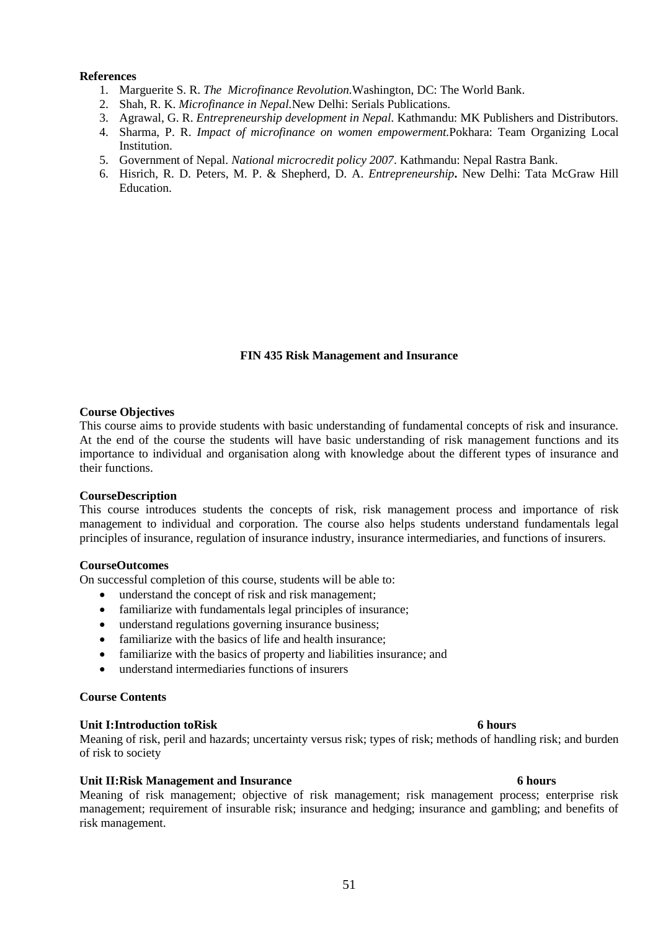### **References**

- 1. Marguerite S. R. *The Microfinance Revolution.*Washington, DC: The World Bank.
- 2. Shah, R. K. *Microfinance in Nepal.*New Delhi: Serials Publications.
- 3. Agrawal, G. R. *Entrepreneurship development in Nepal.* Kathmandu: MK Publishers and Distributors.
- 4. Sharma, P. R. *Impact of microfinance on women empowerment.*Pokhara: Team Organizing Local Institution.
- 5. Government of Nepal. *National microcredit policy 2007*. Kathmandu: Nepal Rastra Bank.
- 6. Hisrich, R. D. Peters, M. P. & Shepherd, D. A. *Entrepreneurship***.** New Delhi: Tata McGraw Hill Education.

### **FIN 435 Risk Management and Insurance**

#### **Course Objectives**

This course aims to provide students with basic understanding of fundamental concepts of risk and insurance. At the end of the course the students will have basic understanding of risk management functions and its importance to individual and organisation along with knowledge about the different types of insurance and their functions.

#### **CourseDescription**

This course introduces students the concepts of risk, risk management process and importance of risk management to individual and corporation. The course also helps students understand fundamentals legal principles of insurance, regulation of insurance industry, insurance intermediaries, and functions of insurers.

### **CourseOutcomes**

On successful completion of this course, students will be able to:

- understand the concept of risk and risk management;
- familiarize with fundamentals legal principles of insurance;
- understand regulations governing insurance business;
- familiarize with the basics of life and health insurance;
- familiarize with the basics of property and liabilities insurance; and
- understand intermediaries functions of insurers

## **Course Contents**

#### **Unit I:Introduction toRisk 6 hours**

Meaning of risk, peril and hazards; uncertainty versus risk; types of risk; methods of handling risk; and burden of risk to society

#### **Unit II:Risk Management and Insurance 6 hours**

Meaning of risk management; objective of risk management; risk management process; enterprise risk management; requirement of insurable risk; insurance and hedging; insurance and gambling; and benefits of risk management.

#### 51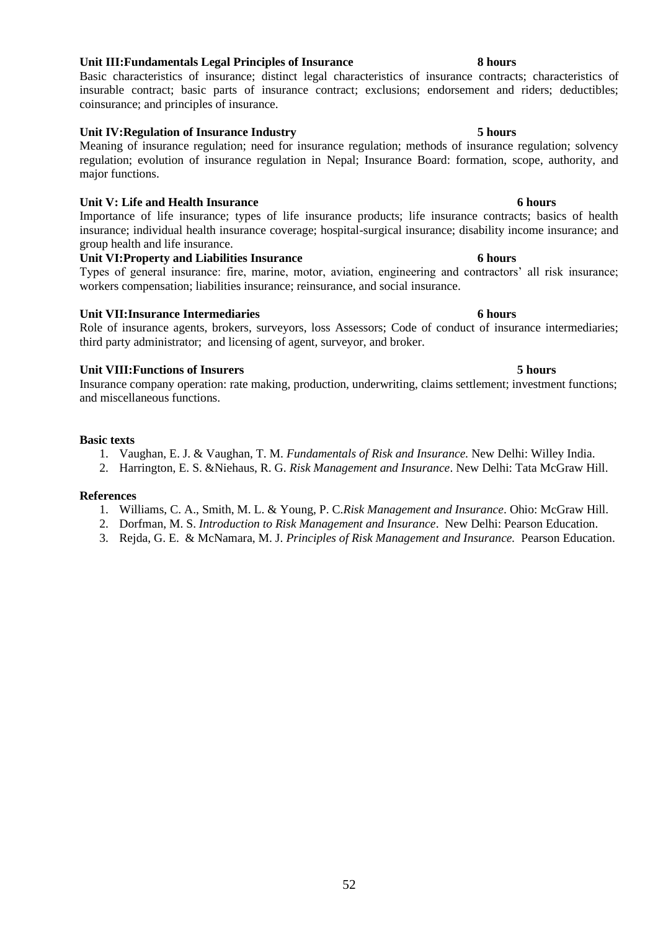## **Unit III:Fundamentals Legal Principles of Insurance 8 hours**

Basic characteristics of insurance; distinct legal characteristics of insurance contracts; characteristics of insurable contract; basic parts of insurance contract; exclusions; endorsement and riders; deductibles; coinsurance; and principles of insurance.

**Unit IV:Regulation of Insurance Industry 5 hours** Meaning of insurance regulation; need for insurance regulation; methods of insurance regulation; solvency regulation; evolution of insurance regulation in Nepal; Insurance Board: formation, scope, authority, and major functions.

### **Unit V: Life and Health Insurance 6 hours**

Importance of life insurance; types of life insurance products; life insurance contracts; basics of health insurance; individual health insurance coverage; hospital-surgical insurance; disability income insurance; and group health and life insurance.

### **Unit VI:Property and Liabilities Insurance 6 hours**

Types of general insurance: fire, marine, motor, aviation, engineering and contractors' all risk insurance; workers compensation; liabilities insurance; reinsurance, and social insurance.

### **Unit VII:Insurance Intermediaries 6 hours**

Role of insurance agents, brokers, surveyors, loss Assessors; Code of conduct of insurance intermediaries; third party administrator; and licensing of agent, surveyor, and broker.

### **Unit VIII:Functions of Insurers 5 hours**

Insurance company operation: rate making, production, underwriting, claims settlement; investment functions; and miscellaneous functions.

### **Basic texts**

- 1. Vaughan, E. J. & Vaughan, T. M. *Fundamentals of Risk and Insurance.* New Delhi: Willey India.
- 2. Harrington, E. S. &Niehaus, R. G. *Risk Management and Insurance*. New Delhi: Tata McGraw Hill.

#### **References**

- 1. Williams, C. A., Smith, M. L. & Young, P. C.*Risk Management and Insurance*. Ohio: McGraw Hill.
- 2. Dorfman, M. S. *Introduction to Risk Management and Insurance*. New Delhi: Pearson Education.
- 3. Rejda, G. E. & McNamara, M. J. *Principles of Risk Management and Insurance.* Pearson Education.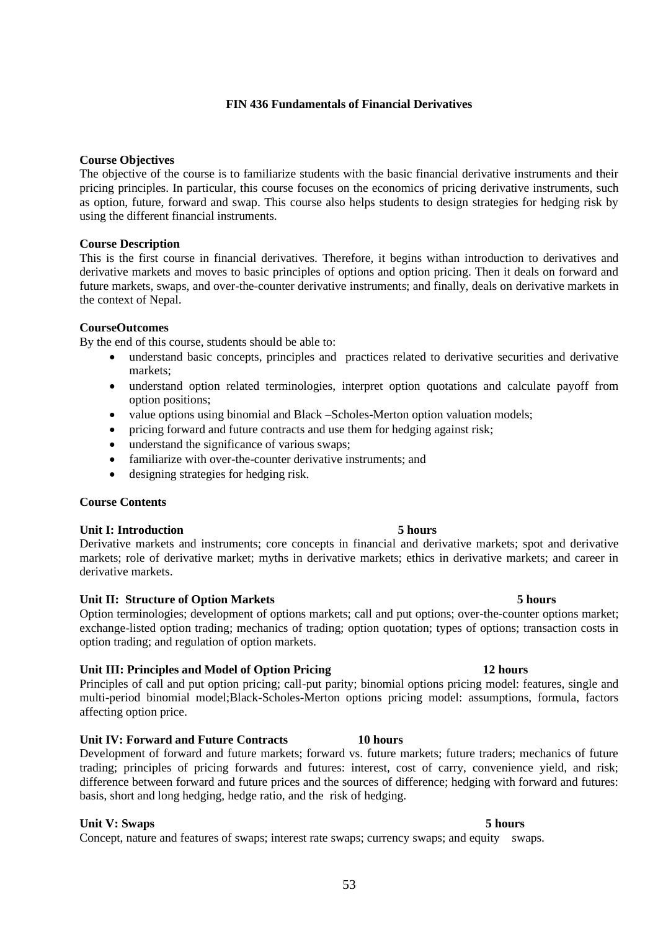## **FIN 436 Fundamentals of Financial Derivatives**

### **Course Objectives**

The objective of the course is to familiarize students with the basic financial derivative instruments and their pricing principles. In particular, this course focuses on the economics of pricing derivative instruments, such as option, future, forward and swap. This course also helps students to design strategies for hedging risk by using the different financial instruments.

### **Course Description**

This is the first course in financial derivatives. Therefore, it begins withan introduction to derivatives and derivative markets and moves to basic principles of options and option pricing. Then it deals on forward and future markets, swaps, and over-the-counter derivative instruments; and finally, deals on derivative markets in the context of Nepal.

### **CourseOutcomes**

By the end of this course, students should be able to:

- understand basic concepts, principles and practices related to derivative securities and derivative markets;
- understand option related terminologies, interpret option quotations and calculate payoff from option positions;
- value options using binomial and Black –Scholes-Merton option valuation models;
- pricing forward and future contracts and use them for hedging against risk;
- understand the significance of various swaps;
- familiarize with over-the-counter derivative instruments; and
- designing strategies for hedging risk.

### **Course Contents**

### **Unit I: Introduction 5 hours**

Derivative markets and instruments; core concepts in financial and derivative markets; spot and derivative markets; role of derivative market; myths in derivative markets; ethics in derivative markets; and career in derivative markets.

### **Unit II: Structure of Option Markets 5 hours**

Option terminologies; development of options markets; call and put options; over-the-counter options market; exchange-listed option trading; mechanics of trading; option quotation; types of options; transaction costs in option trading; and regulation of option markets.

### **Unit III: Principles and Model of Option Pricing 12 hours**

Principles of call and put option pricing; call-put parity; binomial options pricing model: features, single and multi-period binomial model;Black-Scholes-Merton options pricing model: assumptions, formula, factors affecting option price.

#### **Unit IV: Forward and Future Contracts 10 hours**

Development of forward and future markets; forward vs. future markets; future traders; mechanics of future trading; principles of pricing forwards and futures: interest, cost of carry, convenience yield, and risk; difference between forward and future prices and the sources of difference; hedging with forward and futures: basis, short and long hedging, hedge ratio, and the risk of hedging.

#### **Unit V:** Swaps 5 hours

Concept, nature and features of swaps; interest rate swaps; currency swaps; and equity swaps.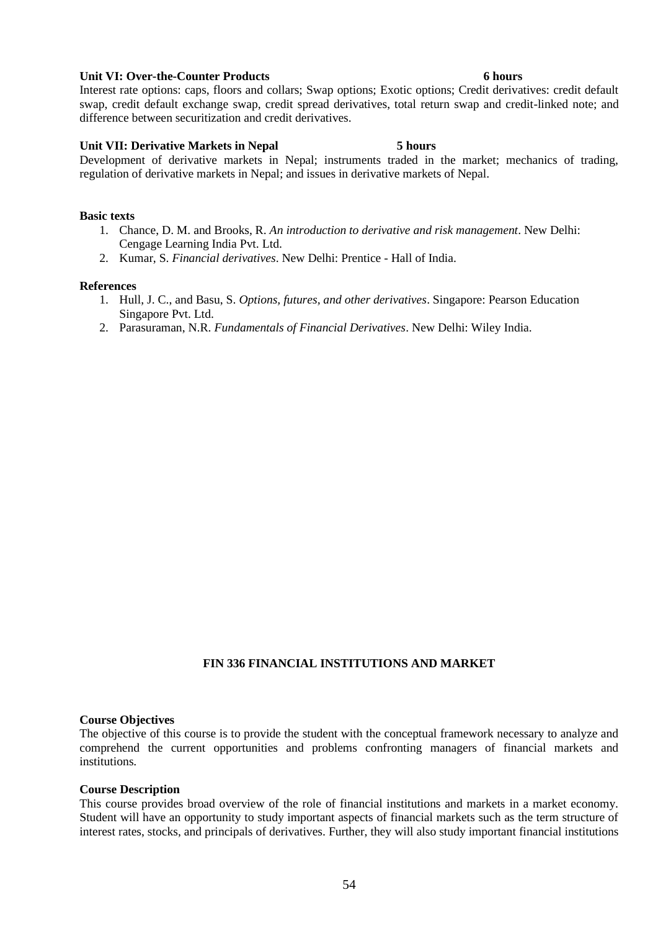#### **Unit VI: Over-the-Counter Products 6 hours**

Interest rate options: caps, floors and collars; Swap options; Exotic options; Credit derivatives: credit default swap, credit default exchange swap, credit spread derivatives, total return swap and credit-linked note; and difference between securitization and credit derivatives.

### **Unit VII: Derivative Markets in Nepal 5 hours**

Development of derivative markets in Nepal; instruments traded in the market; mechanics of trading, regulation of derivative markets in Nepal; and issues in derivative markets of Nepal.

### **Basic texts**

- 1. Chance, D. M. and Brooks, R. *An introduction to derivative and risk management*. New Delhi: Cengage Learning India Pvt. Ltd.
- 2. Kumar, S. *Financial derivatives*. New Delhi: Prentice Hall of India.

#### **References**

- 1. Hull, J. C., and Basu, S. *Options, futures, and other derivatives*. Singapore: Pearson Education Singapore Pvt. Ltd.
- 2. Parasuraman, N.R. *Fundamentals of Financial Derivatives*. New Delhi: Wiley India.

## **FIN 336 FINANCIAL INSTITUTIONS AND MARKET**

#### **Course Objectives**

The objective of this course is to provide the student with the conceptual framework necessary to analyze and comprehend the current opportunities and problems confronting managers of financial markets and institutions.

#### **Course Description**

This course provides broad overview of the role of financial institutions and markets in a market economy. Student will have an opportunity to study important aspects of financial markets such as the term structure of interest rates, stocks, and principals of derivatives. Further, they will also study important financial institutions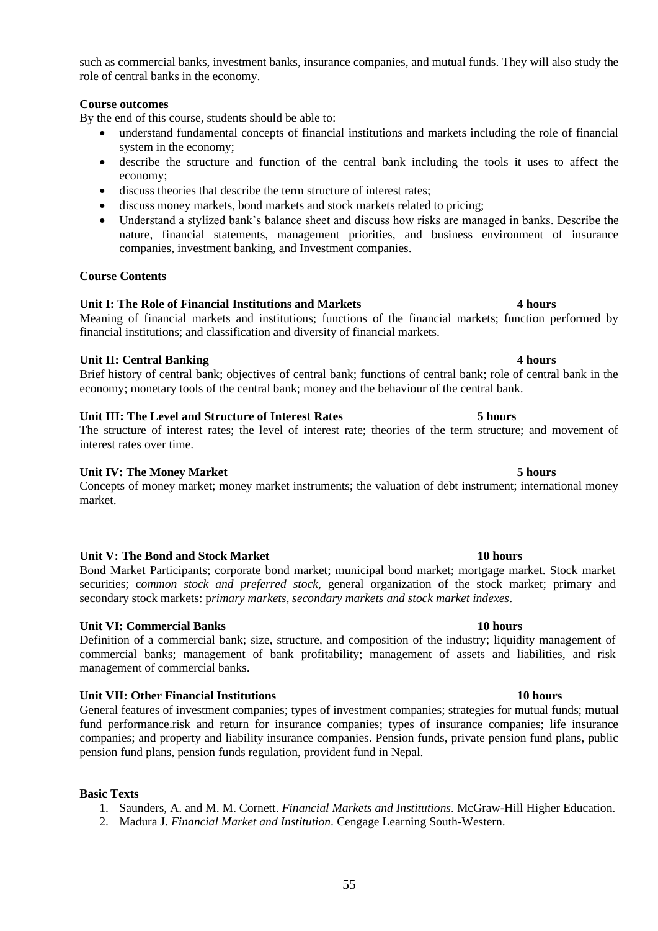such as commercial banks, investment banks, insurance companies, and mutual funds. They will also study the role of central banks in the economy.

## **Course outcomes**

By the end of this course, students should be able to:

- understand fundamental concepts of financial institutions and markets including the role of financial system in the economy;
- describe the structure and function of the central bank including the tools it uses to affect the economy;
- discuss theories that describe the term structure of interest rates;
- discuss money markets, bond markets and stock markets related to pricing;
- Understand a stylized bank's balance sheet and discuss how risks are managed in banks. Describe the nature, financial statements, management priorities, and business environment of insurance companies, investment banking, and Investment companies.

## **Course Contents**

## **Unit I: The Role of Financial Institutions and Markets 4 hours**

Meaning of financial markets and institutions; functions of the financial markets; function performed by financial institutions; and classification and diversity of financial markets.

## **Unit II: Central Banking 4 hours**

Brief history of central bank; objectives of central bank; functions of central bank; role of central bank in the economy; monetary tools of the central bank; money and the behaviour of the central bank.

## **Unit III: The Level and Structure of Interest Rates 5 hours**

The structure of interest rates; the level of interest rate; theories of the term structure; and movement of interest rates over time.

## **Unit IV: The Money Market 5 hours**

Concepts of money market; money market instruments; the valuation of debt instrument; international money market.

### Unit V: The Bond and Stock Market 10 **hours** 10 **hours**

Bond Market Participants; corporate bond market; municipal bond market; mortgage market. Stock market securities; c*ommon stock and preferred stock*, general organization of the stock market; primary and secondary stock markets: p*rimary markets, secondary markets and stock market indexes*.

## **Unit VI: Commercial Banks 10 hours**

Definition of a commercial bank; size, structure, and composition of the industry; liquidity management of commercial banks; management of bank profitability; management of assets and liabilities, and risk management of commercial banks.

## **Unit VII: Other Financial Institutions 10 hours**

General features of investment companies; types of investment companies; strategies for mutual funds; mutual fund performance.risk and return for insurance companies; types of insurance companies; life insurance companies; and property and liability insurance companies. Pension funds, private pension fund plans, public pension fund plans, pension funds regulation, provident fund in Nepal.

### **Basic Texts**

- 1. Saunders, A. and M. M. Cornett. *Financial Markets and Institutions*. McGraw-Hill Higher Education.
- 2. Madura J. *Financial Market and Institution.* Cengage Learning South-Western.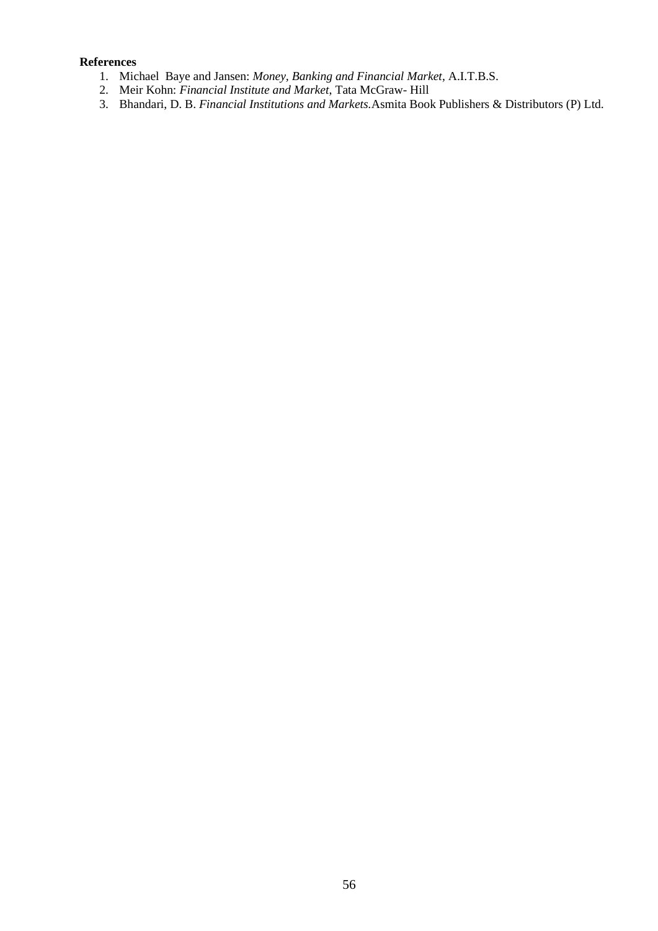## **References**

- 1. Michael Baye and Jansen: *Money, Banking and Financial Market*, A.I.T.B.S.
- 2. Meir Kohn: *Financial Institute and Market*, Tata McGraw- Hill
- 3. Bhandari, D. B. *Financial Institutions and Markets.*Asmita Book Publishers & Distributors (P) Ltd.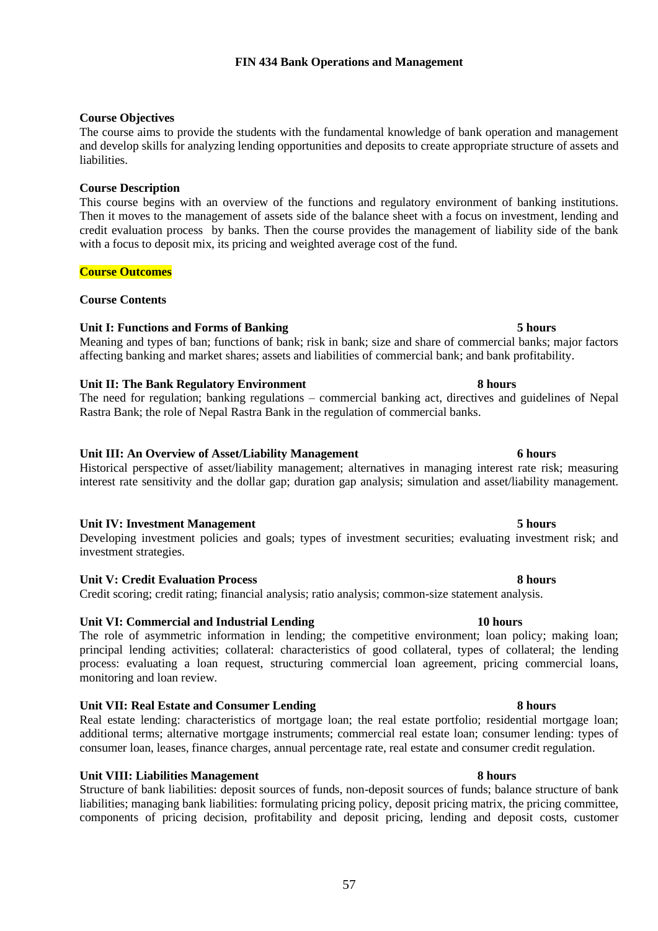## **FIN 434 Bank Operations and Management**

### **Course Objectives**

The course aims to provide the students with the fundamental knowledge of bank operation and management and develop skills for analyzing lending opportunities and deposits to create appropriate structure of assets and liabilities.

### **Course Description**

This course begins with an overview of the functions and regulatory environment of banking institutions. Then it moves to the management of assets side of the balance sheet with a focus on investment, lending and credit evaluation process by banks. Then the course provides the management of liability side of the bank with a focus to deposit mix, its pricing and weighted average cost of the fund.

### **Course Outcomes**

### **Course Contents**

### **Unit I: Functions and Forms of Banking 5 hours**

Meaning and types of ban; functions of bank; risk in bank; size and share of commercial banks; major factors affecting banking and market shares; assets and liabilities of commercial bank; and bank profitability.

### **Unit II: The Bank Regulatory Environment 8 hours**

The need for regulation; banking regulations – commercial banking act, directives and guidelines of Nepal Rastra Bank; the role of Nepal Rastra Bank in the regulation of commercial banks.

### **Unit III: An Overview of Asset/Liability Management 6 hours**

### Historical perspective of asset/liability management; alternatives in managing interest rate risk; measuring interest rate sensitivity and the dollar gap; duration gap analysis; simulation and asset/liability management.

### **Unit IV: Investment Management 5 hours**

Developing investment policies and goals; types of investment securities; evaluating investment risk; and investment strategies.

#### **Unit V: Credit Evaluation Process 8 hours**

Credit scoring; credit rating; financial analysis; ratio analysis; common-size statement analysis.

## **Unit VI: Commercial and Industrial Lending 10 hours**

The role of asymmetric information in lending; the competitive environment; loan policy; making loan; principal lending activities; collateral: characteristics of good collateral, types of collateral; the lending process: evaluating a loan request, structuring commercial loan agreement, pricing commercial loans, monitoring and loan review.

### **Unit VII: Real Estate and Consumer Lending 8 hours**

Real estate lending: characteristics of mortgage loan; the real estate portfolio; residential mortgage loan; additional terms; alternative mortgage instruments; commercial real estate loan; consumer lending: types of consumer loan, leases, finance charges, annual percentage rate, real estate and consumer credit regulation.

### **Unit VIII: Liabilities Management 8 hours**

Structure of bank liabilities: deposit sources of funds, non-deposit sources of funds; balance structure of bank liabilities; managing bank liabilities: formulating pricing policy, deposit pricing matrix, the pricing committee, components of pricing decision, profitability and deposit pricing, lending and deposit costs, customer

### 57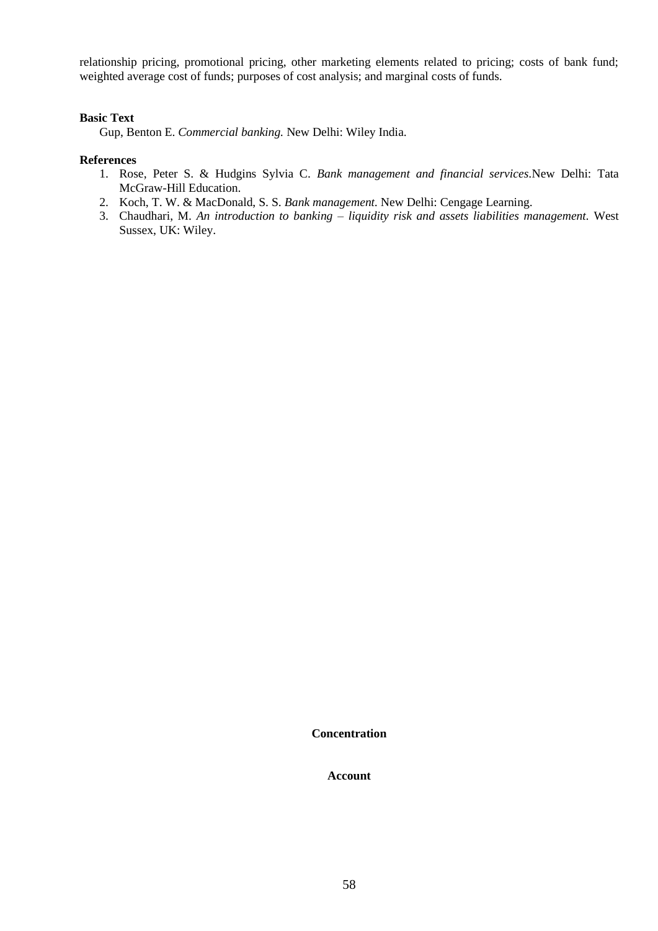relationship pricing, promotional pricing, other marketing elements related to pricing; costs of bank fund; weighted average cost of funds; purposes of cost analysis; and marginal costs of funds.

### **Basic Text**

Gup, Benton E. *Commercial banking.* New Delhi: Wiley India.

#### **References**

- 1. Rose, Peter S. & Hudgins Sylvia C. *Bank management and financial services.*New Delhi: Tata McGraw-Hill Education.
- 2. Koch, T. W. & MacDonald, S. S. *Bank management.* New Delhi: Cengage Learning.
- 3. Chaudhari, M. *An introduction to banking – liquidity risk and assets liabilities management.* West Sussex, UK: Wiley.

**Concentration**

**Account**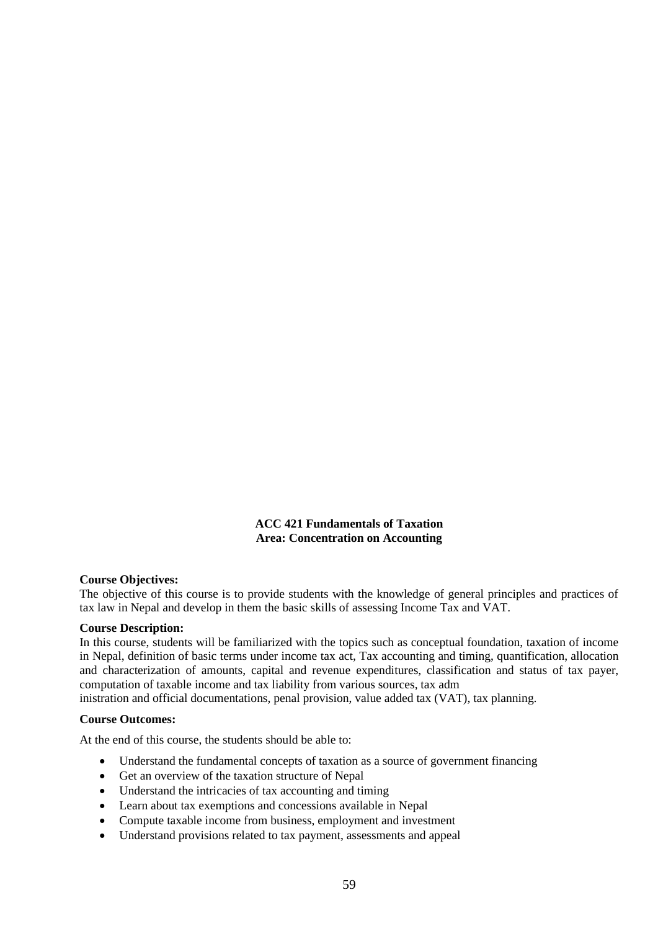**ACC 421 Fundamentals of Taxation Area: Concentration on Accounting**

### **Course Objectives:**

The objective of this course is to provide students with the knowledge of general principles and practices of tax law in Nepal and develop in them the basic skills of assessing Income Tax and VAT.

### **Course Description:**

In this course, students will be familiarized with the topics such as conceptual foundation, taxation of income in Nepal, definition of basic terms under income tax act, Tax accounting and timing, quantification, allocation and characterization of amounts, capital and revenue expenditures, classification and status of tax payer, computation of taxable income and tax liability from various sources, tax adm

inistration and official documentations, penal provision, value added tax (VAT), tax planning.

#### **Course Outcomes:**

At the end of this course, the students should be able to:

- Understand the fundamental concepts of taxation as a source of government financing
- Get an overview of the taxation structure of Nepal
- Understand the intricacies of tax accounting and timing
- Learn about tax exemptions and concessions available in Nepal
- Compute taxable income from business, employment and investment
- Understand provisions related to tax payment, assessments and appeal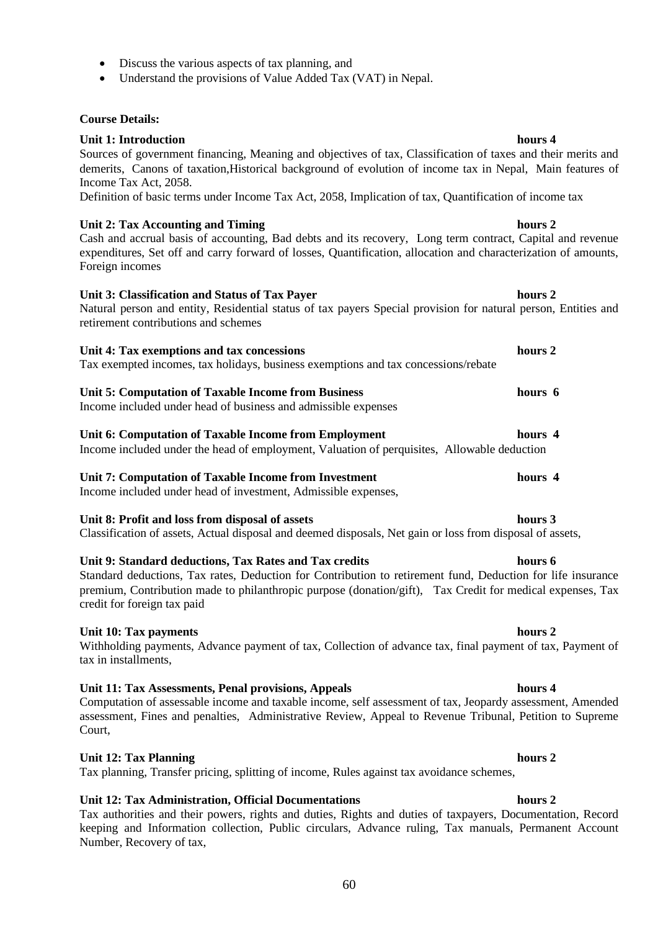- Discuss the various aspects of tax planning, and
- Understand the provisions of Value Added Tax (VAT) in Nepal.

## **Course Details:**

## **Unit 1: Introduction hours 4 hours 4**

Sources of government financing, Meaning and objectives of tax, Classification of taxes and their merits and demerits, Canons of taxation,Historical background of evolution of income tax in Nepal, Main features of Income Tax Act, 2058.

Definition of basic terms under Income Tax Act, 2058, Implication of tax, Quantification of income tax

## Unit 2: Tax Accounting and Timing **hours 2**

Cash and accrual basis of accounting, Bad debts and its recovery, Long term contract, Capital and revenue expenditures, Set off and carry forward of losses, Quantification, allocation and characterization of amounts, Foreign incomes

### **Unit 3: Classification and Status of Tax Payer hours 2**

Natural person and entity, Residential status of tax payers Special provision for natural person, Entities and retirement contributions and schemes

### **Unit 4: Tax exemptions and tax concessions hours 2**

Tax exempted incomes, tax holidays, business exemptions and tax concessions/rebate

## **Unit 5: Computation of Taxable Income from Business hours 6**

Income included under head of business and admissible expenses

#### **Unit 6: Computation of Taxable Income from Employment hours 4** Income included under the head of employment, Valuation of perquisites, Allowable deduction

**Unit 7: Computation of Taxable Income from Investment hours 4** Income included under head of investment, Admissible expenses,

### **Unit 8: Profit and loss from disposal of assets hours 3**

Classification of assets, Actual disposal and deemed disposals, Net gain or loss from disposal of assets,

### **Unit 9: Standard deductions, Tax Rates and Tax credits hours 6**

Standard deductions, Tax rates, Deduction for Contribution to retirement fund, Deduction for life insurance premium, Contribution made to philanthropic purpose (donation/gift), Tax Credit for medical expenses, Tax credit for foreign tax paid

### Unit 10: Tax payments hours 2

Withholding payments, Advance payment of tax, Collection of advance tax, final payment of tax, Payment of tax in installments,

### **Unit 11: Tax Assessments, Penal provisions, Appeals hours 4**

Computation of assessable income and taxable income, self assessment of tax, Jeopardy assessment, Amended assessment, Fines and penalties, Administrative Review, Appeal to Revenue Tribunal, Petition to Supreme Court,

## **Unit 12: Tax Planning hours 2**

Tax planning, Transfer pricing, splitting of income, Rules against tax avoidance schemes,

## **Unit 12: Tax Administration, Official Documentations hours 2**

Tax authorities and their powers, rights and duties, Rights and duties of taxpayers, Documentation, Record keeping and Information collection, Public circulars, Advance ruling, Tax manuals, Permanent Account Number, Recovery of tax,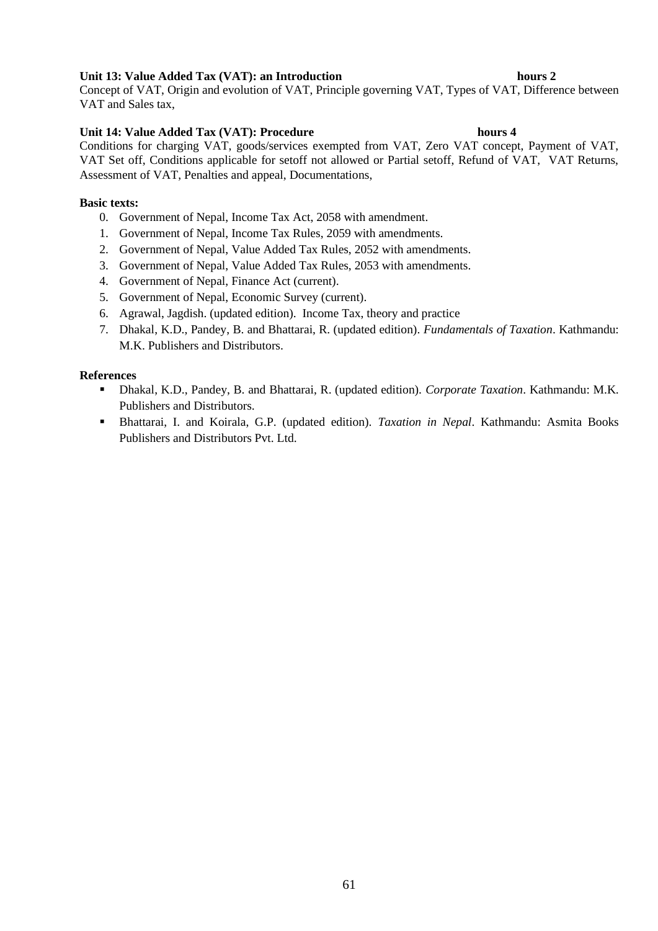## **Unit 13: Value Added Tax (VAT): an Introduction hours 2**

Concept of VAT, Origin and evolution of VAT, Principle governing VAT, Types of VAT, Difference between VAT and Sales tax,

## **Unit 14: Value Added Tax (VAT): Procedure hours 4**

Conditions for charging VAT, goods/services exempted from VAT, Zero VAT concept, Payment of VAT, VAT Set off, Conditions applicable for setoff not allowed or Partial setoff, Refund of VAT, VAT Returns, Assessment of VAT, Penalties and appeal, Documentations,

## **Basic texts:**

- 0. Government of Nepal, Income Tax Act, 2058 with amendment.
- 1. Government of Nepal, Income Tax Rules, 2059 with amendments.
- 2. Government of Nepal, Value Added Tax Rules, 2052 with amendments.
- 3. Government of Nepal, Value Added Tax Rules, 2053 with amendments.
- 4. Government of Nepal, Finance Act (current).
- 5. Government of Nepal, Economic Survey (current).
- 6. Agrawal, Jagdish. (updated edition). Income Tax, theory and practice
- 7. Dhakal, K.D., Pandey, B. and Bhattarai, R. (updated edition). *Fundamentals of Taxation*. Kathmandu: M.K. Publishers and Distributors.

## **References**

- Dhakal, K.D., Pandey, B. and Bhattarai, R. (updated edition). *Corporate Taxation*. Kathmandu: M.K. Publishers and Distributors.
- Bhattarai, I. and Koirala, G.P. (updated edition). *Taxation in Nepal*. Kathmandu: Asmita Books Publishers and Distributors Pvt. Ltd.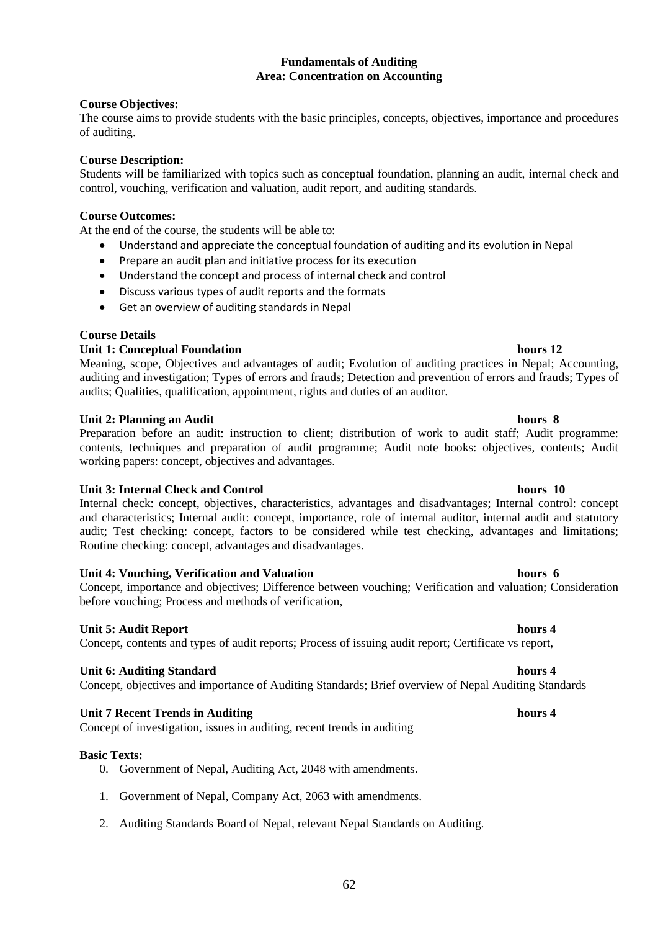## **Fundamentals of Auditing Area: Concentration on Accounting**

## **Course Objectives:**

The course aims to provide students with the basic principles, concepts, objectives, importance and procedures of auditing.

## **Course Description:**

Students will be familiarized with topics such as conceptual foundation, planning an audit, internal check and control, vouching, verification and valuation, audit report, and auditing standards.

## **Course Outcomes:**

At the end of the course, the students will be able to:

- Understand and appreciate the conceptual foundation of auditing and its evolution in Nepal
- Prepare an audit plan and initiative process for its execution
- Understand the concept and process of internal check and control
- Discuss various types of audit reports and the formats
- Get an overview of auditing standards in Nepal

## **Course Details**

## **Unit 1: Conceptual Foundation hours 12 hours 12**

Meaning, scope, Objectives and advantages of audit; Evolution of auditing practices in Nepal; Accounting, auditing and investigation; Types of errors and frauds; Detection and prevention of errors and frauds; Types of audits; Qualities, qualification, appointment, rights and duties of an auditor.

## **Unit 2: Planning an Audit hours 8**

Preparation before an audit: instruction to client; distribution of work to audit staff; Audit programme: contents, techniques and preparation of audit programme; Audit note books: objectives, contents; Audit working papers: concept, objectives and advantages.

### Unit 3: Internal Check and Control hours 10

Internal check: concept, objectives, characteristics, advantages and disadvantages; Internal control: concept and characteristics; Internal audit: concept, importance, role of internal auditor, internal audit and statutory audit; Test checking: concept, factors to be considered while test checking, advantages and limitations; Routine checking: concept, advantages and disadvantages.

### **Unit 4: Vouching, Verification and Valuation hours 6**

Concept, importance and objectives; Difference between vouching; Verification and valuation; Consideration before vouching; Process and methods of verification,

### **Unit 5: Audit Report hours 4 hours 4**

Concept, contents and types of audit reports; Process of issuing audit report; Certificate vs report,

### **Unit 6: Auditing Standard hours 4 and 100 km in the standard hours 4 and 100 km in the standard hours 4 and 100 km in the standard hours 4 and 100 km in the standard hours 4 and 100 km in the standard hours 4 and 100 km i**

Concept, objectives and importance of Auditing Standards; Brief overview of Nepal Auditing Standards

## **Unit 7 Recent Trends in Auditing hours 4**

Concept of investigation, issues in auditing, recent trends in auditing

### **Basic Texts:**

- 0. Government of Nepal, Auditing Act, 2048 with amendments.
- 1. Government of Nepal, Company Act, 2063 with amendments.
- 2. Auditing Standards Board of Nepal, relevant Nepal Standards on Auditing.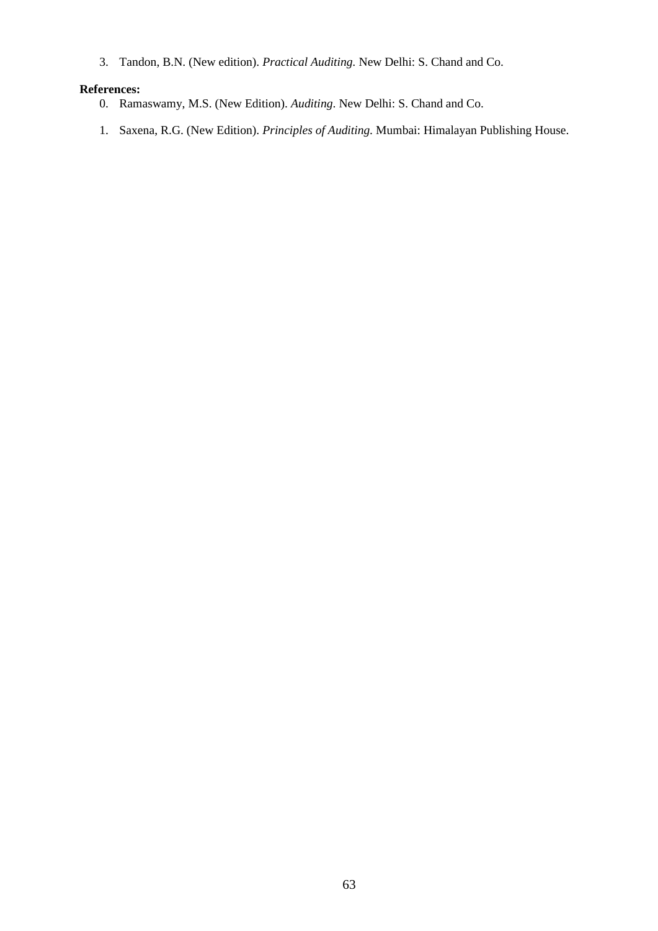3. Tandon, B.N. (New edition). *Practical Auditing.* New Delhi: S. Chand and Co.

## **References:**

- 0. Ramaswamy, M.S. (New Edition). *Auditing*. New Delhi: S. Chand and Co.
- 1. Saxena, R.G. (New Edition). *Principles of Auditing.* Mumbai: Himalayan Publishing House.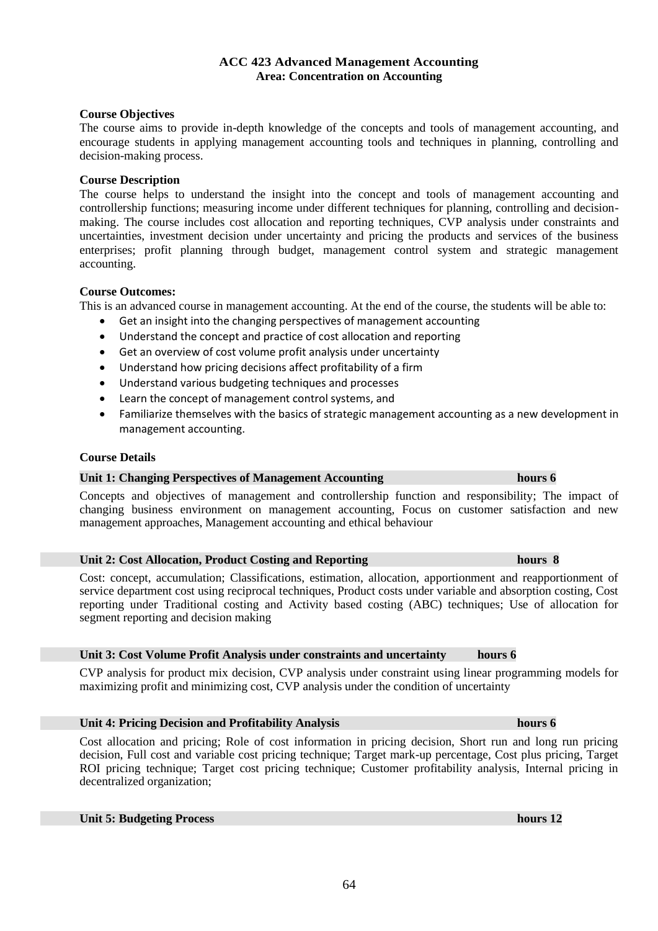## **ACC 423 Advanced Management Accounting Area: Concentration on Accounting**

### **Course Objectives**

The course aims to provide in-depth knowledge of the concepts and tools of management accounting, and encourage students in applying management accounting tools and techniques in planning, controlling and decision-making process.

### **Course Description**

The course helps to understand the insight into the concept and tools of management accounting and controllership functions; measuring income under different techniques for planning, controlling and decisionmaking. The course includes cost allocation and reporting techniques, CVP analysis under constraints and uncertainties, investment decision under uncertainty and pricing the products and services of the business enterprises; profit planning through budget, management control system and strategic management accounting.

### **Course Outcomes:**

This is an advanced course in management accounting. At the end of the course, the students will be able to:

- Get an insight into the changing perspectives of management accounting
- Understand the concept and practice of cost allocation and reporting
- Get an overview of cost volume profit analysis under uncertainty
- Understand how pricing decisions affect profitability of a firm
- Understand various budgeting techniques and processes
- Learn the concept of management control systems, and
- Familiarize themselves with the basics of strategic management accounting as a new development in management accounting.

### **Course Details**

### **Unit 1: Changing Perspectives of Management Accounting hours 6**

Concepts and objectives of management and controllership function and responsibility; The impact of changing business environment on management accounting, Focus on customer satisfaction and new management approaches, Management accounting and ethical behaviour

#### **Unit 2: Cost Allocation, Product Costing and Reporting hours 8**

Cost: concept, accumulation; Classifications, estimation, allocation, apportionment and reapportionment of service department cost using reciprocal techniques, Product costs under variable and absorption costing, Cost reporting under Traditional costing and Activity based costing (ABC) techniques; Use of allocation for segment reporting and decision making

### **Unit 3: Cost Volume Profit Analysis under constraints and uncertainty hours 6**

CVP analysis for product mix decision, CVP analysis under constraint using linear programming models for maximizing profit and minimizing cost, CVP analysis under the condition of uncertainty

## **Unit 4: Pricing Decision and Profitability Analysis hours 6**

Cost allocation and pricing; Role of cost information in pricing decision, Short run and long run pricing decision, Full cost and variable cost pricing technique; Target mark-up percentage, Cost plus pricing, Target ROI pricing technique; Target cost pricing technique; Customer profitability analysis, Internal pricing in decentralized organization;

## **Unit 5: Budgeting Process hours 12**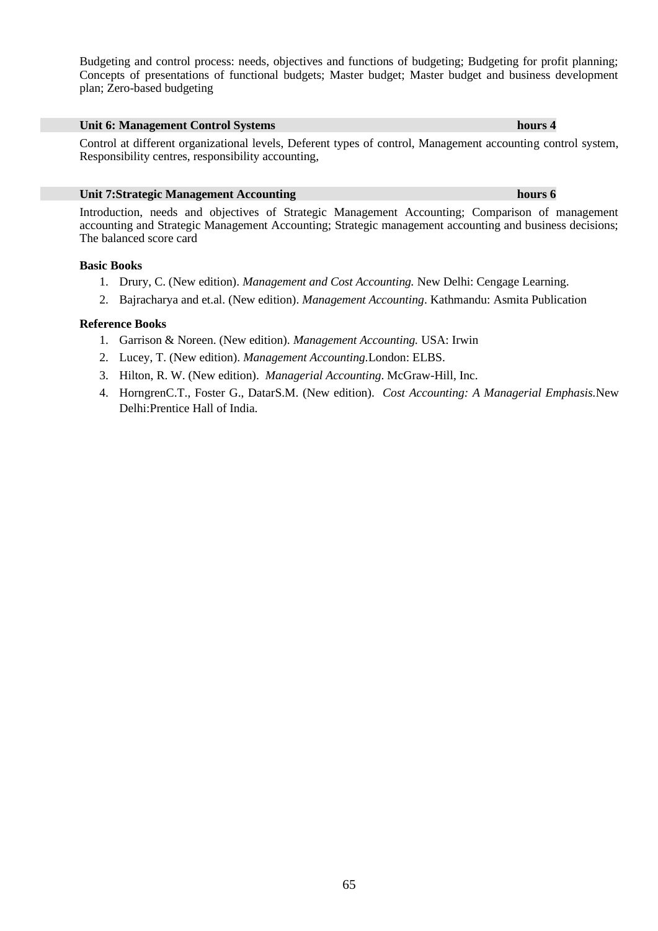Budgeting and control process: needs, objectives and functions of budgeting; Budgeting for profit planning; Concepts of presentations of functional budgets; Master budget; Master budget and business development plan; Zero-based budgeting

### **Unit 6: Management Control Systems hours 4**

Control at different organizational levels, Deferent types of control, Management accounting control system, Responsibility centres, responsibility accounting,

#### **Unit 7:Strategic Management Accounting hours 6**

Introduction, needs and objectives of Strategic Management Accounting; Comparison of management accounting and Strategic Management Accounting; Strategic management accounting and business decisions; The balanced score card

#### **Basic Books**

- 1. Drury, C. (New edition). *Management and Cost Accounting.* New Delhi: Cengage Learning.
- 2. Bajracharya and et.al. (New edition). *Management Accounting*. Kathmandu: Asmita Publication

#### **Reference Books**

- 1. Garrison & Noreen. (New edition). *Management Accounting.* USA: Irwin
- 2. Lucey, T. (New edition). *Management Accounting.*London: ELBS.
- 3. Hilton, R. W. (New edition). *Managerial Accounting*. McGraw-Hill, Inc.
- 4. HorngrenC.T., Foster G., DatarS.M. (New edition). *Cost Accounting: A Managerial Emphasis.*New Delhi:Prentice Hall of India.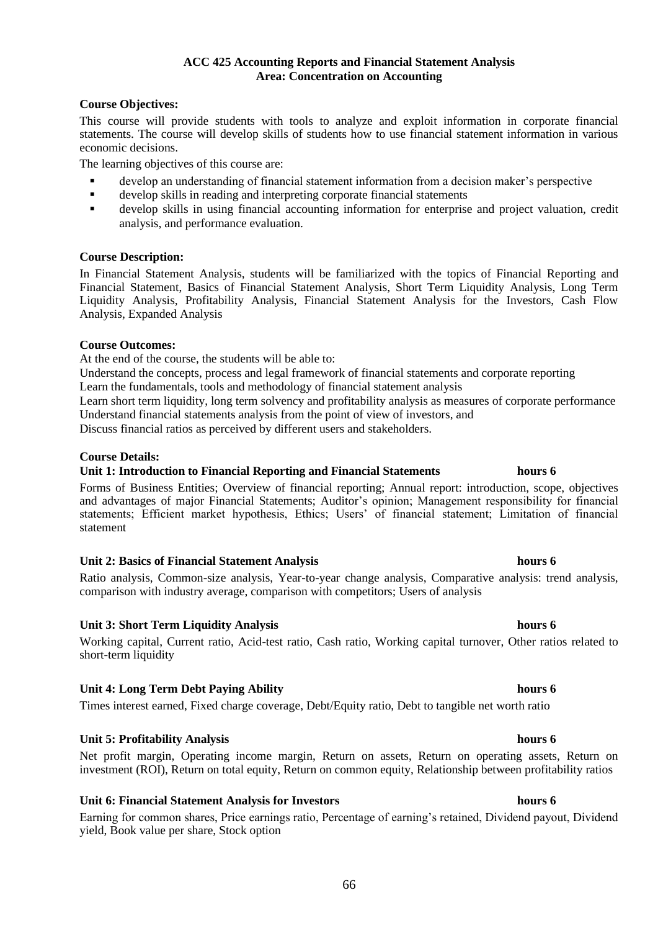### 66

### **ACC 425 Accounting Reports and Financial Statement Analysis Area: Concentration on Accounting**

## **Course Objectives:**

This course will provide students with tools to analyze and exploit information in corporate financial statements. The course will develop skills of students how to use financial statement information in various economic decisions.

The learning objectives of this course are:

- develop an understanding of financial statement information from a decision maker's perspective
- develop skills in reading and interpreting corporate financial statements
- develop skills in using financial accounting information for enterprise and project valuation, credit analysis, and performance evaluation.

### **Course Description:**

In Financial Statement Analysis, students will be familiarized with the topics of Financial Reporting and Financial Statement, Basics of Financial Statement Analysis, Short Term Liquidity Analysis, Long Term Liquidity Analysis, Profitability Analysis, Financial Statement Analysis for the Investors, Cash Flow Analysis, Expanded Analysis

## **Course Outcomes:**

At the end of the course, the students will be able to:

Understand the concepts, process and legal framework of financial statements and corporate reporting Learn the fundamentals, tools and methodology of financial statement analysis

Learn short term liquidity, long term solvency and profitability analysis as measures of corporate performance Understand financial statements analysis from the point of view of investors, and

Discuss financial ratios as perceived by different users and stakeholders.

## **Course Details:**

## **Unit 1: Introduction to Financial Reporting and Financial Statements hours 6**

Forms of Business Entities; Overview of financial reporting; Annual report: introduction, scope, objectives and advantages of major Financial Statements; Auditor's opinion; Management responsibility for financial statements; Efficient market hypothesis, Ethics; Users' of financial statement; Limitation of financial statement

### **Unit 2: Basics of Financial Statement Analysis hours 6**

Ratio analysis, Common-size analysis, Year-to-year change analysis, Comparative analysis: trend analysis, comparison with industry average, comparison with competitors; Users of analysis

## **Unit 3: Short Term Liquidity Analysis hours 6**

Working capital, Current ratio, Acid-test ratio, Cash ratio, Working capital turnover, Other ratios related to short-term liquidity

## **Unit 4: Long Term Debt Paying Ability hours 6**

Times interest earned, Fixed charge coverage, Debt/Equity ratio, Debt to tangible net worth ratio

### **Unit 5: Profitability Analysis hours 6**

## **Unit 6: Financial Statement Analysis for Investors hours 6**

Earning for common shares, Price earnings ratio, Percentage of earning's retained, Dividend payout, Dividend yield, Book value per share, Stock option

# investment (ROI), Return on total equity, Return on common equity, Relationship between profitability ratios

## Net profit margin, Operating income margin, Return on assets, Return on operating assets, Return on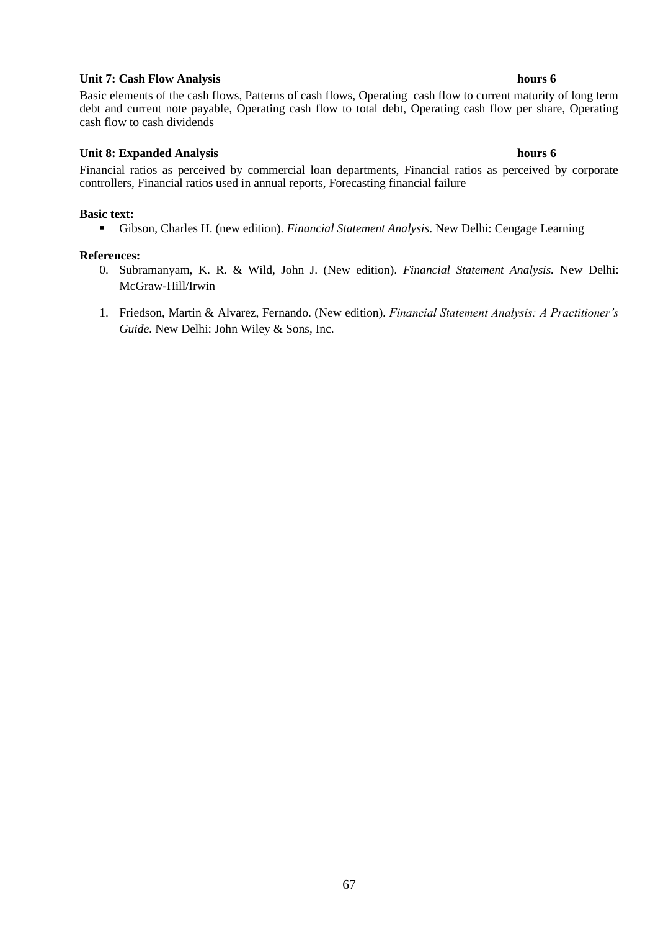### **Unit 7: Cash Flow Analysis hours 6**

Basic elements of the cash flows, Patterns of cash flows, Operating cash flow to current maturity of long term debt and current note payable, Operating cash flow to total debt, Operating cash flow per share, Operating cash flow to cash dividends

### **Unit 8: Expanded Analysis hours 6**

Financial ratios as perceived by commercial loan departments, Financial ratios as perceived by corporate controllers, Financial ratios used in annual reports, Forecasting financial failure

#### **Basic text:**

▪ Gibson, Charles H. (new edition). *Financial Statement Analysis*. New Delhi: Cengage Learning

#### **References:**

- 0. Subramanyam, K. R. & Wild, John J. (New edition). *Financial Statement Analysis.* New Delhi: McGraw-Hill/Irwin
- 1. Friedson, Martin & Alvarez, Fernando. (New edition). *Financial Statement Analysis: A Practitioner's Guide.* New Delhi: John Wiley & Sons, Inc.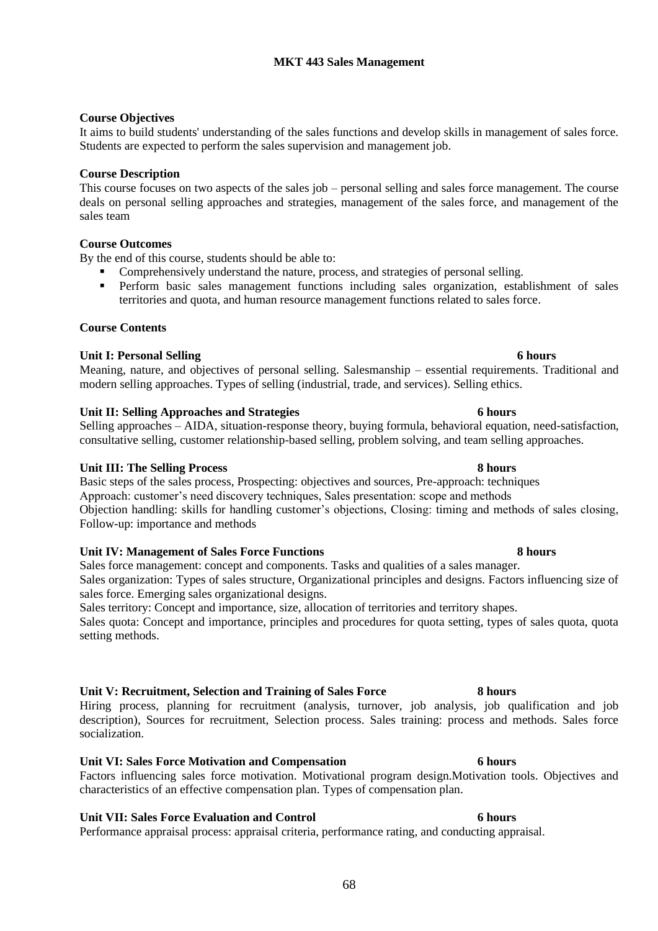## **MKT 443 Sales Management**

### **Course Objectives**

It aims to build students' understanding of the sales functions and develop skills in management of sales force. Students are expected to perform the sales supervision and management job.

### **Course Description**

This course focuses on two aspects of the sales job – personal selling and sales force management. The course deals on personal selling approaches and strategies, management of the sales force, and management of the sales team

### **Course Outcomes**

By the end of this course, students should be able to:

- Comprehensively understand the nature, process, and strategies of personal selling.
- Perform basic sales management functions including sales organization, establishment of sales territories and quota, and human resource management functions related to sales force.

### **Course Contents**

## **Unit I: Personal Selling 6 hours**

Meaning, nature, and objectives of personal selling. Salesmanship – essential requirements. Traditional and modern selling approaches. Types of selling (industrial, trade, and services). Selling ethics.

### **Unit II: Selling Approaches and Strategies 6 hours**

Selling approaches – AIDA, situation-response theory, buying formula, behavioral equation, need-satisfaction, consultative selling, customer relationship-based selling, problem solving, and team selling approaches.

#### **Unit III: The Selling Process 8 hours**

Basic steps of the sales process, Prospecting: objectives and sources, Pre-approach: techniques Approach: customer's need discovery techniques, Sales presentation: scope and methods Objection handling: skills for handling customer's objections, Closing: timing and methods of sales closing, Follow-up: importance and methods

### **Unit IV: Management of Sales Force Functions 8 hours**

Sales force management: concept and components. Tasks and qualities of a sales manager. Sales organization: Types of sales structure, Organizational principles and designs. Factors influencing size of sales force. Emerging sales organizational designs.

Sales territory: Concept and importance, size, allocation of territories and territory shapes. Sales quota: Concept and importance, principles and procedures for quota setting, types of sales quota, quota setting methods.

### **Unit V: Recruitment, Selection and Training of Sales Force 8 hours**

Hiring process, planning for recruitment (analysis, turnover, job analysis, job qualification and job description), Sources for recruitment, Selection process. Sales training: process and methods. Sales force socialization.

**Unit VI: Sales Force Motivation and Compensation 6 hours** Factors influencing sales force motivation. Motivational program design.Motivation tools. Objectives and characteristics of an effective compensation plan. Types of compensation plan.

### **Unit VII: Sales Force Evaluation and Control 6 hours**

Performance appraisal process: appraisal criteria, performance rating, and conducting appraisal.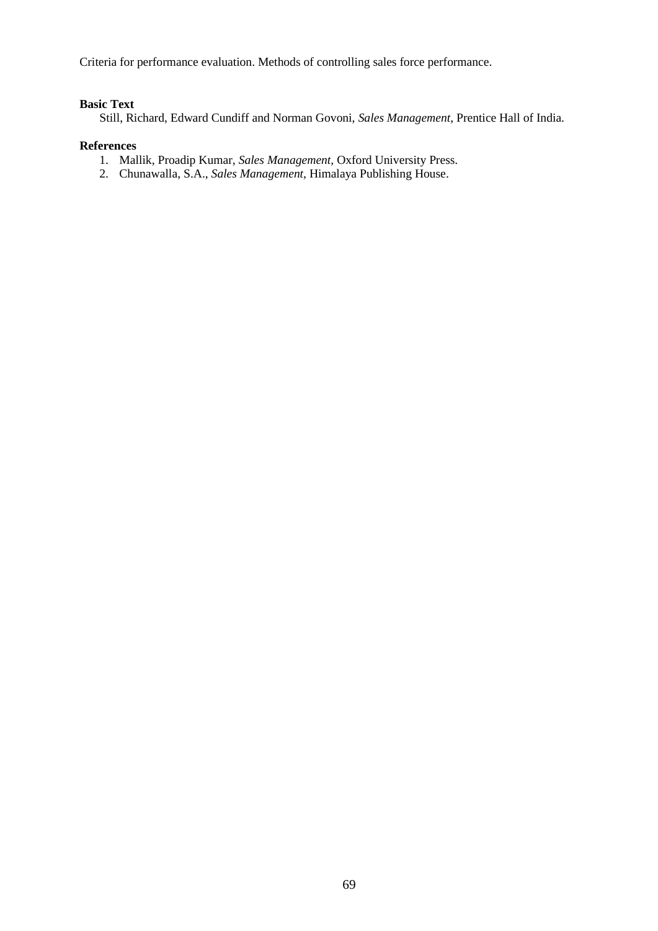Criteria for performance evaluation. Methods of controlling sales force performance.

## **Basic Text**

Still, Richard, Edward Cundiff and Norman Govoni, *Sales Management*, Prentice Hall of India.

## **References**

- 1. Mallik, Proadip Kumar, *Sales Management,* Oxford University Press.
- 2. Chunawalla, S.A., *Sales Management,* Himalaya Publishing House.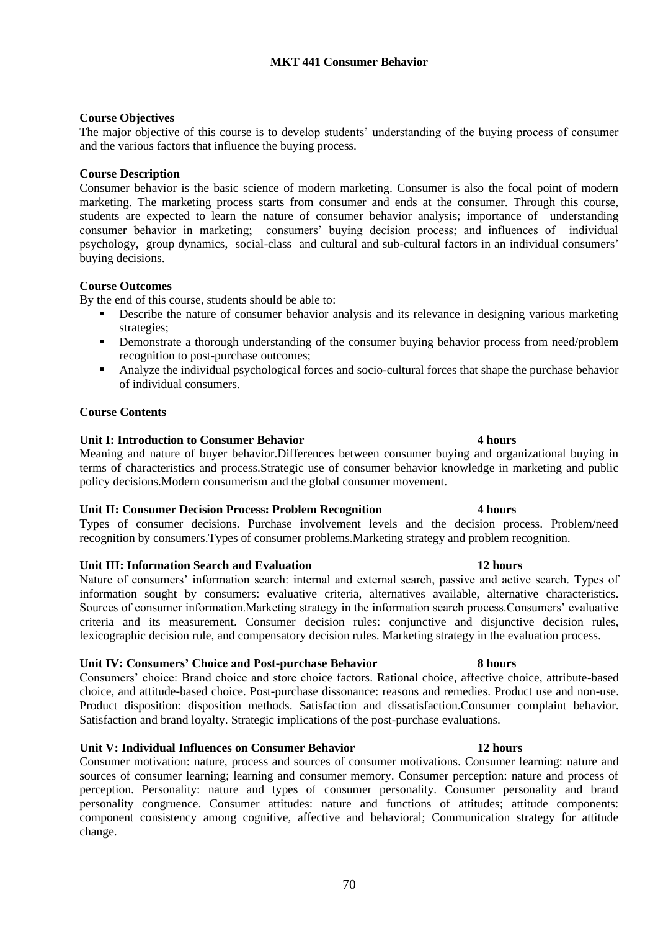## **MKT 441 Consumer Behavior**

## **Course Objectives**

The major objective of this course is to develop students' understanding of the buying process of consumer and the various factors that influence the buying process.

## **Course Description**

Consumer behavior is the basic science of modern marketing. Consumer is also the focal point of modern marketing. The marketing process starts from consumer and ends at the consumer. Through this course, students are expected to learn the nature of consumer behavior analysis; importance of understanding consumer behavior in marketing; consumers' buying decision process; and influences of individual psychology, group dynamics, social-class and cultural and sub-cultural factors in an individual consumers' buying decisions.

## **Course Outcomes**

By the end of this course, students should be able to:

- **•** Describe the nature of consumer behavior analysis and its relevance in designing various marketing strategies;
- **•** Demonstrate a thorough understanding of the consumer buying behavior process from need/problem recognition to post-purchase outcomes;
- Analyze the individual psychological forces and socio-cultural forces that shape the purchase behavior of individual consumers.

## **Course Contents**

## **Unit I: Introduction to Consumer Behavior 4 hours**

Meaning and nature of buyer behavior.Differences between consumer buying and organizational buying in terms of characteristics and process.Strategic use of consumer behavior knowledge in marketing and public policy decisions.Modern consumerism and the global consumer movement.

## **Unit II: Consumer Decision Process: Problem Recognition 4 hours**

Types of consumer decisions. Purchase involvement levels and the decision process. Problem/need recognition by consumers.Types of consumer problems.Marketing strategy and problem recognition.

## **Unit III: Information Search and Evaluation 12 hours**

Nature of consumers' information search: internal and external search, passive and active search. Types of information sought by consumers: evaluative criteria, alternatives available, alternative characteristics. Sources of consumer information.Marketing strategy in the information search process.Consumers' evaluative criteria and its measurement. Consumer decision rules: conjunctive and disjunctive decision rules, lexicographic decision rule, and compensatory decision rules. Marketing strategy in the evaluation process.

## **Unit IV: Consumers' Choice and Post-purchase Behavior 8 hours**

Consumers' choice: Brand choice and store choice factors. Rational choice, affective choice, attribute-based choice, and attitude-based choice. Post-purchase dissonance: reasons and remedies. Product use and non-use. Product disposition: disposition methods. Satisfaction and dissatisfaction.Consumer complaint behavior. Satisfaction and brand loyalty. Strategic implications of the post-purchase evaluations.

### **Unit V: Individual Influences on Consumer Behavior 12 hours**

Consumer motivation: nature, process and sources of consumer motivations. Consumer learning: nature and sources of consumer learning; learning and consumer memory. Consumer perception: nature and process of perception. Personality: nature and types of consumer personality. Consumer personality and brand personality congruence. Consumer attitudes: nature and functions of attitudes; attitude components: component consistency among cognitive, affective and behavioral; Communication strategy for attitude change.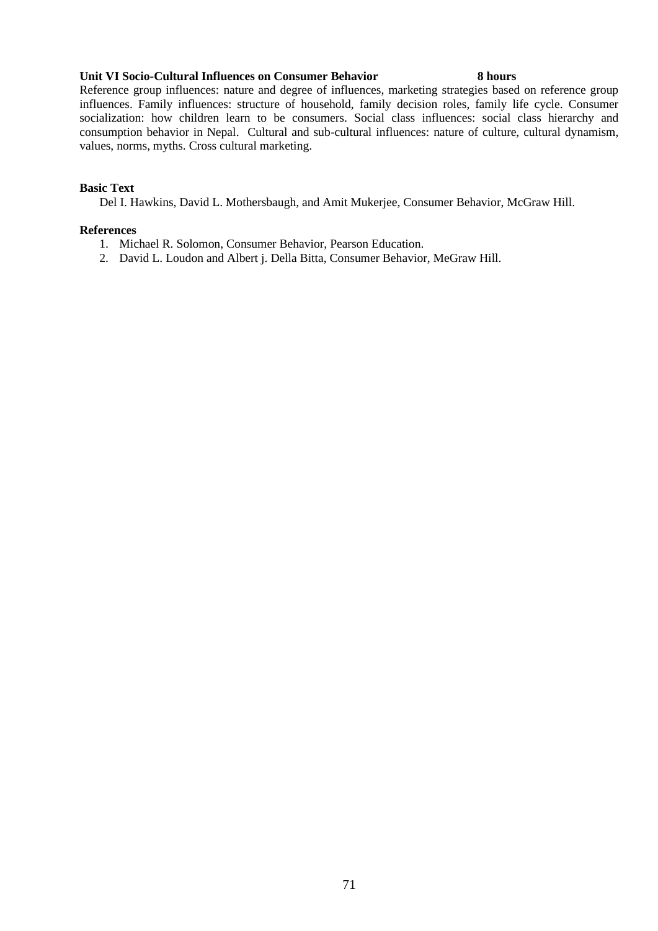### **Unit VI Socio-Cultural Influences on Consumer Behavior 8 hours**

Reference group influences: nature and degree of influences, marketing strategies based on reference group influences. Family influences: structure of household, family decision roles, family life cycle. Consumer socialization: how children learn to be consumers. Social class influences: social class hierarchy and consumption behavior in Nepal. Cultural and sub-cultural influences: nature of culture, cultural dynamism, values, norms, myths. Cross cultural marketing.

## **Basic Text**

Del I. Hawkins, David L. Mothersbaugh, and Amit Mukerjee, Consumer Behavior, McGraw Hill.

## **References**

- 1. Michael R. Solomon, Consumer Behavior, Pearson Education.
- 2. David L. Loudon and Albert j. Della Bitta, Consumer Behavior, MeGraw Hill.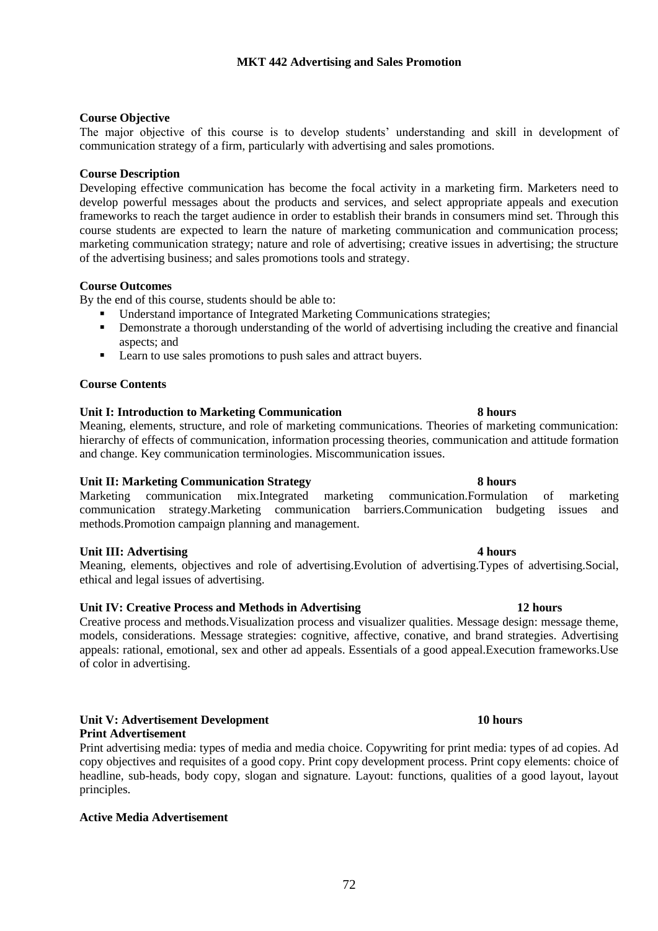## **Course Objective**

The major objective of this course is to develop students' understanding and skill in development of communication strategy of a firm, particularly with advertising and sales promotions.

### **Course Description**

Developing effective communication has become the focal activity in a marketing firm. Marketers need to develop powerful messages about the products and services, and select appropriate appeals and execution frameworks to reach the target audience in order to establish their brands in consumers mind set. Through this course students are expected to learn the nature of marketing communication and communication process; marketing communication strategy; nature and role of advertising; creative issues in advertising; the structure of the advertising business; and sales promotions tools and strategy.

### **Course Outcomes**

By the end of this course, students should be able to:

- Understand importance of Integrated Marketing Communications strategies;
- **•** Demonstrate a thorough understanding of the world of advertising including the creative and financial aspects; and
- Learn to use sales promotions to push sales and attract buyers.

### **Course Contents**

### **Unit I: Introduction to Marketing Communication 8 hours**

Meaning, elements, structure, and role of marketing communications. Theories of marketing communication: hierarchy of effects of communication, information processing theories, communication and attitude formation and change. Key communication terminologies. Miscommunication issues.

### **Unit II: Marketing Communication Strategy 8 hours**

Marketing communication mix.Integrated marketing communication.Formulation of marketing communication strategy.Marketing communication barriers.Communication budgeting issues and methods.Promotion campaign planning and management.

### **Unit III: Advertising 4 hours** 4 hours

Meaning, elements, objectives and role of advertising.Evolution of advertising.Types of advertising.Social, ethical and legal issues of advertising.

### **Unit IV: Creative Process and Methods in Advertising 12 hours**

Creative process and methods.Visualization process and visualizer qualities. Message design: message theme, models, considerations. Message strategies: cognitive, affective, conative, and brand strategies. Advertising appeals: rational, emotional, sex and other ad appeals. Essentials of a good appeal.Execution frameworks.Use of color in advertising.

#### **Unit V: Advertisement Development 10 hours Print Advertisement**

Print advertising media: types of media and media choice. Copywriting for print media: types of ad copies. Ad copy objectives and requisites of a good copy. Print copy development process. Print copy elements: choice of headline, sub-heads, body copy, slogan and signature. Layout: functions, qualities of a good layout, layout principles.

## **Active Media Advertisement**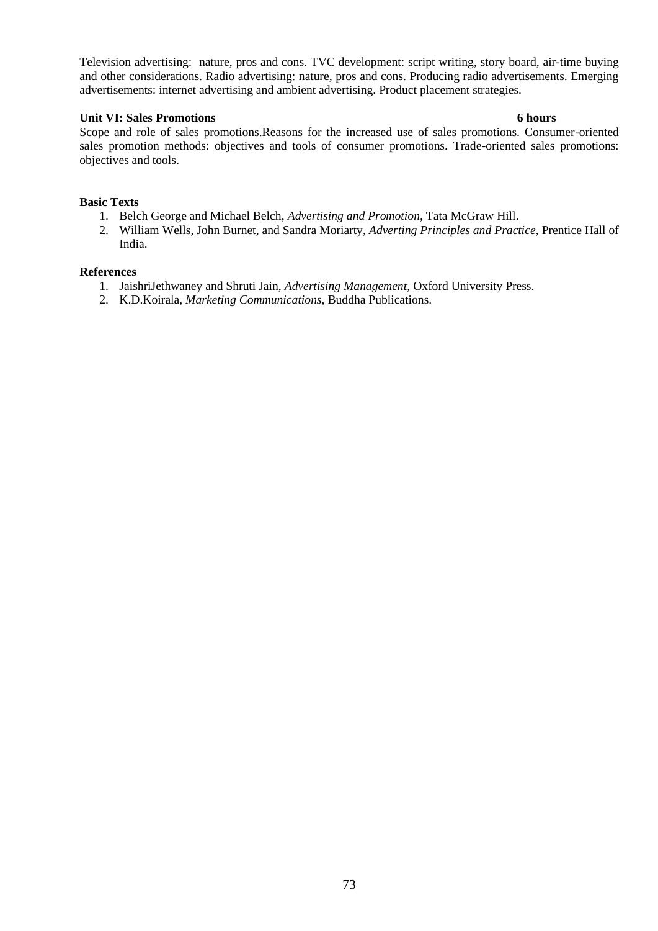Television advertising: nature, pros and cons. TVC development: script writing, story board, air-time buying and other considerations. Radio advertising: nature, pros and cons. Producing radio advertisements. Emerging advertisements: internet advertising and ambient advertising. Product placement strategies.

## **Unit VI: Sales Promotions 6 hours**

Scope and role of sales promotions.Reasons for the increased use of sales promotions. Consumer-oriented sales promotion methods: objectives and tools of consumer promotions. Trade-oriented sales promotions: objectives and tools.

# **Basic Texts**

- 1. Belch George and Michael Belch, *Advertising and Promotion,* Tata McGraw Hill.
- 2. William Wells, John Burnet, and Sandra Moriarty, *Adverting Principles and Practice*, Prentice Hall of India.

# **References**

- 1. JaishriJethwaney and Shruti Jain, *Advertising Management,* Oxford University Press.
- 2. K.D.Koirala, *Marketing Communications,* Buddha Publications.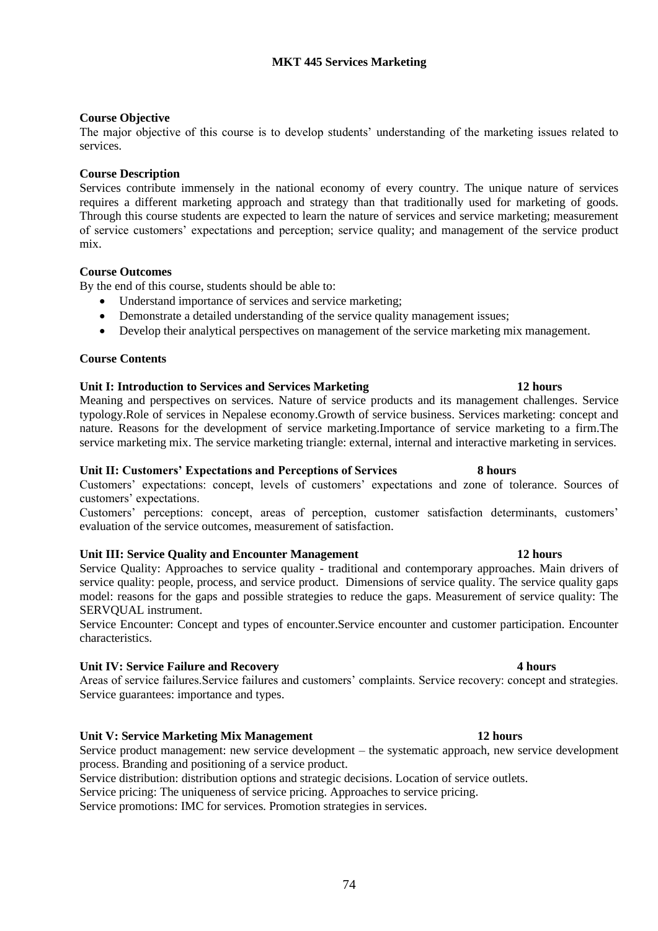## **Course Objective**

The major objective of this course is to develop students' understanding of the marketing issues related to services.

### **Course Description**

Services contribute immensely in the national economy of every country. The unique nature of services requires a different marketing approach and strategy than that traditionally used for marketing of goods. Through this course students are expected to learn the nature of services and service marketing; measurement of service customers' expectations and perception; service quality; and management of the service product mix.

## **Course Outcomes**

By the end of this course, students should be able to:

- Understand importance of services and service marketing;
- Demonstrate a detailed understanding of the service quality management issues;
- Develop their analytical perspectives on management of the service marketing mix management.

# **Course Contents**

### **Unit I: Introduction to Services and Services Marketing 12 hours**

Meaning and perspectives on services. Nature of service products and its management challenges. Service typology.Role of services in Nepalese economy.Growth of service business. Services marketing: concept and nature. Reasons for the development of service marketing.Importance of service marketing to a firm.The service marketing mix. The service marketing triangle: external, internal and interactive marketing in services.

## **Unit II: Customers' Expectations and Perceptions of Services 8 hours**

Customers' expectations: concept, levels of customers' expectations and zone of tolerance. Sources of customers' expectations.

Customers' perceptions: concept, areas of perception, customer satisfaction determinants, customers' evaluation of the service outcomes, measurement of satisfaction.

### **Unit III: Service Quality and Encounter Management 12 hours**

Service Quality: Approaches to service quality - traditional and contemporary approaches. Main drivers of service quality: people, process, and service product. Dimensions of service quality. The service quality gaps model: reasons for the gaps and possible strategies to reduce the gaps. Measurement of service quality: The SERVQUAL instrument.

Service Encounter: Concept and types of encounter.Service encounter and customer participation. Encounter characteristics.

### **Unit IV: Service Failure and Recovery 4 hours**

Areas of service failures.Service failures and customers' complaints. Service recovery: concept and strategies. Service guarantees: importance and types.

### **Unit V: Service Marketing Mix Management 12 hours**

Service product management: new service development – the systematic approach, new service development process. Branding and positioning of a service product.

Service distribution: distribution options and strategic decisions. Location of service outlets.

Service pricing: The uniqueness of service pricing. Approaches to service pricing.

Service promotions: IMC for services. Promotion strategies in services.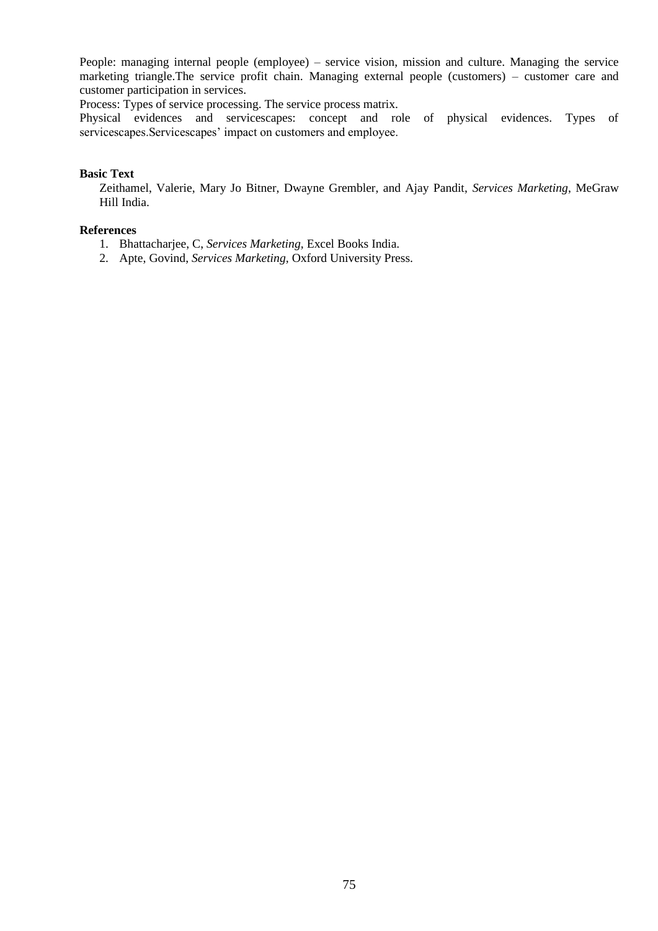People: managing internal people (employee) – service vision, mission and culture. Managing the service marketing triangle.The service profit chain. Managing external people (customers) – customer care and customer participation in services.

Process: Types of service processing. The service process matrix.

Physical evidences and servicescapes: concept and role of physical evidences. Types of servicescapes.Servicescapes' impact on customers and employee.

## **Basic Text**

Zeithamel, Valerie, Mary Jo Bitner, Dwayne Grembler, and Ajay Pandit, *Services Marketing*, MeGraw Hill India.

## **References**

- 1. Bhattacharjee, C, *Services Marketing,* Excel Books India.
- 2. Apte, Govind, *Services Marketing,* Oxford University Press.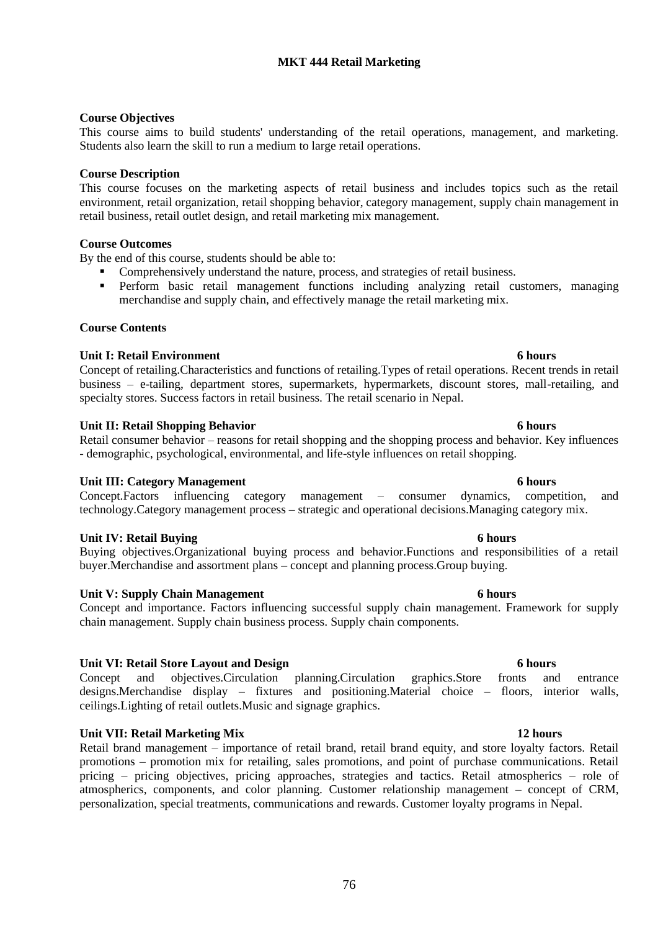# **MKT 444 Retail Marketing**

# **Course Objectives**

This course aims to build students' understanding of the retail operations, management, and marketing. Students also learn the skill to run a medium to large retail operations.

## **Course Description**

This course focuses on the marketing aspects of retail business and includes topics such as the retail environment, retail organization, retail shopping behavior, category management, supply chain management in retail business, retail outlet design, and retail marketing mix management.

## **Course Outcomes**

By the end of this course, students should be able to:

- Comprehensively understand the nature, process, and strategies of retail business.
- Perform basic retail management functions including analyzing retail customers, managing merchandise and supply chain, and effectively manage the retail marketing mix.

## **Course Contents**

## **Unit I: Retail Environment 6 hours**

Concept of retailing.Characteristics and functions of retailing.Types of retail operations. Recent trends in retail business – e-tailing, department stores, supermarkets, hypermarkets, discount stores, mall-retailing, and specialty stores. Success factors in retail business. The retail scenario in Nepal.

## **Unit II: Retail Shopping Behavior 6 hours**

Retail consumer behavior – reasons for retail shopping and the shopping process and behavior. Key influences - demographic, psychological, environmental, and life-style influences on retail shopping.

## **Unit III: Category Management 6 hours**

Concept.Factors influencing category management – consumer dynamics, competition, and technology.Category management process – strategic and operational decisions.Managing category mix.

### **Unit IV: Retail Buying 6 hours**

Buying objectives.Organizational buying process and behavior.Functions and responsibilities of a retail buyer.Merchandise and assortment plans – concept and planning process.Group buying.

## **Unit V: Supply Chain Management 6 hours**

Concept and importance. Factors influencing successful supply chain management. Framework for supply chain management. Supply chain business process. Supply chain components.

## **Unit VI: Retail Store Layout and Design 6 hours**

Concept and objectives.Circulation planning.Circulation graphics.Store fronts and entrance designs.Merchandise display – fixtures and positioning.Material choice – floors, interior walls, ceilings.Lighting of retail outlets.Music and signage graphics.

## **Unit VII: Retail Marketing Mix 12 hours**

Retail brand management – importance of retail brand, retail brand equity, and store loyalty factors. Retail promotions – promotion mix for retailing, sales promotions, and point of purchase communications. Retail pricing – pricing objectives, pricing approaches, strategies and tactics. Retail atmospherics – role of atmospherics, components, and color planning. Customer relationship management – concept of CRM, personalization, special treatments, communications and rewards. Customer loyalty programs in Nepal.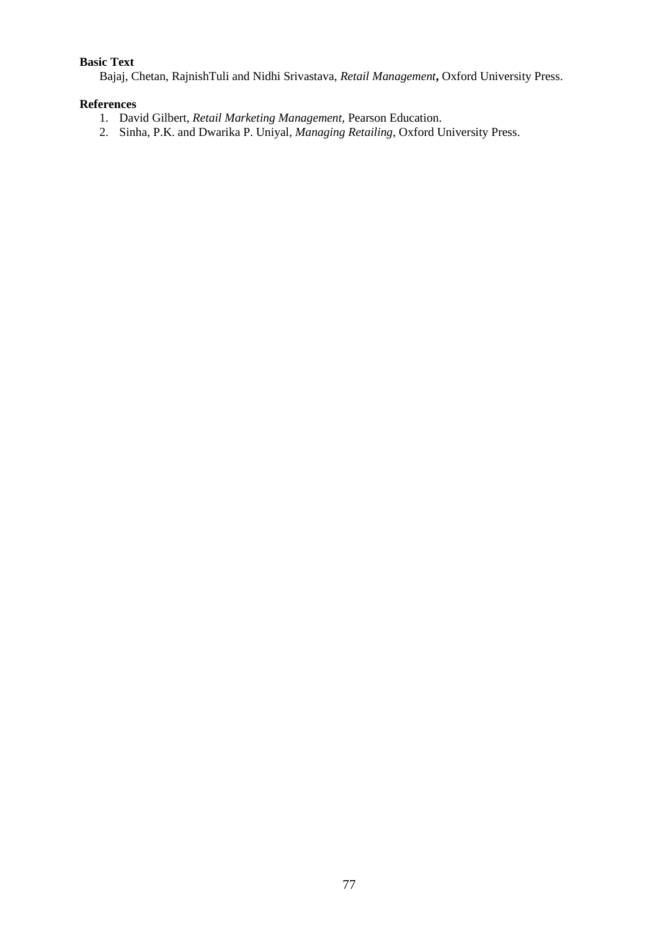# **Basic Text**

Bajaj, Chetan, RajnishTuli and Nidhi Srivastava, *Retail Management***,** Oxford University Press.

# **References**

- 1. David Gilbert, *Retail Marketing Management,* Pearson Education.
- 2. Sinha, P.K. and Dwarika P. Uniyal, *Managing Retailing*, Oxford University Press.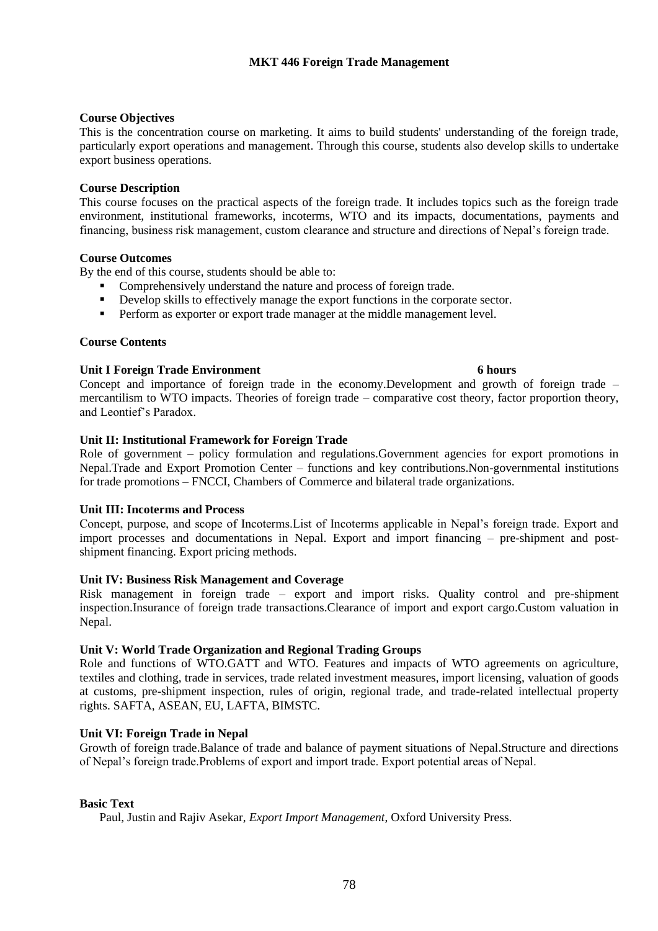# **Course Objectives**

This is the concentration course on marketing. It aims to build students' understanding of the foreign trade, particularly export operations and management. Through this course, students also develop skills to undertake export business operations.

## **Course Description**

This course focuses on the practical aspects of the foreign trade. It includes topics such as the foreign trade environment, institutional frameworks, incoterms, WTO and its impacts, documentations, payments and financing, business risk management, custom clearance and structure and directions of Nepal's foreign trade.

## **Course Outcomes**

By the end of this course, students should be able to:

- Comprehensively understand the nature and process of foreign trade.
- **•** Develop skills to effectively manage the export functions in the corporate sector.
- **•** Perform as exporter or export trade manager at the middle management level.

## **Course Contents**

## **Unit I Foreign Trade Environment 6 hours**

Concept and importance of foreign trade in the economy.Development and growth of foreign trade – mercantilism to WTO impacts. Theories of foreign trade – comparative cost theory, factor proportion theory, and Leontief's Paradox.

# **Unit II: Institutional Framework for Foreign Trade**

Role of government – policy formulation and regulations. Government agencies for export promotions in Nepal.Trade and Export Promotion Center – functions and key contributions.Non-governmental institutions for trade promotions – FNCCI, Chambers of Commerce and bilateral trade organizations.

## **Unit III: Incoterms and Process**

Concept, purpose, and scope of Incoterms.List of Incoterms applicable in Nepal's foreign trade. Export and import processes and documentations in Nepal. Export and import financing – pre-shipment and postshipment financing. Export pricing methods.

## **Unit IV: Business Risk Management and Coverage**

Risk management in foreign trade – export and import risks. Quality control and pre-shipment inspection.Insurance of foreign trade transactions.Clearance of import and export cargo.Custom valuation in Nepal.

## **Unit V: World Trade Organization and Regional Trading Groups**

Role and functions of WTO.GATT and WTO. Features and impacts of WTO agreements on agriculture, textiles and clothing, trade in services, trade related investment measures, import licensing, valuation of goods at customs, pre-shipment inspection, rules of origin, regional trade, and trade-related intellectual property rights. SAFTA, ASEAN, EU, LAFTA, BIMSTC.

## **Unit VI: Foreign Trade in Nepal**

Growth of foreign trade.Balance of trade and balance of payment situations of Nepal.Structure and directions of Nepal's foreign trade.Problems of export and import trade. Export potential areas of Nepal.

## **Basic Text**

Paul, Justin and Rajiv Asekar, *Export Import Management*, Oxford University Press.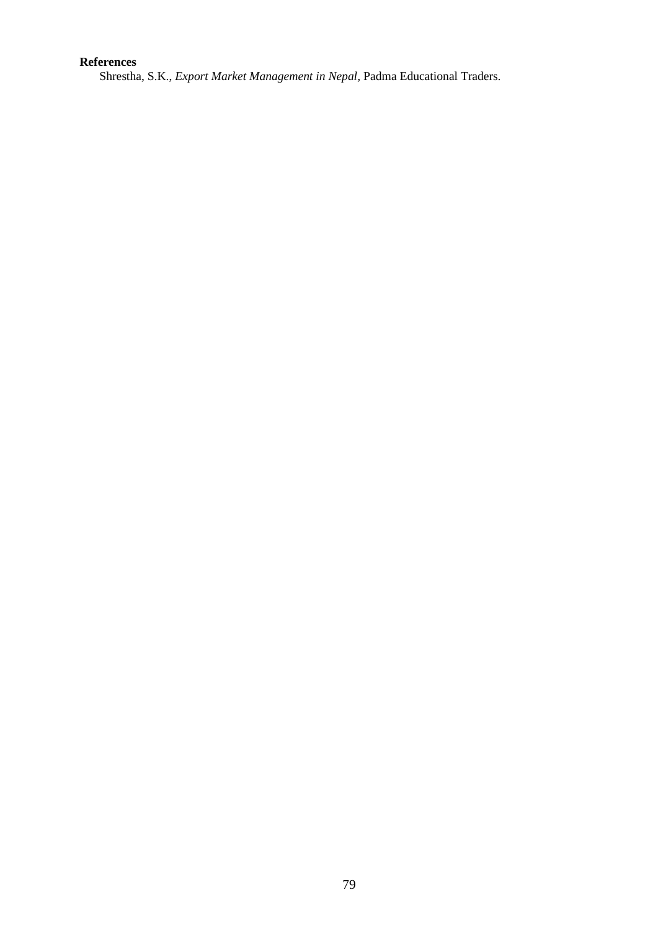# **References**

Shrestha, S.K., *Export Market Management in Nepal,* Padma Educational Traders.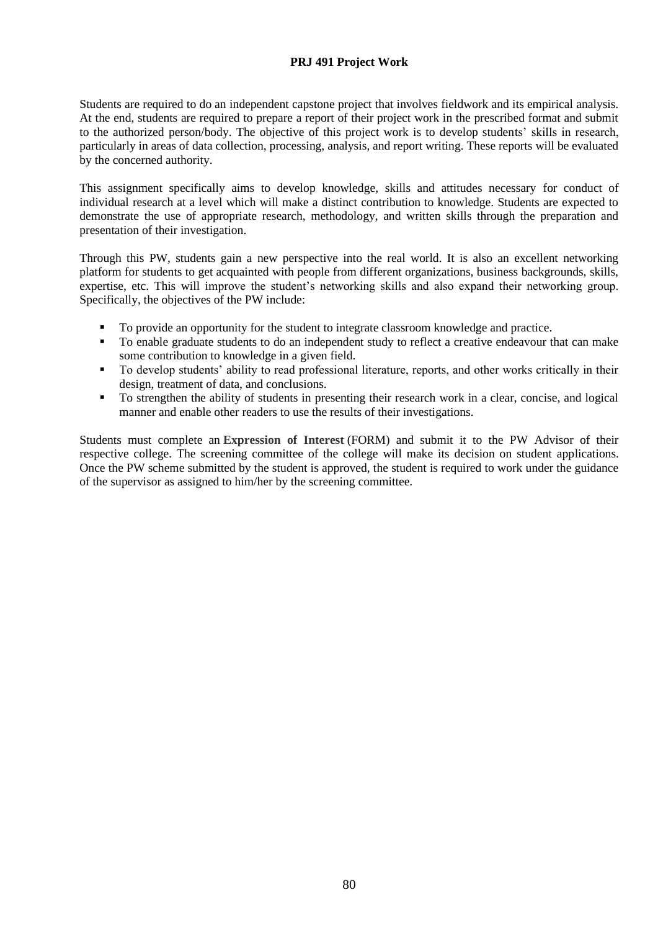# **PRJ 491 Project Work**

Students are required to do an independent capstone project that involves fieldwork and its empirical analysis. At the end, students are required to prepare a report of their project work in the prescribed format and submit to the authorized person/body. The objective of this project work is to develop students' skills in research, particularly in areas of data collection, processing, analysis, and report writing. These reports will be evaluated by the concerned authority.

This assignment specifically aims to develop knowledge, skills and attitudes necessary for conduct of individual research at a level which will make a distinct contribution to knowledge. Students are expected to demonstrate the use of appropriate research, methodology, and written skills through the preparation and presentation of their investigation.

Through this PW, students gain a new perspective into the real world. It is also an excellent networking platform for students to get acquainted with people from different organizations, business backgrounds, skills, expertise, etc. This will improve the student's networking skills and also expand their networking group. Specifically, the objectives of the PW include:

- To provide an opportunity for the student to integrate classroom knowledge and practice.
- To enable graduate students to do an independent study to reflect a creative endeavour that can make some contribution to knowledge in a given field.
- To develop students' ability to read professional literature, reports, and other works critically in their design, treatment of data, and conclusions.
- To strengthen the ability of students in presenting their research work in a clear, concise, and logical manner and enable other readers to use the results of their investigations.

Students must complete an **[Expression of Interest](https://www2.viu.ca/business/pdfs/Mgmt491_499ExpressionofInterestForm1.pdf)** (FORM) and submit it to the PW Advisor of their respective college. The screening committee of the college will make its decision on student applications. Once the PW scheme submitted by the student is approved, the student is required to work under the guidance of the supervisor as assigned to him/her by the screening committee.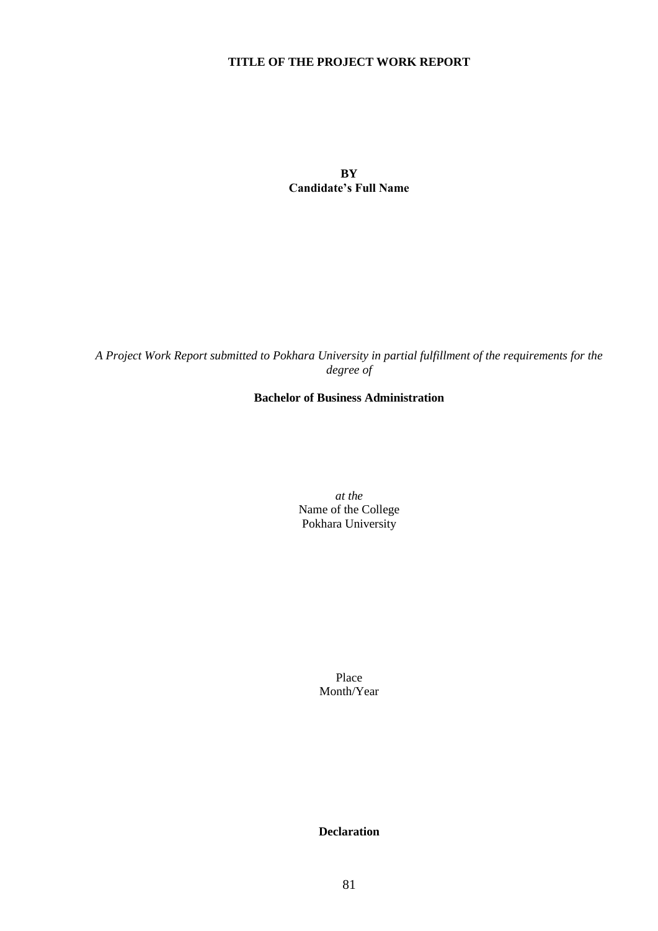# **TITLE OF THE PROJECT WORK REPORT**

**BY Candidate's Full Name**

*A Project Work Report submitted to Pokhara University in partial fulfillment of the requirements for the degree of*

# **Bachelor of Business Administration**

*at the* Name of the College Pokhara University

> Place Month/Year

> **Declaration**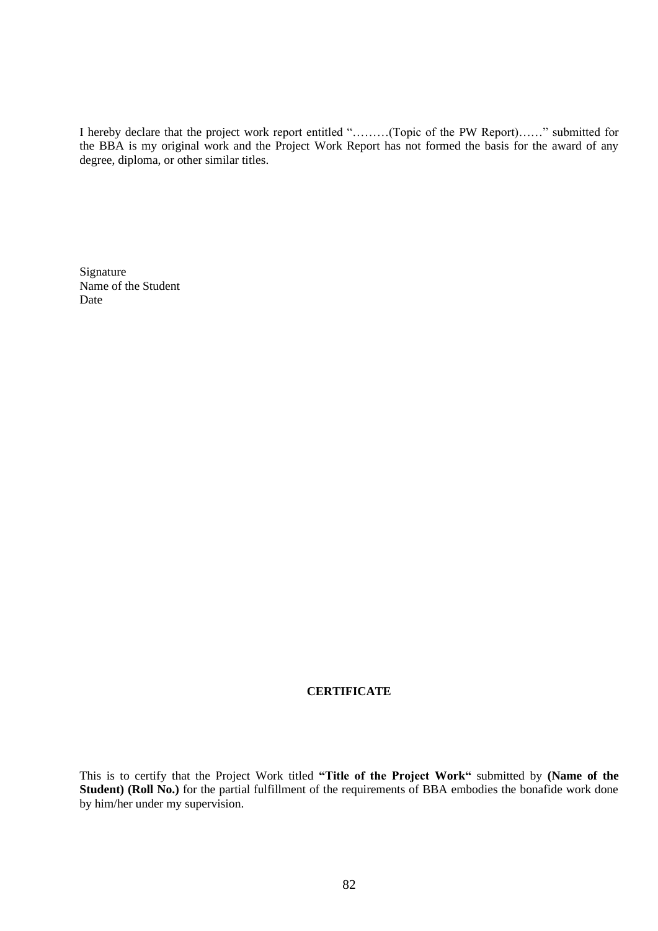I hereby declare that the project work report entitled "………(Topic of the PW Report)……" submitted for the BBA is my original work and the Project Work Report has not formed the basis for the award of any degree, diploma, or other similar titles.

Signature Name of the Student Date

## **CERTIFICATE**

This is to certify that the Project Work titled **"Title of the Project Work"** submitted by **(Name of the Student) (Roll No.)** for the partial fulfillment of the requirements of BBA embodies the bonafide work done by him/her under my supervision.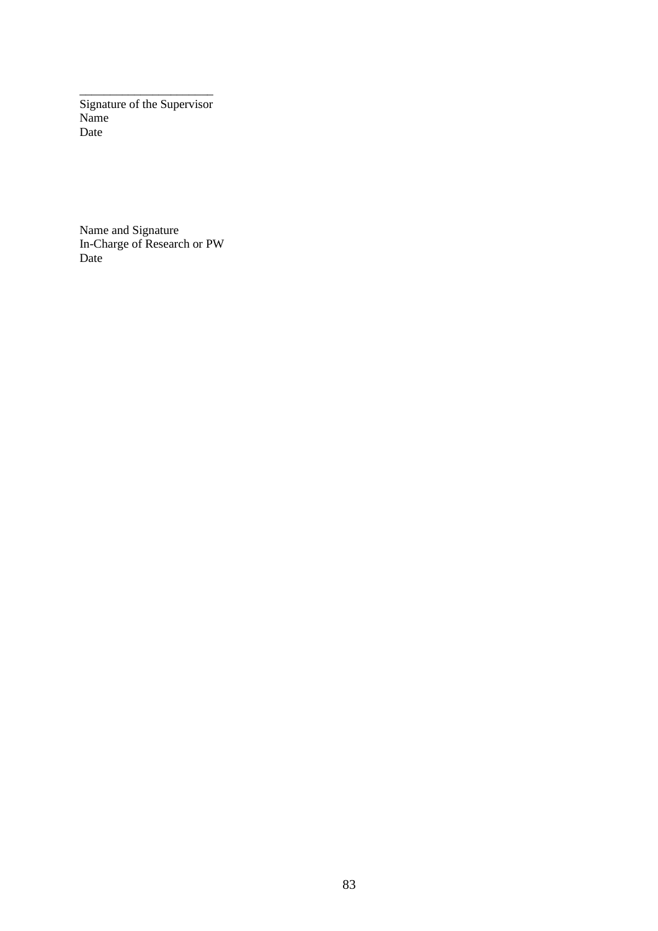\_\_\_\_\_\_\_\_\_\_\_\_\_\_\_\_\_\_\_\_\_\_ Signature of the Supervisor Name Date

Name and Signature In-Charge of Research or PW Date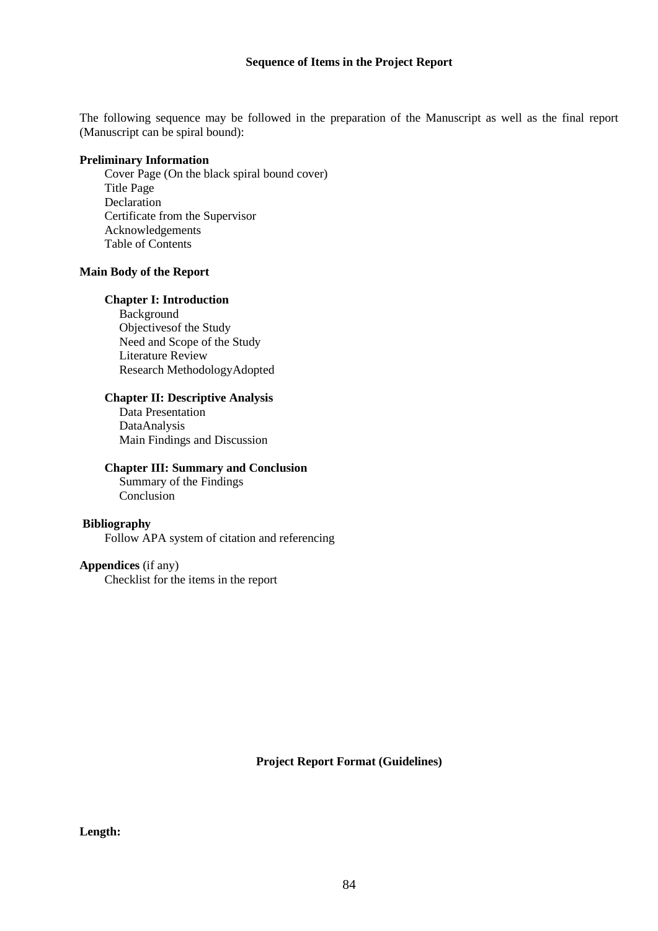The following sequence may be followed in the preparation of the Manuscript as well as the final report (Manuscript can be spiral bound):

## **Preliminary Information**

Cover Page (On the black spiral bound cover) Title Page **Declaration** Certificate from the Supervisor Acknowledgements Table of Contents

## **Main Body of the Report**

## **Chapter I: Introduction**

Background Objectivesof the Study Need and Scope of the Study Literature Review Research MethodologyAdopted

## **Chapter II: Descriptive Analysis**

Data Presentation DataAnalysis Main Findings and Discussion

## **Chapter III: Summary and Conclusion**

Summary of the Findings Conclusion

## **Bibliography**

Follow APA system of citation and referencing

# **Appendices** (if any)

Checklist for the items in the report

**Project Report Format (Guidelines)**

# **Length:**